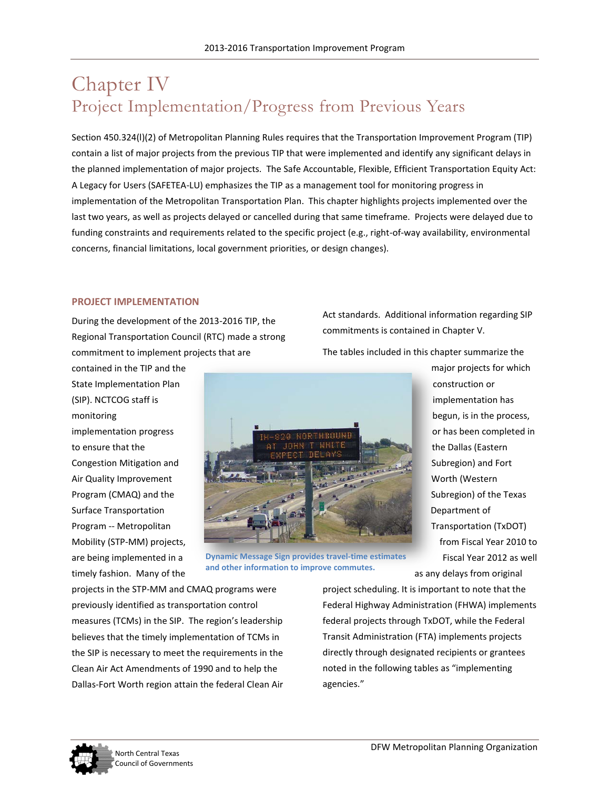# Chapter IV Project Implementation/Progress from Previous Years

Section 450.324(l)(2) of Metropolitan Planning Rules requires that the Transportation Improvement Program (TIP) contain a list of major projects from the previous TIP that were implemented and identify any significant delays in the planned implementation of major projects. The Safe Accountable, Flexible, Efficient Transportation Equity Act: A Legacy for Users (SAFETEA-LU) emphasizes the TIP as a management tool for monitoring progress in implementation of the Metropolitan Transportation Plan. This chapter highlights projects implemented over the last two years, as well as projects delayed or cancelled during that same timeframe. Projects were delayed due to funding constraints and requirements related to the specific project (e.g., right-of-way availability, environmental concerns, financial limitations, local government priorities, or design changes).

#### **PROJECT IMPLEMENTATION**

During the development of the 2013-2016 TIP, the Regional Transportation Council (RTC) made a strong commitment to implement projects that are

contained in the TIP and the State Implementation Plan (SIP). NCTCOG staff is monitoring implementation progress to ensure that the Congestion Mitigation and Air Quality Improvement Program (CMAQ) and the Surface Transportation Program -- Metropolitan Mobility (STP-MM) projects, are being implemented in a timely fashion. Many of the



**Dynamic Message Sign provides travel-time estimates and other information to improve commutes.** 

projects in the STP-MM and CMAQ programs were previously identified as transportation control measures (TCMs) in the SIP. The region's leadership believes that the timely implementation of TCMs in the SIP is necessary to meet the requirements in the Clean Air Act Amendments of 1990 and to help the Dallas-Fort Worth region attain the federal Clean Air

Act standards. Additional information regarding SIP commitments is contained in Chapter V.

The tables included in this chapter summarize the

major projects for which construction or implementation has begun, is in the process, or has been completed in the Dallas (Eastern Subregion) and Fort Worth (Western Subregion) of the Texas Department of Transportation (TxDOT) from Fiscal Year 2010 to Fiscal Year 2012 as well

as any delays from original project scheduling. It is important to note that the

Federal Highway Administration (FHWA) implements federal projects through TxDOT, while the Federal Transit Administration (FTA) implements projects directly through designated recipients or grantees noted in the following tables as "implementing agencies."

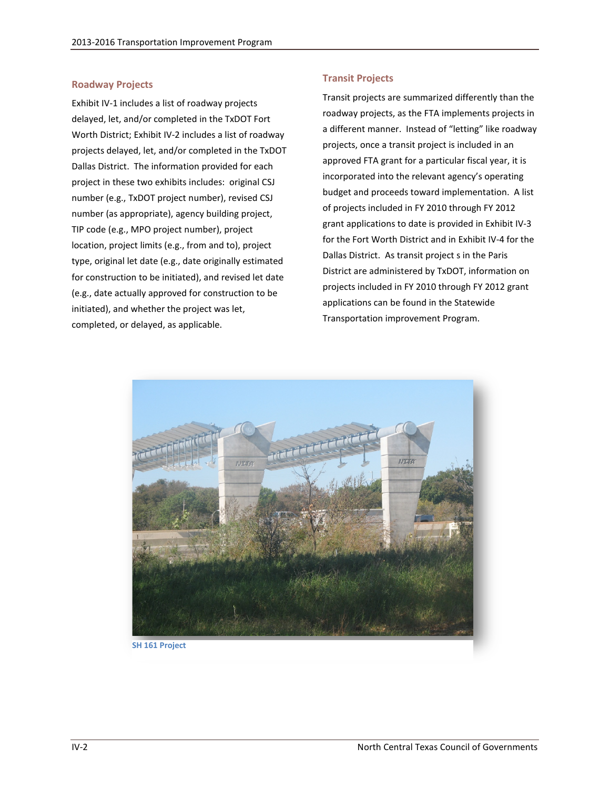#### **Roadway Projects**

Exhibit IV-1 includes a list of roadway projects delayed, let, and/or completed in the TxDOT Fort Worth District; Exhibit IV-2 includes a list of roadway projects delayed, let, and/or completed in the TxDOT Dallas District. The information provided for each project in these two exhibits includes: original CSJ number (e.g., TxDOT project number), revised CSJ number (as appropriate), agency building project, TIP code (e.g., MPO project number), project location, project limits (e.g., from and to), project type, original let date (e.g., date originally estimated for construction to be initiated), and revised let date (e.g., date actually approved for construction to be initiated), and whether the project was let, completed, or delayed, as applicable.

#### **Transit Projects**

Transit projects are summarized differently than the roadway projects, as the FTA implements projects in a different manner. Instead of "letting" like roadway projects, once a transit project is included in an approved FTA grant for a particular fiscal year, it is incorporated into the relevant agency's operating budget and proceeds toward implementation. A list of projects included in FY 2010 through FY 2012 grant applications to date is provided in Exhibit IV-3 for the Fort Worth District and in Exhibit IV-4 for the Dallas District. As transit project s in the Paris District are administered by TxDOT, information on projects included in FY 2010 through FY 2012 grant applications can be found in the Statewide Transportation improvement Program.



**SH 161 Project**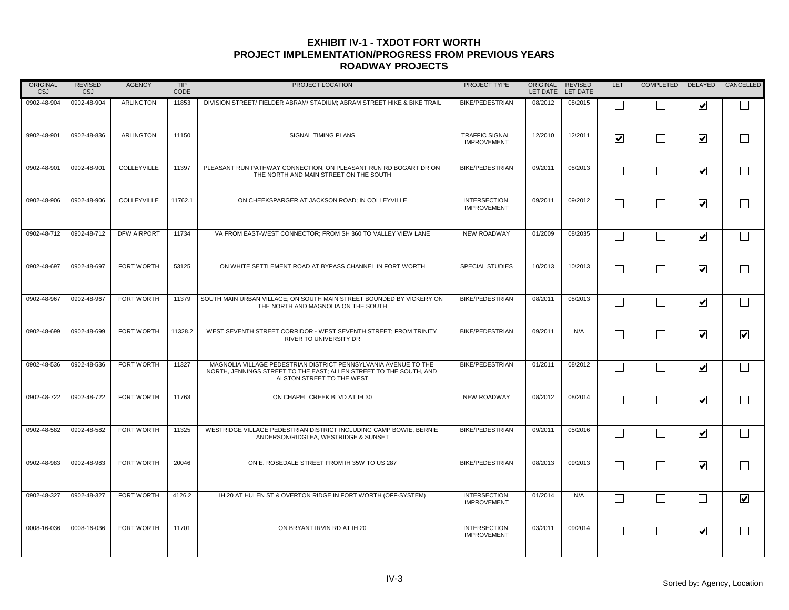| <b>ORIGINAL</b><br>CSJ | <b>REVISED</b><br>CSJ | <b>AGENCY</b>     | <b>TIP</b><br>CODE | PROJECT LOCATION                                                                                                                                                   | PROJECT TYPE                                | <b>ORIGINAL</b><br>LET DATE | <b>REVISED</b><br>LET DATE | <b>LET</b>              | COMPLETED DELAYED |                         | CANCELLED               |
|------------------------|-----------------------|-------------------|--------------------|--------------------------------------------------------------------------------------------------------------------------------------------------------------------|---------------------------------------------|-----------------------------|----------------------------|-------------------------|-------------------|-------------------------|-------------------------|
| 0902-48-904            | 0902-48-904           | <b>ARLINGTON</b>  | 11853              | DIVISION STREET/ FIELDER ABRAM/ STADIUM: ABRAM STREET HIKE & BIKE TRAIL                                                                                            | <b>BIKE/PEDESTRIAN</b>                      | 08/2012                     | 08/2015                    |                         |                   | $\blacktriangledown$    |                         |
| 9902-48-901            | 0902-48-836           | <b>ARLINGTON</b>  | 11150              | SIGNAL TIMING PLANS                                                                                                                                                | <b>TRAFFIC SIGNAL</b><br><b>IMPROVEMENT</b> | 12/2010                     | 12/2011                    | $\overline{\mathbf{v}}$ | $\Box$            | $\blacktriangledown$    |                         |
| 0902-48-901            | 0902-48-901           | COLLEYVILLE       | 11397              | PLEASANT RUN PATHWAY CONNECTION; ON PLEASANT RUN RD BOGART DR ON<br>THE NORTH AND MAIN STREET ON THE SOUTH                                                         | <b>BIKE/PEDESTRIAN</b>                      | 09/2011                     | 08/2013                    | $\Box$                  | $\Box$            | $\blacktriangledown$    |                         |
| 0902-48-906            | 0902-48-906           | COLLEYVILLE       | 11762.1            | ON CHEEKSPARGER AT JACKSON ROAD; IN COLLEYVILLE                                                                                                                    | <b>INTERSECTION</b><br><b>IMPROVEMENT</b>   | 09/2011                     | 09/2012                    |                         | $\vert \ \ \vert$ | $\blacktriangledown$    |                         |
| 0902-48-712            | 0902-48-712           | DFW AIRPORT       | 11734              | VA FROM EAST-WEST CONNECTOR: FROM SH 360 TO VALLEY VIEW LANE                                                                                                       | <b>NEW ROADWAY</b>                          | 01/2009                     | 08/2035                    | П                       | П                 | $\blacktriangledown$    |                         |
| 0902-48-697            | 0902-48-697           | <b>FORT WORTH</b> | 53125              | ON WHITE SETTLEMENT ROAD AT BYPASS CHANNEL IN FORT WORTH                                                                                                           | <b>SPECIAL STUDIES</b>                      | 10/2013                     | 10/2013                    | $\Box$                  | П                 | $\blacktriangledown$    |                         |
| 0902-48-967            | 0902-48-967           | <b>FORT WORTH</b> | 11379              | SOUTH MAIN URBAN VILLAGE: ON SOUTH MAIN STREET BOUNDED BY VICKERY ON<br>THE NORTH AND MAGNOLIA ON THE SOUTH                                                        | <b>BIKE/PEDESTRIAN</b>                      | 08/2011                     | 08/2013                    | П                       | $\Box$            | $\blacktriangledown$    |                         |
| 0902-48-699            | 0902-48-699           | FORT WORTH        | 11328.2            | WEST SEVENTH STREET CORRIDOR - WEST SEVENTH STREET; FROM TRINITY<br><b>RIVER TO UNIVERSITY DR</b>                                                                  | <b>BIKE/PEDESTRIAN</b>                      | 09/2011                     | N/A                        |                         |                   | $\blacktriangledown$    | $\overline{\mathbf{v}}$ |
| 0902-48-536            | 0902-48-536           | <b>FORT WORTH</b> | 11327              | MAGNOLIA VILLAGE PEDESTRIAN DISTRICT PENNSYLVANIA AVENUE TO THE<br>NORTH, JENNINGS STREET TO THE EAST; ALLEN STREET TO THE SOUTH, AND<br>ALSTON STREET TO THE WEST | <b>BIKE/PEDESTRIAN</b>                      | 01/2011                     | 08/2012                    |                         |                   | $\blacktriangledown$    |                         |
| 0902-48-722            | 0902-48-722           | FORT WORTH        | 11763              | ON CHAPEL CREEK BLVD AT IH 30                                                                                                                                      | <b>NEW ROADWAY</b>                          | 08/2012                     | 08/2014                    | L.                      | $\vert \ \ \vert$ | $\blacktriangledown$    |                         |
| 0902-48-582            | 0902-48-582           | <b>FORT WORTH</b> | 11325              | WESTRIDGE VILLAGE PEDESTRIAN DISTRICT INCLUDING CAMP BOWIE, BERNIE<br>ANDERSON/RIDGLEA, WESTRIDGE & SUNSET                                                         | <b>BIKE/PEDESTRIAN</b>                      | 09/2011                     | 05/2016                    | Г                       | $\Box$            | $\blacktriangledown$    |                         |
| 0902-48-983            | 0902-48-983           | <b>FORT WORTH</b> | 20046              | ON E. ROSEDALE STREET FROM IH 35W TO US 287                                                                                                                        | <b>BIKE/PEDESTRIAN</b>                      | 08/2013                     | 09/2013                    | Г                       | $\vert \ \ \vert$ | $\blacktriangledown$    |                         |
| 0902-48-327            | 0902-48-327           | <b>FORT WORTH</b> | 4126.2             | IH 20 AT HULEN ST & OVERTON RIDGE IN FORT WORTH (OFF-SYSTEM)                                                                                                       | <b>INTERSECTION</b><br><b>IMPROVEMENT</b>   | 01/2014                     | N/A                        | L                       | $\vert \ \ \vert$ | $\mathbf{I}$            | $\blacktriangledown$    |
| 0008-16-036            | 0008-16-036           | FORT WORTH        | 11701              | ON BRYANT IRVIN RD AT IH 20                                                                                                                                        | <b>INTERSECTION</b><br><b>IMPROVEMENT</b>   | 03/2011                     | 09/2014                    | $\Box$                  | $\Box$            | $\overline{\mathbf{v}}$ |                         |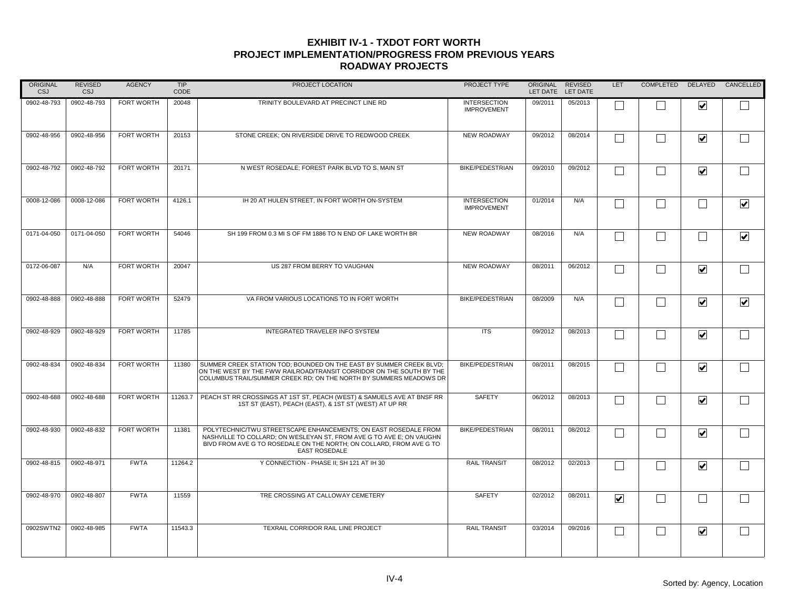| <b>ORIGINAL</b><br>CSJ | <b>REVISED</b><br>CSJ | <b>AGENCY</b>     | <b>TIP</b><br>CODE | PROJECT LOCATION                                                                                                                                                                                                                       | PROJECT TYPE                              | <b>ORIGINAL</b><br>LET DATE | <b>REVISED</b><br>LET DATE | <b>LET</b>              | COMPLETED DELAYED |                         | CANCELLED               |
|------------------------|-----------------------|-------------------|--------------------|----------------------------------------------------------------------------------------------------------------------------------------------------------------------------------------------------------------------------------------|-------------------------------------------|-----------------------------|----------------------------|-------------------------|-------------------|-------------------------|-------------------------|
| 0902-48-793            | 0902-48-793           | <b>FORT WORTH</b> | 20048              | TRINITY BOULEVARD AT PRECINCT LINE RD                                                                                                                                                                                                  | <b>INTERSECTION</b><br><b>IMPROVEMENT</b> | 09/2011                     | 05/2013                    |                         |                   | $\overline{\mathbf{v}}$ |                         |
| 0902-48-956            | 0902-48-956           | FORT WORTH        | 20153              | STONE CREEK; ON RIVERSIDE DRIVE TO REDWOOD CREEK                                                                                                                                                                                       | <b>NEW ROADWAY</b>                        | 09/2012                     | 08/2014                    | L                       | $\vert \ \ \vert$ | $\blacktriangledown$    |                         |
| 0902-48-792            | 0902-48-792           | <b>FORT WORTH</b> | 20171              | N WEST ROSEDALE; FOREST PARK BLVD TO S. MAIN ST                                                                                                                                                                                        | <b>BIKE/PEDESTRIAN</b>                    | 09/2010                     | 09/2012                    | Г                       | $\Box$            | $\blacktriangledown$    |                         |
| 0008-12-086            | 0008-12-086           | FORT WORTH        | 4126.1             | IH 20 AT HULEN STREET, IN FORT WORTH ON-SYSTEM                                                                                                                                                                                         | <b>INTERSECTION</b><br><b>IMPROVEMENT</b> | 01/2014                     | N/A                        | Г                       | $\Box$            | Г                       | $\overline{\mathbf{v}}$ |
| 0171-04-050            | 0171-04-050           | <b>FORT WORTH</b> | 54046              | SH 199 FROM 0.3 MI S OF FM 1886 TO N END OF LAKE WORTH BR                                                                                                                                                                              | <b>NEW ROADWAY</b>                        | 08/2016                     | N/A                        | $\mathbf{L}$            | $\Box$            | $\mathbf{L}$            | $\overline{\mathbf{v}}$ |
| 0172-06-087            | N/A                   | <b>FORT WORTH</b> | 20047              | US 287 FROM BERRY TO VAUGHAN                                                                                                                                                                                                           | <b>NEW ROADWAY</b>                        | 08/2011                     | 06/2012                    | L.                      | $\vert \ \ \vert$ | $\overline{\mathbf{v}}$ |                         |
| 0902-48-888            | 0902-48-888           | <b>FORT WORTH</b> | 52479              | VA FROM VARIOUS LOCATIONS TO IN FORT WORTH                                                                                                                                                                                             | <b>BIKE/PEDESTRIAN</b>                    | 08/2009                     | N/A                        | П                       | П                 | $\blacktriangledown$    | $\blacktriangledown$    |
| 0902-48-929            | 0902-48-929           | <b>FORT WORTH</b> | 11785              | INTEGRATED TRAVELER INFO SYSTEM                                                                                                                                                                                                        | <b>ITS</b>                                | 09/2012                     | 08/2013                    |                         |                   | $\blacktriangledown$    |                         |
| 0902-48-834            | 0902-48-834           | FORT WORTH        | 11380              | SUMMER CREEK STATION TOD; BOUNDED ON THE EAST BY SUMMER CREEK BLVD;<br>ON THE WEST BY THE FWW RAILROAD/TRANSIT CORRIDOR ON THE SOUTH BY THE<br>COLUMBUS TRAIL/SUMMER CREEK RD; ON THE NORTH BY SUMMERS MEADOWS DR                      | <b>BIKE/PEDESTRIAN</b>                    | 08/2011                     | 08/2015                    |                         |                   | $\blacktriangledown$    |                         |
| 0902-48-688            | 0902-48-688           | <b>FORT WORTH</b> | 11263.7            | PEACH ST RR CROSSINGS AT 1ST ST, PEACH (WEST) & SAMUELS AVE AT BNSF RR<br>1ST ST (EAST), PEACH (EAST), & 1ST ST (WEST) AT UP RR                                                                                                        | <b>SAFETY</b>                             | 06/2012                     | 08/2013                    |                         |                   | $\overline{\mathbf{v}}$ |                         |
| 0902-48-930            | 0902-48-832           | <b>FORT WORTH</b> | 11381              | POLYTECHNIC/TWU STREETSCAPE ENHANCEMENTS: ON EAST ROSEDALE FROM<br>NASHVILLE TO COLLARD; ON WESLEYAN ST, FROM AVE G TO AVE E; ON VAUGHN<br>BIVD FROM AVE G TO ROSEDALE ON THE NORTH; ON COLLARD, FROM AVE G TO<br><b>EAST ROSEDALE</b> | <b>BIKE/PEDESTRIAN</b>                    | 08/2011                     | 08/2012                    | Г                       | $\vert \ \ \vert$ | $\blacktriangledown$    |                         |
| 0902-48-815            | 0902-48-971           | <b>FWTA</b>       | 11264.2            | Y CONNECTION - PHASE II; SH 121 AT IH 30                                                                                                                                                                                               | <b>RAIL TRANSIT</b>                       | 08/2012                     | 02/2013                    | Г                       | $\vert \ \ \vert$ | $\blacktriangledown$    |                         |
| 0902-48-970            | 0902-48-807           | <b>FWTA</b>       | 11559              | TRE CROSSING AT CALLOWAY CEMETERY                                                                                                                                                                                                      | <b>SAFETY</b>                             | 02/2012                     | 08/2011                    | $\overline{\mathbf{v}}$ |                   |                         |                         |
| 0902SWTN2              | 0902-48-985           | <b>FWTA</b>       | 11543.3            | TEXRAIL CORRIDOR RAIL LINE PROJECT                                                                                                                                                                                                     | <b>RAIL TRANSIT</b>                       | 03/2014                     | 09/2016                    | П                       | $\Box$            | $\overline{\mathbf{v}}$ |                         |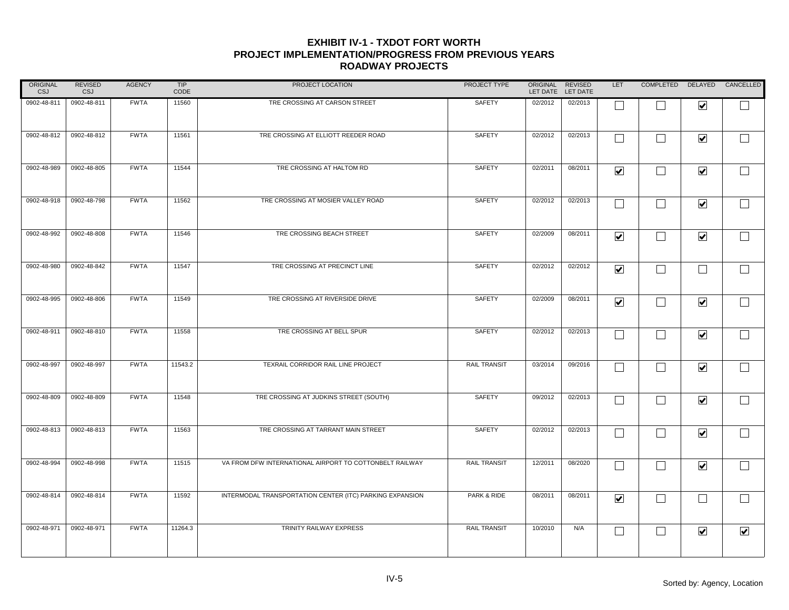| ORIGINAL<br>CSJ | <b>REVISED</b><br>CSJ | <b>AGENCY</b> | TIP<br>CODE | PROJECT LOCATION                                         | PROJECT TYPE        | ORIGINAL<br>LET DATE | <b>REVISED</b><br>LET DATE | <b>LET</b>              | COMPLETED DELAYED CANCELLED |                      |                          |
|-----------------|-----------------------|---------------|-------------|----------------------------------------------------------|---------------------|----------------------|----------------------------|-------------------------|-----------------------------|----------------------|--------------------------|
| 0902-48-811     | 0902-48-811           | <b>FWTA</b>   | 11560       | TRE CROSSING AT CARSON STREET                            | SAFETY              | 02/2012              | 02/2013                    |                         |                             | $\blacktriangledown$ |                          |
| 0902-48-812     | 0902-48-812           | <b>FWTA</b>   | 11561       | TRE CROSSING AT ELLIOTT REEDER ROAD                      | SAFETY              | 02/2012              | 02/2013                    | $\Box$                  | $\Box$                      | $\blacktriangledown$ | $\Box$                   |
| 0902-48-989     | 0902-48-805           | <b>FWTA</b>   | 11544       | TRE CROSSING AT HALTOM RD                                | SAFETY              | 02/2011              | 08/2011                    | $\blacktriangledown$    | $\Box$                      | $\blacktriangledown$ | $\Box$                   |
| 0902-48-918     | 0902-48-798           | <b>FWTA</b>   | 11562       | TRE CROSSING AT MOSIER VALLEY ROAD                       | SAFETY              | 02/2012              | 02/2013                    | $\Box$                  | $\Box$                      | $\blacktriangledown$ | $\Box$                   |
| 0902-48-992     | 0902-48-808           | <b>FWTA</b>   | 11546       | TRE CROSSING BEACH STREET                                | SAFETY              | 02/2009              | 08/2011                    | $\overline{\mathbf{v}}$ | $\Box$                      | $\blacktriangledown$ | $\Box$                   |
| 0902-48-980     | 0902-48-842           | <b>FWTA</b>   | 11547       | TRE CROSSING AT PRECINCT LINE                            | SAFETY              | 02/2012              | 02/2012                    | $\blacktriangledown$    | $\Box$                      | $\Box$               | $\Box$                   |
| 0902-48-995     | 0902-48-806           | <b>FWTA</b>   | 11549       | TRE CROSSING AT RIVERSIDE DRIVE                          | SAFETY              | 02/2009              | 08/2011                    | $\overline{\mathbf{v}}$ | $\Box$                      | $\blacktriangledown$ | $\overline{\phantom{0}}$ |
| 0902-48-911     | 0902-48-810           | <b>FWTA</b>   | 11558       | TRE CROSSING AT BELL SPUR                                | SAFETY              | 02/2012              | 02/2013                    | $\Box$                  | $\Box$                      | $\blacktriangledown$ | $\Box$                   |
| 0902-48-997     | 0902-48-997           | <b>FWTA</b>   | 11543.2     | TEXRAIL CORRIDOR RAIL LINE PROJECT                       | <b>RAIL TRANSIT</b> | 03/2014              | 09/2016                    | П                       | $\Box$                      | $\blacktriangledown$ | $\Box$                   |
| 0902-48-809     | 0902-48-809           | <b>FWTA</b>   | 11548       | TRE CROSSING AT JUDKINS STREET (SOUTH)                   | SAFETY              | 09/2012              | 02/2013                    | $\Box$                  | $\Box$                      | $\blacktriangledown$ | $\Box$                   |
| 0902-48-813     | 0902-48-813           | <b>FWTA</b>   | 11563       | TRE CROSSING AT TARRANT MAIN STREET                      | SAFETY              | 02/2012              | 02/2013                    | $\Box$                  | $\Box$                      | $\blacktriangledown$ | $\Box$                   |
| 0902-48-994     | 0902-48-998           | <b>FWTA</b>   | 11515       | VA FROM DFW INTERNATIONAL AIRPORT TO COTTONBELT RAILWAY  | <b>RAIL TRANSIT</b> | 12/2011              | 08/2020                    | $\Box$                  | $\Box$                      | $\blacktriangledown$ | $\Box$                   |
| 0902-48-814     | 0902-48-814           | <b>FWTA</b>   | 11592       | INTERMODAL TRANSPORTATION CENTER (ITC) PARKING EXPANSION | PARK & RIDE         | 08/2011              | 08/2011                    | $\overline{\mathbf{v}}$ | $\Box$                      | $\Box$               | $\Box$                   |
| 0902-48-971     | 0902-48-971           | <b>FWTA</b>   | 11264.3     | TRINITY RAILWAY EXPRESS                                  | <b>RAIL TRANSIT</b> | 10/2010              | N/A                        | $\Box$                  | $\Box$                      | $\blacktriangledown$ | $\overline{\mathbf{v}}$  |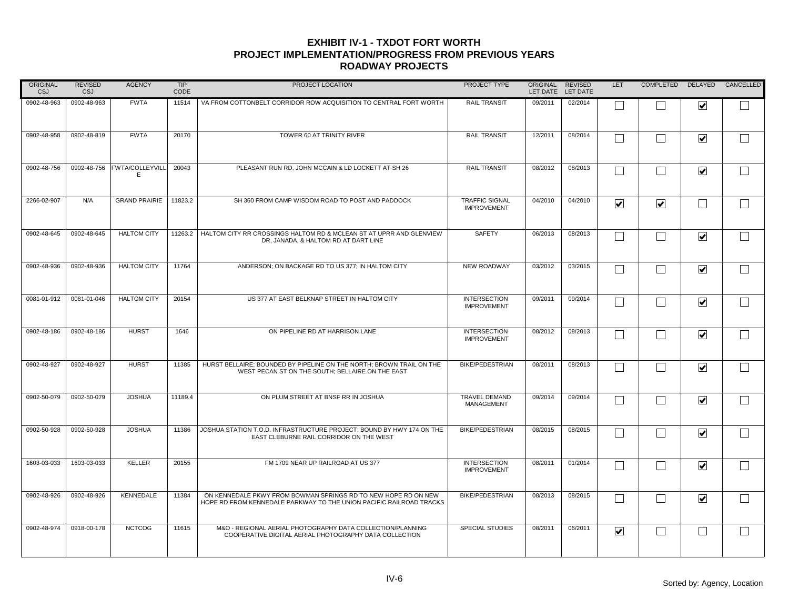| <b>ORIGINAL</b><br>CSJ | <b>REVISED</b><br>CSJ | <b>AGENCY</b>        | <b>TIP</b><br>CODE | PROJECT LOCATION                                                                                                                      | PROJECT TYPE                                | <b>ORIGINAL</b><br>LET DATE | <b>REVISED</b><br>LET DATE | LET                  | COMPLETED DELAYED           |                         | CANCELLED |
|------------------------|-----------------------|----------------------|--------------------|---------------------------------------------------------------------------------------------------------------------------------------|---------------------------------------------|-----------------------------|----------------------------|----------------------|-----------------------------|-------------------------|-----------|
| 0902-48-963            | 0902-48-963           | <b>FWTA</b>          | 11514              | VA FROM COTTONBELT CORRIDOR ROW ACQUISITION TO CENTRAL FORT WORTH                                                                     | <b>RAIL TRANSIT</b>                         | 09/2011                     | 02/2014                    |                      |                             | $\blacktriangledown$    |           |
| 0902-48-958            | 0902-48-819           | <b>FWTA</b>          | 20170              | TOWER 60 AT TRINITY RIVER                                                                                                             | <b>RAIL TRANSIT</b>                         | 12/2011                     | 08/2014                    | Γ                    | $\mathcal{L}_{\mathcal{A}}$ | $\blacktriangledown$    |           |
| 0902-48-756            | 0902-48-756           | FWTA/COLLEYVILL<br>Е | 20043              | PLEASANT RUN RD, JOHN MCCAIN & LD LOCKETT AT SH 26                                                                                    | <b>RAIL TRANSIT</b>                         | 08/2012                     | 08/2013                    | $\Box$               | $\Box$                      | $\overline{\mathbf{v}}$ |           |
| 2266-02-907            | N/A                   | <b>GRAND PRAIRIE</b> | 11823.2            | SH 360 FROM CAMP WISDOM ROAD TO POST AND PADDOCK                                                                                      | <b>TRAFFIC SIGNAL</b><br><b>IMPROVEMENT</b> | 04/2010                     | 04/2010                    | $\blacktriangledown$ | $\blacktriangledown$        |                         |           |
| 0902-48-645            | 0902-48-645           | <b>HALTOM CITY</b>   | 11263.2            | HALTOM CITY RR CROSSINGS HALTOM RD & MCLEAN ST AT UPRR AND GLENVIEW<br>DR, JANADA, & HALTOM RD AT DART LINE                           | <b>SAFETY</b>                               | 06/2013                     | 08/2013                    | П                    | $\overline{\phantom{0}}$    | $\blacktriangledown$    |           |
| 0902-48-936            | 0902-48-936           | <b>HALTOM CITY</b>   | 11764              | ANDERSON; ON BACKAGE RD TO US 377; IN HALTOM CITY                                                                                     | <b>NEW ROADWAY</b>                          | 03/2012                     | 03/2015                    | П                    | $\Box$                      | $\blacktriangledown$    |           |
| 0081-01-912            | 0081-01-046           | <b>HALTOM CITY</b>   | 20154              | US 377 AT EAST BELKNAP STREET IN HALTOM CITY                                                                                          | <b>INTERSECTION</b><br><b>IMPROVEMENT</b>   | 09/2011                     | 09/2014                    | Г                    | $\Box$                      | $\blacktriangledown$    |           |
| 0902-48-186            | 0902-48-186           | <b>HURST</b>         | 1646               | ON PIPELINE RD AT HARRISON LANE                                                                                                       | <b>INTERSECTION</b><br><b>IMPROVEMENT</b>   | 08/2012                     | 08/2013                    |                      |                             | $\blacktriangledown$    |           |
| 0902-48-927            | 0902-48-927           | <b>HURST</b>         | 11385              | HURST BELLAIRE: BOUNDED BY PIPELINE ON THE NORTH: BROWN TRAIL ON THE<br>WEST PECAN ST ON THE SOUTH; BELLAIRE ON THE EAST              | <b>BIKE/PEDESTRIAN</b>                      | 08/2011                     | 08/2013                    | Г                    | L                           | $\blacktriangledown$    |           |
| 0902-50-079            | 0902-50-079           | <b>JOSHUA</b>        | 11189.4            | ON PLUM STREET AT BNSF RR IN JOSHUA                                                                                                   | <b>TRAVEL DEMAND</b><br><b>MANAGEMENT</b>   | 09/2014                     | 09/2014                    | L                    | L.                          | $\blacktriangledown$    |           |
| 0902-50-928            | 0902-50-928           | <b>JOSHUA</b>        | 11386              | JOSHUA STATION T.O.D. INFRASTRUCTURE PROJECT; BOUND BY HWY 174 ON THE<br>EAST CLEBURNE RAIL CORRIDOR ON THE WEST                      | <b>BIKE/PEDESTRIAN</b>                      | 08/2015                     | 08/2015                    | П                    | <b>College</b>              | $\blacktriangledown$    |           |
| 1603-03-033            | 1603-03-033           | <b>KELLER</b>        | 20155              | FM 1709 NEAR UP RAILROAD AT US 377                                                                                                    | <b>INTERSECTION</b><br><b>IMPROVEMENT</b>   | 08/2011                     | 01/2014                    | Г                    |                             | $\blacktriangledown$    |           |
| 0902-48-926            | 0902-48-926           | <b>KENNEDALE</b>     | 11384              | ON KENNEDALE PKWY FROM BOWMAN SPRINGS RD TO NEW HOPE RD ON NEW<br>HOPE RD FROM KENNEDALE PARKWAY TO THE UNION PACIFIC RAILROAD TRACKS | <b>BIKE/PEDESTRIAN</b>                      | 08/2013                     | 08/2015                    | $\mathbf{L}$         |                             | $\blacktriangledown$    |           |
| 0902-48-974            | 0918-00-178           | <b>NCTCOG</b>        | 11615              | M&O - REGIONAL AERIAL PHOTOGRAPHY DATA COLLECTION/PLANNING<br>COOPERATIVE DIGITAL AERIAL PHOTOGRAPHY DATA COLLECTION                  | <b>SPECIAL STUDIES</b>                      | 08/2011                     | 06/2011                    | $\blacktriangledown$ | $\overline{\phantom{0}}$    | $\Box$                  |           |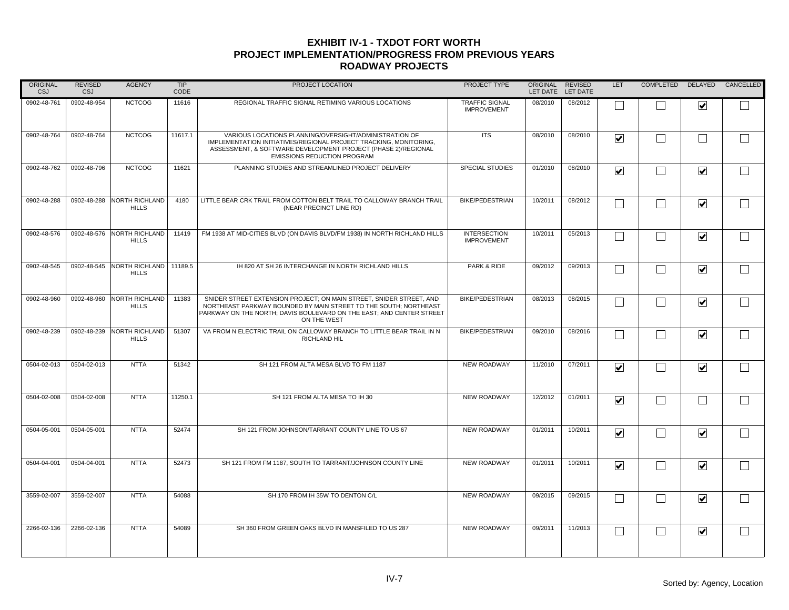| ORIGINAL<br>CSJ | <b>REVISED</b><br>CSJ | <b>AGENCY</b>                          | TIP<br>CODE | PROJECT LOCATION                                                                                                                                                                                                                   | PROJECT TYPE                                | <b>ORIGINAL</b><br>LET DATE | <b>REVISED</b><br>LET DATE | LET                             | COMPLETED DELAYED        |                         | CANCELLED |
|-----------------|-----------------------|----------------------------------------|-------------|------------------------------------------------------------------------------------------------------------------------------------------------------------------------------------------------------------------------------------|---------------------------------------------|-----------------------------|----------------------------|---------------------------------|--------------------------|-------------------------|-----------|
| 0902-48-761     | 0902-48-954           | <b>NCTCOG</b>                          | 11616       | REGIONAL TRAFFIC SIGNAL RETIMING VARIOUS LOCATIONS                                                                                                                                                                                 | <b>TRAFFIC SIGNAL</b><br><b>IMPROVEMENT</b> | 08/2010                     | 08/2012                    |                                 |                          | $\blacktriangledown$    |           |
| 0902-48-764     | 0902-48-764           | <b>NCTCOG</b>                          | 11617.1     | VARIOUS LOCATIONS PLANNING/OVERSIGHT/ADMINISTRATION OF<br>IMPLEMENTATION INITIATIVES/REGIONAL PROJECT TRACKING, MONITORING,<br>ASSESSMENT, & SOFTWARE DEVELOPMENT PROJECT (PHASE 2)/REGIONAL<br><b>EMISSIONS REDUCTION PROGRAM</b> | <b>ITS</b>                                  | 08/2010                     | 08/2010                    | $\overline{\mathbf{v}}$         | $\Box$                   | П                       |           |
| 0902-48-762     | 0902-48-796           | <b>NCTCOG</b>                          | 11621       | PLANNING STUDIES AND STREAMLINED PROJECT DELIVERY                                                                                                                                                                                  | <b>SPECIAL STUDIES</b>                      | 01/2010                     | 08/2010                    | $\overline{\mathbf{v}}$         | $\Box$                   | $\blacktriangledown$    |           |
| 0902-48-288     | 0902-48-288           | NORTH RICHLAND<br><b>HILLS</b>         | 4180        | LITTLE BEAR CRK TRAIL FROM COTTON BELT TRAIL TO CALLOWAY BRANCH TRAIL<br>(NEAR PRECINCT LINE RD)                                                                                                                                   | <b>BIKE/PEDESTRIAN</b>                      | 10/2011                     | 08/2012                    | Г                               | $\mathbf{I}$             | $\blacktriangledown$    |           |
| 0902-48-576     | 0902-48-576           | NORTH RICHLAND<br><b>HILLS</b>         | 11419       | FM 1938 AT MID-CITIES BLVD (ON DAVIS BLVD/FM 1938) IN NORTH RICHLAND HILLS                                                                                                                                                         | <b>INTERSECTION</b><br><b>IMPROVEMENT</b>   | 10/2011                     | 05/2013                    | $\mathbf{L}$                    | $\overline{\phantom{0}}$ | $\blacktriangledown$    |           |
| 0902-48-545     | 0902-48-545           | NORTH RICHLAND 11189.5<br><b>HILLS</b> |             | IH 820 AT SH 26 INTERCHANGE IN NORTH RICHLAND HILLS                                                                                                                                                                                | PARK & RIDE                                 | 09/2012                     | 09/2013                    | $\vert \ \ \vert$               | $\overline{\phantom{0}}$ | $\blacktriangledown$    |           |
| 0902-48-960     | 0902-48-960           | <b>NORTH RICHLAND</b><br><b>HILLS</b>  | 11383       | SNIDER STREET EXTENSION PROJECT; ON MAIN STREET, SNIDER STREET, AND<br>NORTHEAST PARKWAY BOUNDED BY MAIN STREET TO THE SOUTH; NORTHEAST<br>PARKWAY ON THE NORTH; DAVIS BOULEVARD ON THE EAST; AND CENTER STREET<br>ON THE WEST     | <b>BIKE/PEDESTRIAN</b>                      | 08/2013                     | 08/2015                    | $\Box$                          | $\Box$                   | $\blacktriangledown$    |           |
| 0902-48-239     | 0902-48-239           | NORTH RICHLAND<br><b>HILLS</b>         | 51307       | VA FROM N ELECTRIC TRAIL ON CALLOWAY BRANCH TO LITTLE BEAR TRAIL IN N<br><b>RICHLAND HIL</b>                                                                                                                                       | <b>BIKE/PEDESTRIAN</b>                      | 09/2010                     | 08/2016                    | $\Box$                          | $\Box$                   | $\blacktriangledown$    |           |
| 0504-02-013     | 0504-02-013           | <b>NTTA</b>                            | 51342       | SH 121 FROM ALTA MESA BLVD TO FM 1187                                                                                                                                                                                              | <b>NEW ROADWAY</b>                          | 11/2010                     | 07/2011                    | $\overline{\mathbf{v}}$         |                          | $\blacktriangledown$    |           |
| 0504-02-008     | 0504-02-008           | <b>NTTA</b>                            | 11250.1     | SH 121 FROM ALTA MESA TO IH 30                                                                                                                                                                                                     | <b>NEW ROADWAY</b>                          | 12/2012                     | 01/2011                    | $\overline{\mathbf{v}}$         |                          |                         |           |
| 0504-05-001     | 0504-05-001           | <b>NTTA</b>                            | 52474       | SH 121 FROM JOHNSON/TARRANT COUNTY LINE TO US 67                                                                                                                                                                                   | <b>NEW ROADWAY</b>                          | 01/2011                     | 10/2011                    | $\overline{\mathbf{v}}$         | M                        | $\blacktriangledown$    |           |
| 0504-04-001     | 0504-04-001           | <b>NTTA</b>                            | 52473       | SH 121 FROM FM 1187, SOUTH TO TARRANT/JOHNSON COUNTY LINE                                                                                                                                                                          | <b>NEW ROADWAY</b>                          | 01/2011                     | 10/2011                    | $\overline{\blacktriangledown}$ | $\overline{\phantom{0}}$ | $\blacktriangledown$    |           |
| 3559-02-007     | 3559-02-007           | <b>NTTA</b>                            | 54088       | SH 170 FROM IH 35W TO DENTON C/L                                                                                                                                                                                                   | <b>NEW ROADWAY</b>                          | 09/2015                     | 09/2015                    | Г                               |                          | $\blacktriangledown$    |           |
| 2266-02-136     | 2266-02-136           | <b>NTTA</b>                            | 54089       | SH 360 FROM GREEN OAKS BLVD IN MANSFILED TO US 287                                                                                                                                                                                 | <b>NEW ROADWAY</b>                          | 09/2011                     | 11/2013                    | П                               | $\mathbf{L}$             | $\overline{\mathbf{v}}$ |           |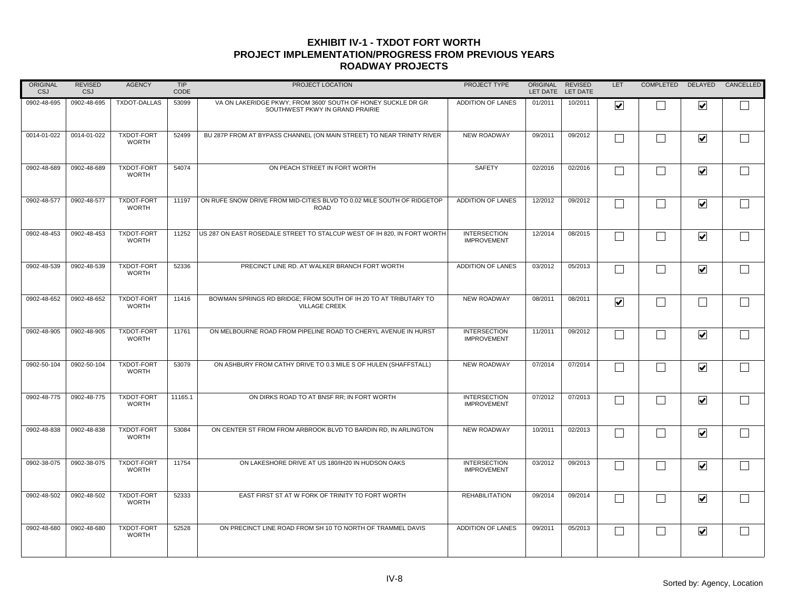| ORIGINAL<br><b>CSJ</b> | <b>REVISED</b><br><b>CSJ</b> | <b>AGENCY</b>                     | TIP<br>CODE | PROJECT LOCATION                                                                                | PROJECT TYPE                              | ORIGINAL<br>LET DATE | <b>REVISED</b><br>LET DATE | LET                     | <b>COMPLETED</b>  | DELAYED                         | CANCELLED    |
|------------------------|------------------------------|-----------------------------------|-------------|-------------------------------------------------------------------------------------------------|-------------------------------------------|----------------------|----------------------------|-------------------------|-------------------|---------------------------------|--------------|
| 0902-48-695            | 0902-48-695                  | <b>TXDOT-DALLAS</b>               | 53099       | VA ON LAKERIDGE PKWY: FROM 3600' SOUTH OF HONEY SUCKLE DR GR<br>SOUTHWEST PKWY IN GRAND PRAIRIE | ADDITION OF LANES                         | 01/2011              | 10/2011                    | $\blacktriangledown$    |                   | $\overline{\mathbf{v}}$         |              |
| 0014-01-022            | 0014-01-022                  | <b>TXDOT-FORT</b><br><b>WORTH</b> | 52499       | BU 287P FROM AT BYPASS CHANNEL (ON MAIN STREET) TO NEAR TRINITY RIVER                           | <b>NEW ROADWAY</b>                        | 09/2011              | 09/2012                    | Г                       | $\Box$            | $\blacktriangledown$            | $\Box$       |
| 0902-48-689            | 0902-48-689                  | <b>TXDOT-FORT</b><br><b>WORTH</b> | 54074       | ON PEACH STREET IN FORT WORTH                                                                   | SAFETY                                    | 02/2016              | 02/2016                    |                         | $\Box$            | $\blacktriangledown$            | $\Box$       |
| 0902-48-577            | 0902-48-577                  | <b>TXDOT-FORT</b><br><b>WORTH</b> | 11197       | ON RUFE SNOW DRIVE FROM MID-CITIES BLVD TO 0.02 MILE SOUTH OF RIDGETOP<br><b>ROAD</b>           | <b>ADDITION OF LANES</b>                  | 12/2012              | 09/2012                    |                         | $\perp$           | $\blacktriangledown$            | $\mathbf{I}$ |
| 0902-48-453            | 0902-48-453                  | TXDOT-FORT<br><b>WORTH</b>        | 11252       | US 287 ON EAST ROSEDALE STREET TO STALCUP WEST OF IH 820, IN FORT WORTH                         | <b>INTERSECTION</b><br><b>IMPROVEMENT</b> | 12/2014              | 08/2015                    | П                       | $\vert \ \ \vert$ | $\blacktriangledown$            |              |
| 0902-48-539            | 0902-48-539                  | <b>TXDOT-FORT</b><br><b>WORTH</b> | 52336       | PRECINCT LINE RD. AT WALKER BRANCH FORT WORTH                                                   | <b>ADDITION OF LANES</b>                  | 03/2012              | 05/2013                    | П                       | $\Box$            | $\blacktriangledown$            | ┌            |
| 0902-48-652            | 0902-48-652                  | <b>TXDOT-FORT</b><br><b>WORTH</b> | 11416       | BOWMAN SPRINGS RD BRIDGE; FROM SOUTH OF IH 20 TO AT TRIBUTARY TO<br><b>VILLAGE CREEK</b>        | <b>NEW ROADWAY</b>                        | 08/2011              | 08/2011                    | $\overline{\mathbf{v}}$ | П                 | Г                               |              |
| 0902-48-905            | 0902-48-905                  | <b>TXDOT-FORT</b><br><b>WORTH</b> | 11761       | ON MELBOURNE ROAD FROM PIPELINE ROAD TO CHERYL AVENUE IN HURST                                  | <b>INTERSECTION</b><br><b>IMPROVEMENT</b> | 11/2011              | 09/2012                    |                         |                   | $\blacktriangledown$            |              |
| 0902-50-104            | 0902-50-104                  | <b>TXDOT-FORT</b><br><b>WORTH</b> | 53079       | ON ASHBURY FROM CATHY DRIVE TO 0.3 MILE S OF HULEN (SHAFFSTALL)                                 | <b>NEW ROADWAY</b>                        | 07/2014              | 07/2014                    |                         | $\Box$            | $\overline{\blacktriangledown}$ |              |
| 0902-48-775            | 0902-48-775                  | <b>TXDOT-FORT</b><br><b>WORTH</b> | 11165.1     | ON DIRKS ROAD TO AT BNSF RR: IN FORT WORTH                                                      | <b>INTERSECTION</b><br><b>IMPROVEMENT</b> | 07/2012              | 07/2013                    |                         | $\Box$            | $\blacktriangledown$            | $\Box$       |
| 0902-48-838            | 0902-48-838                  | <b>TXDOT-FORT</b><br><b>WORTH</b> | 53084       | ON CENTER ST FROM FROM ARBROOK BLVD TO BARDIN RD, IN ARLINGTON                                  | <b>NEW ROADWAY</b>                        | 10/2011              | 02/2013                    | ┌                       | $\Box$            | $\blacktriangledown$            | $\Box$       |
| 0902-38-075            | 0902-38-075                  | <b>TXDOT-FORT</b><br><b>WORTH</b> | 11754       | ON LAKESHORE DRIVE AT US 180/IH20 IN HUDSON OAKS                                                | <b>INTERSECTION</b><br><b>IMPROVEMENT</b> | 03/2012              | 09/2013                    |                         | $\Box$            | $\blacktriangledown$            |              |
| 0902-48-502            | 0902-48-502                  | <b>TXDOT-FORT</b><br><b>WORTH</b> | 52333       | EAST FIRST ST AT W FORK OF TRINITY TO FORT WORTH                                                | <b>REHABILITATION</b>                     | 09/2014              | 09/2014                    |                         | $\Box$            | $\blacktriangledown$            |              |
| 0902-48-680            | 0902-48-680                  | <b>TXDOT-FORT</b><br><b>WORTH</b> | 52528       | ON PRECINCT LINE ROAD FROM SH 10 TO NORTH OF TRAMMEL DAVIS                                      | <b>ADDITION OF LANES</b>                  | 09/2011              | 05/2013                    |                         | $\Box$            | $\blacktriangledown$            | $\Box$       |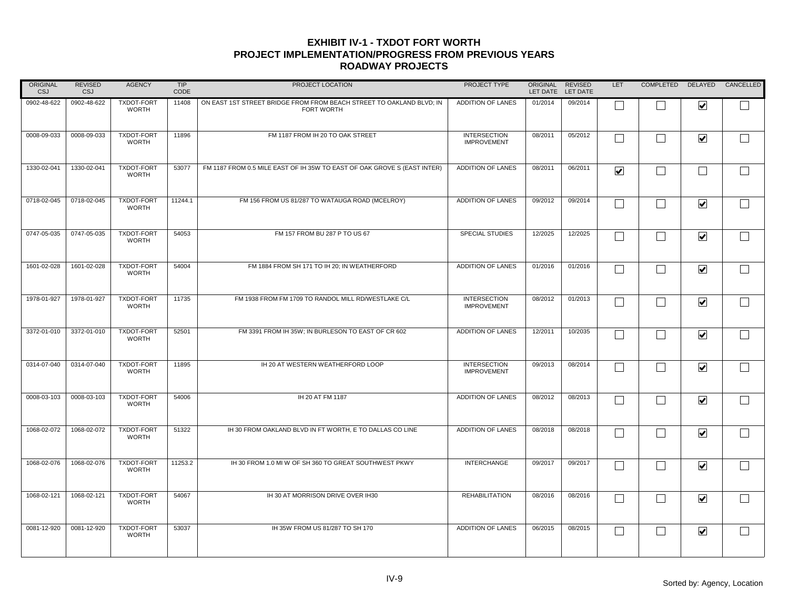| ORIGINAL<br>CSJ | <b>REVISED</b><br><b>CSJ</b> | <b>AGENCY</b>                     | TIP<br>CODE | PROJECT LOCATION                                                                          | PROJECT TYPE                              | ORIGINAL<br>LET DATE | <b>REVISED</b><br>LET DATE | <b>LET</b>           | COMPLETED DELAYED |                         | CANCELLED |
|-----------------|------------------------------|-----------------------------------|-------------|-------------------------------------------------------------------------------------------|-------------------------------------------|----------------------|----------------------------|----------------------|-------------------|-------------------------|-----------|
| 0902-48-622     | 0902-48-622                  | TXDOT-FORT<br><b>WORTH</b>        | 11408       | ON EAST 1ST STREET BRIDGE FROM FROM BEACH STREET TO OAKLAND BLVD; IN<br><b>FORT WORTH</b> | <b>ADDITION OF LANES</b>                  | 01/2014              | 09/2014                    |                      |                   | $\blacktriangledown$    |           |
| 0008-09-033     | 0008-09-033                  | <b>TXDOT-FORT</b><br><b>WORTH</b> | 11896       | FM 1187 FROM IH 20 TO OAK STREET                                                          | <b>INTERSECTION</b><br><b>IMPROVEMENT</b> | 08/2011              | 05/2012                    |                      |                   | $\blacktriangledown$    |           |
| 1330-02-041     | 1330-02-041                  | <b>TXDOT-FORT</b><br><b>WORTH</b> | 53077       | FM 1187 FROM 0.5 MILE EAST OF IH 35W TO EAST OF OAK GROVE S (EAST INTER)                  | <b>ADDITION OF LANES</b>                  | 08/2011              | 06/2011                    | $\blacktriangledown$ |                   | $\mathbf{I}$            |           |
| 0718-02-045     | 0718-02-045                  | <b>TXDOT-FORT</b><br><b>WORTH</b> | 11244.1     | FM 156 FROM US 81/287 TO WATAUGA ROAD (MCELROY)                                           | <b>ADDITION OF LANES</b>                  | 09/2012              | 09/2014                    |                      |                   | $\blacktriangledown$    |           |
| 0747-05-035     | 0747-05-035                  | TXDOT-FORT<br><b>WORTH</b>        | 54053       | FM 157 FROM BU 287 P TO US 67                                                             | SPECIAL STUDIES                           | 12/2025              | 12/2025                    | $\sim$               |                   | $\overline{\mathbf{v}}$ |           |
| 1601-02-028     | 1601-02-028                  | <b>TXDOT-FORT</b><br><b>WORTH</b> | 54004       | FM 1884 FROM SH 171 TO IH 20; IN WEATHERFORD                                              | <b>ADDITION OF LANES</b>                  | 01/2016              | 01/2016                    |                      |                   | $\blacktriangledown$    |           |
| 1978-01-927     | 1978-01-927                  | <b>TXDOT-FORT</b><br><b>WORTH</b> | 11735       | FM 1938 FROM FM 1709 TO RANDOL MILL RD/WESTLAKE C/L                                       | <b>INTERSECTION</b><br><b>IMPROVEMENT</b> | 08/2012              | 01/2013                    |                      |                   | $\overline{\mathbf{v}}$ |           |
| 3372-01-010     | 3372-01-010                  | TXDOT-FORT<br><b>WORTH</b>        | 52501       | FM 3391 FROM IH 35W; IN BURLESON TO EAST OF CR 602                                        | <b>ADDITION OF LANES</b>                  | 12/2011              | 10/2035                    |                      |                   | $\blacktriangledown$    |           |
| 0314-07-040     | 0314-07-040                  | <b>TXDOT-FORT</b><br><b>WORTH</b> | 11895       | IH 20 AT WESTERN WEATHERFORD LOOP                                                         | <b>INTERSECTION</b><br><b>IMPROVEMENT</b> | 09/2013              | 08/2014                    |                      |                   | $\overline{\mathbf{v}}$ |           |
| 0008-03-103     | 0008-03-103                  | <b>TXDOT-FORT</b><br><b>WORTH</b> | 54006       | IH 20 AT FM 1187                                                                          | <b>ADDITION OF LANES</b>                  | 08/2012              | 08/2013                    |                      |                   | $\blacktriangledown$    |           |
| 1068-02-072     | 1068-02-072                  | <b>TXDOT-FORT</b><br><b>WORTH</b> | 51322       | IH 30 FROM OAKLAND BLVD IN FT WORTH, E TO DALLAS CO LINE                                  | <b>ADDITION OF LANES</b>                  | 08/2018              | 08/2018                    |                      |                   | $\blacktriangledown$    |           |
| 1068-02-076     | 1068-02-076                  | <b>TXDOT-FORT</b><br><b>WORTH</b> | 11253.2     | IH 30 FROM 1.0 MI W OF SH 360 TO GREAT SOUTHWEST PKWY                                     | <b>INTERCHANGE</b>                        | 09/2017              | 09/2017                    |                      |                   | $\overline{\mathbf{v}}$ |           |
| 1068-02-121     | 1068-02-121                  | <b>TXDOT-FORT</b><br><b>WORTH</b> | 54067       | IH 30 AT MORRISON DRIVE OVER IH30                                                         | <b>REHABILITATION</b>                     | 08/2016              | 08/2016                    |                      |                   | $\overline{\mathbf{v}}$ |           |
| 0081-12-920     | 0081-12-920                  | <b>TXDOT-FORT</b><br><b>WORTH</b> | 53037       | IH 35W FROM US 81/287 TO SH 170                                                           | <b>ADDITION OF LANES</b>                  | 06/2015              | 08/2015                    |                      |                   | $\blacktriangledown$    |           |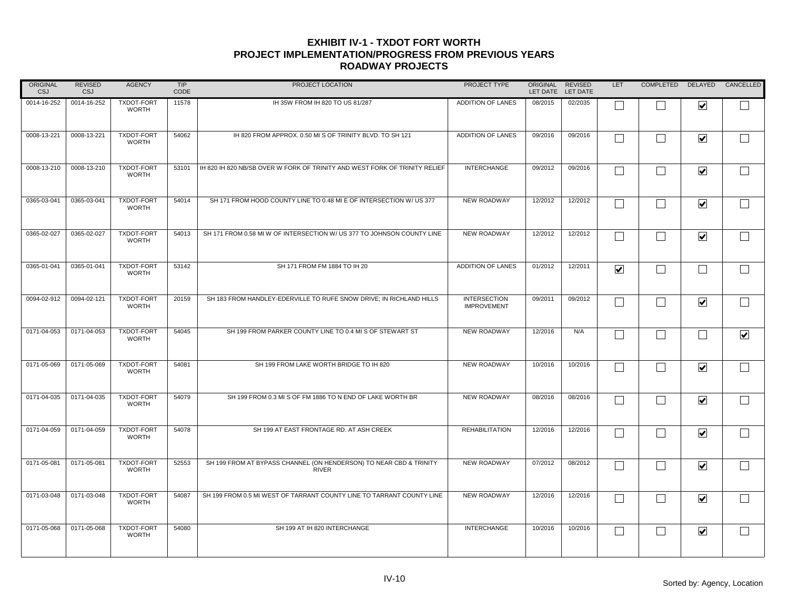| <b>ORIGINAL</b><br>CSJ | <b>REVISED</b><br>CSJ | <b>AGENCY</b>                     | <b>TIP</b><br>CODE | PROJECT LOCATION                                                                   | PROJECT TYPE                              | <b>ORIGINAL</b><br>LET DATE | <b>REVISED</b><br>LET DATE | <b>LET</b>                      | COMPLETED DELAYED |                         | CANCELLED            |
|------------------------|-----------------------|-----------------------------------|--------------------|------------------------------------------------------------------------------------|-------------------------------------------|-----------------------------|----------------------------|---------------------------------|-------------------|-------------------------|----------------------|
| 0014-16-252            | 0014-16-252           | <b>TXDOT-FORT</b><br><b>WORTH</b> | 11578              | IH 35W FROM IH 820 TO US 81/287                                                    | <b>ADDITION OF LANES</b>                  | 08/2015                     | 02/2035                    |                                 |                   | $\overline{\mathbf{v}}$ |                      |
| 0008-13-221            | 0008-13-221           | TXDOT-FORT<br><b>WORTH</b>        | 54062              | IH 820 FROM APPROX. 0.50 MI S OF TRINITY BLVD. TO SH 121                           | <b>ADDITION OF LANES</b>                  | 09/2016                     | 09/2016                    | $\Box$                          | $\perp$           | $\overline{\mathbf{v}}$ | $\Box$               |
| 0008-13-210            | 0008-13-210           | <b>TXDOT-FORT</b><br><b>WORTH</b> | 53101              | IH 820 IH 820 NB/SB OVER W FORK OF TRINITY AND WEST FORK OF TRINITY RELIEF         | <b>INTERCHANGE</b>                        | 09/2012                     | 09/2016                    | Г                               | $\Box$            | $\blacktriangledown$    | $\Box$               |
| 0365-03-041            | 0365-03-041           | <b>TXDOT-FORT</b><br><b>WORTH</b> | 54014              | SH 171 FROM HOOD COUNTY LINE TO 0.48 MI E OF INTERSECTION W/ US 377                | <b>NEW ROADWAY</b>                        | 12/2012                     | 12/2012                    | П                               | $\Box$            | $\blacktriangledown$    | $\Box$               |
| 0365-02-027            | 0365-02-027           | <b>TXDOT-FORT</b><br><b>WORTH</b> | 54013              | SH 171 FROM 0.58 MI W OF INTERSECTION W/ US 377 TO JOHNSON COUNTY LINE             | <b>NEW ROADWAY</b>                        | 12/2012                     | 12/2012                    |                                 | $\perp$           | $\blacktriangledown$    | $\Box$               |
| 0365-01-041            | 0365-01-041           | TXDOT-FORT<br><b>WORTH</b>        | 53142              | SH 171 FROM FM 1884 TO IH 20                                                       | <b>ADDITION OF LANES</b>                  | 01/2012                     | 12/2011                    | $\overline{\blacktriangledown}$ | П                 | $\Box$                  | ┌                    |
| 0094-02-912            | 0094-02-121           | <b>TXDOT-FORT</b><br><b>WORTH</b> | 20159              | SH 183 FROM HANDLEY-EDERVILLE TO RUFE SNOW DRIVE; IN RICHLAND HILLS                | <b>INTERSECTION</b><br><b>IMPROVEMENT</b> | 09/2011                     | 09/2012                    | П                               | $\Box$            | $\blacktriangledown$    | $\Box$               |
| 0171-04-053            | 0171-04-053           | <b>TXDOT-FORT</b><br><b>WORTH</b> | 54045              | SH 199 FROM PARKER COUNTY LINE TO 0.4 MI S OF STEWART ST                           | <b>NEW ROADWAY</b>                        | 12/2016                     | N/A                        |                                 | П                 | $\mathbf{I}$            | $\blacktriangledown$ |
| 0171-05-069            | 0171-05-069           | <b>TXDOT-FORT</b><br><b>WORTH</b> | 54081              | SH 199 FROM LAKE WORTH BRIDGE TO IH 820                                            | <b>NEW ROADWAY</b>                        | 10/2016                     | 10/2016                    |                                 | I.                | $\overline{\mathbf{v}}$ |                      |
| 0171-04-035            | 0171-04-035           | <b>TXDOT-FORT</b><br><b>WORTH</b> | 54079              | SH 199 FROM 0.3 MI S OF FM 1886 TO N END OF LAKE WORTH BR                          | <b>NEW ROADWAY</b>                        | 08/2016                     | 08/2016                    | $\Box$                          | $\Box$            | $\blacktriangledown$    | ┌                    |
| 0171-04-059            | 0171-04-059           | <b>TXDOT-FORT</b><br><b>WORTH</b> | 54078              | SH 199 AT EAST FRONTAGE RD. AT ASH CREEK                                           | <b>REHABILITATION</b>                     | 12/2016                     | 12/2016                    |                                 | $\Box$            | $\blacktriangledown$    | $\Box$               |
| 0171-05-081            | 0171-05-081           | <b>TXDOT-FORT</b><br><b>WORTH</b> | 52553              | SH 199 FROM AT BYPASS CHANNEL (ON HENDERSON) TO NEAR CBD & TRINITY<br><b>RIVER</b> | <b>NEW ROADWAY</b>                        | 07/2012                     | 08/2012                    |                                 | $\Box$            | $\blacktriangledown$    | $\Box$               |
| 0171-03-048            | 0171-03-048           | <b>TXDOT-FORT</b><br><b>WORTH</b> | 54087              | SH 199 FROM 0.5 MI WEST OF TARRANT COUNTY LINE TO TARRANT COUNTY LINE              | <b>NEW ROADWAY</b>                        | 12/2016                     | 12/2016                    |                                 | $\perp$           | $\blacktriangledown$    | $\Box$               |
| 0171-05-068            | 0171-05-068           | <b>TXDOT-FORT</b><br><b>WORTH</b> | 54080              | SH 199 AT IH 820 INTERCHANGE                                                       | <b>INTERCHANGE</b>                        | 10/2016                     | 10/2016                    | $\Box$                          | $\Box$            | $\blacktriangledown$    | $\Box$               |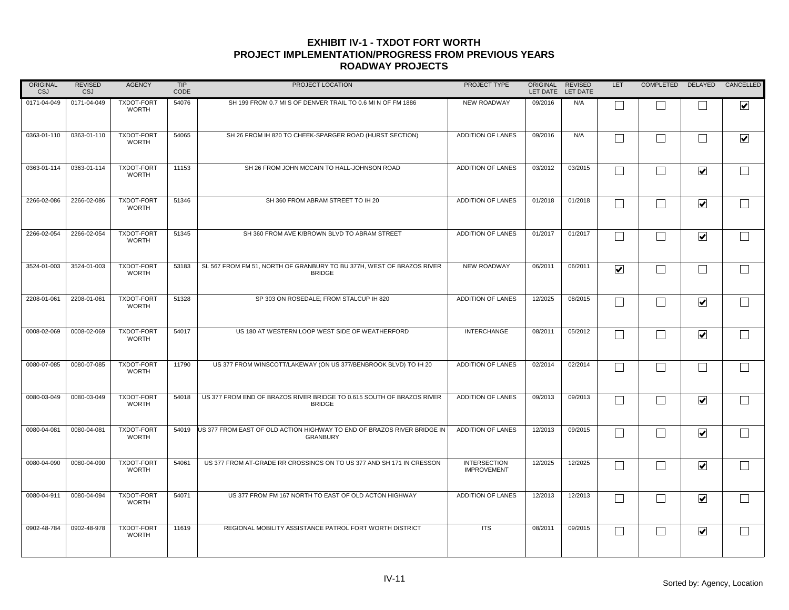| <b>ORIGINAL</b><br>CSJ | <b>REVISED</b><br>CSJ | <b>AGENCY</b>                     | TIP<br>CODE | PROJECT LOCATION                                                                           | PROJECT TYPE                              | <b>ORIGINAL</b><br>LET DATE | <b>REVISED</b><br>LET DATE | LET                             | COMPLETED         | DELAYED                 | CANCELLED               |
|------------------------|-----------------------|-----------------------------------|-------------|--------------------------------------------------------------------------------------------|-------------------------------------------|-----------------------------|----------------------------|---------------------------------|-------------------|-------------------------|-------------------------|
| 0171-04-049            | 0171-04-049           | <b>TXDOT-FORT</b><br><b>WORTH</b> | 54076       | SH 199 FROM 0.7 MI S OF DENVER TRAIL TO 0.6 MI N OF FM 1886                                | <b>NEW ROADWAY</b>                        | 09/2016                     | N/A                        |                                 |                   |                         | $\overline{\mathbf{v}}$ |
| 0363-01-110            | 0363-01-110           | TXDOT-FORT<br><b>WORTH</b>        | 54065       | SH 26 FROM IH 820 TO CHEEK-SPARGER ROAD (HURST SECTION)                                    | <b>ADDITION OF LANES</b>                  | 09/2016                     | N/A                        |                                 | $\Box$            | L.                      | $\overline{\mathbf{v}}$ |
| 0363-01-114            | 0363-01-114           | <b>TXDOT-FORT</b><br><b>WORTH</b> | 11153       | SH 26 FROM JOHN MCCAIN TO HALL-JOHNSON ROAD                                                | <b>ADDITION OF LANES</b>                  | 03/2012                     | 03/2015                    | Г                               | $\Box$            | $\blacktriangledown$    | $\Box$                  |
| 2266-02-086            | 2266-02-086           | <b>TXDOT-FORT</b><br><b>WORTH</b> | 51346       | SH 360 FROM ABRAM STREET TO IH 20                                                          | <b>ADDITION OF LANES</b>                  | 01/2018                     | 01/2018                    |                                 | $\perp$           | $\blacktriangledown$    |                         |
| 2266-02-054            | 2266-02-054           | <b>TXDOT-FORT</b><br><b>WORTH</b> | 51345       | SH 360 FROM AVE K/BROWN BLVD TO ABRAM STREET                                               | <b>ADDITION OF LANES</b>                  | 01/2017                     | 01/2017                    |                                 | $\vert \ \ \vert$ | $\blacktriangledown$    | $\Box$                  |
| 3524-01-003            | 3524-01-003           | <b>TXDOT-FORT</b><br><b>WORTH</b> | 53183       | SL 567 FROM FM 51, NORTH OF GRANBURY TO BU 377H, WEST OF BRAZOS RIVER<br><b>BRIDGE</b>     | <b>NEW ROADWAY</b>                        | 06/2011                     | 06/2011                    | $\overline{\blacktriangledown}$ | $\vert \ \ \vert$ | $\Box$                  |                         |
| 2208-01-061            | 2208-01-061           | <b>TXDOT-FORT</b><br><b>WORTH</b> | 51328       | SP 303 ON ROSEDALE; FROM STALCUP IH 820                                                    | <b>ADDITION OF LANES</b>                  | 12/2025                     | 08/2015                    | П                               | $\Box$            | $\blacktriangledown$    | $\Box$                  |
| 0008-02-069            | 0008-02-069           | TXDOT-FORT<br><b>WORTH</b>        | 54017       | US 180 AT WESTERN LOOP WEST SIDE OF WEATHERFORD                                            | <b>INTERCHANGE</b>                        | 08/2011                     | 05/2012                    |                                 | $\vert \ \ \vert$ | $\blacktriangledown$    |                         |
| 0080-07-085            | 0080-07-085           | <b>TXDOT-FORT</b><br><b>WORTH</b> | 11790       | US 377 FROM WINSCOTT/LAKEWAY (ON US 377/BENBROOK BLVD) TO IH 20                            | <b>ADDITION OF LANES</b>                  | 02/2014                     | 02/2014                    |                                 |                   |                         |                         |
| 0080-03-049            | 0080-03-049           | <b>TXDOT-FORT</b><br><b>WORTH</b> | 54018       | US 377 FROM END OF BRAZOS RIVER BRIDGE TO 0.615 SOUTH OF BRAZOS RIVER<br><b>BRIDGE</b>     | <b>ADDITION OF LANES</b>                  | 09/2013                     | 09/2013                    |                                 | $\vert \ \ \vert$ | $\overline{\mathbf{v}}$ |                         |
| 0080-04-081            | 0080-04-081           | <b>TXDOT-FORT</b><br><b>WORTH</b> | 54019       | US 377 FROM EAST OF OLD ACTION HIGHWAY TO END OF BRAZOS RIVER BRIDGE IN<br><b>GRANBURY</b> | <b>ADDITION OF LANES</b>                  | 12/2013                     | 09/2015                    |                                 | $\Box$            | $\blacktriangledown$    | $\Box$                  |
| 0080-04-090            | 0080-04-090           | <b>TXDOT-FORT</b><br><b>WORTH</b> | 54061       | US 377 FROM AT-GRADE RR CROSSINGS ON TO US 377 AND SH 171 IN CRESSON                       | <b>INTERSECTION</b><br><b>IMPROVEMENT</b> | 12/2025                     | 12/2025                    |                                 | $\perp$           | $\blacktriangledown$    | $\Box$                  |
| 0080-04-911            | 0080-04-094           | <b>TXDOT-FORT</b><br><b>WORTH</b> | 54071       | US 377 FROM FM 167 NORTH TO EAST OF OLD ACTON HIGHWAY                                      | <b>ADDITION OF LANES</b>                  | 12/2013                     | 12/2013                    |                                 | $\Box$            | $\blacktriangledown$    |                         |
| 0902-48-784            | 0902-48-978           | <b>TXDOT-FORT</b><br><b>WORTH</b> | 11619       | REGIONAL MOBILITY ASSISTANCE PATROL FORT WORTH DISTRICT                                    | <b>ITS</b>                                | 08/2011                     | 09/2015                    |                                 | $\Box$            | $\blacktriangledown$    |                         |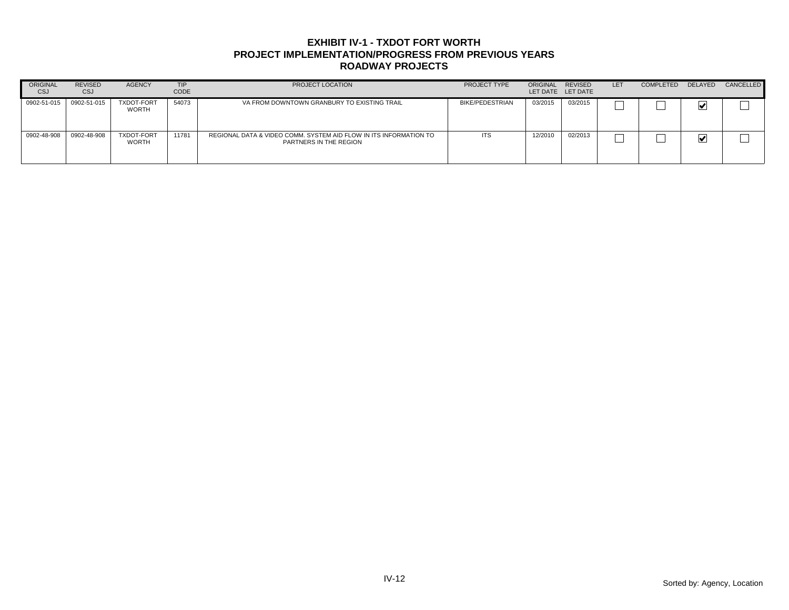| ORIGINAL<br>CSJ | <b>REVISED</b><br>CSJ | <b>AGENCY</b>              | <b>TIP</b><br>CODE | PROJECT LOCATION                                                                            | PROJECT TYPE           | ORIGINAL | <b>REVISED</b><br>LET DATE LET DATE | LET | <b>COMPLETED</b> | DELAYED | CANCELLED |
|-----------------|-----------------------|----------------------------|--------------------|---------------------------------------------------------------------------------------------|------------------------|----------|-------------------------------------|-----|------------------|---------|-----------|
| 0902-51-015     | 0902-51-015           | <b>TXDOT-FORT</b><br>WORTH | 54073              | VA FROM DOWNTOWN GRANBURY TO EXISTING TRAIL                                                 | <b>BIKE/PEDESTRIAN</b> | 03/2015  | 03/2015                             |     |                  | M       |           |
| 0902-48-908     | 0902-48-908           | <b>TXDOT-FORT</b><br>WORTH | 11781              | REGIONAL DATA & VIDEO COMM. SYSTEM AID FLOW IN ITS INFORMATION TO<br>PARTNERS IN THE REGION | <b>ITS</b>             | 12/2010  | 02/2013                             |     |                  | ⊻       |           |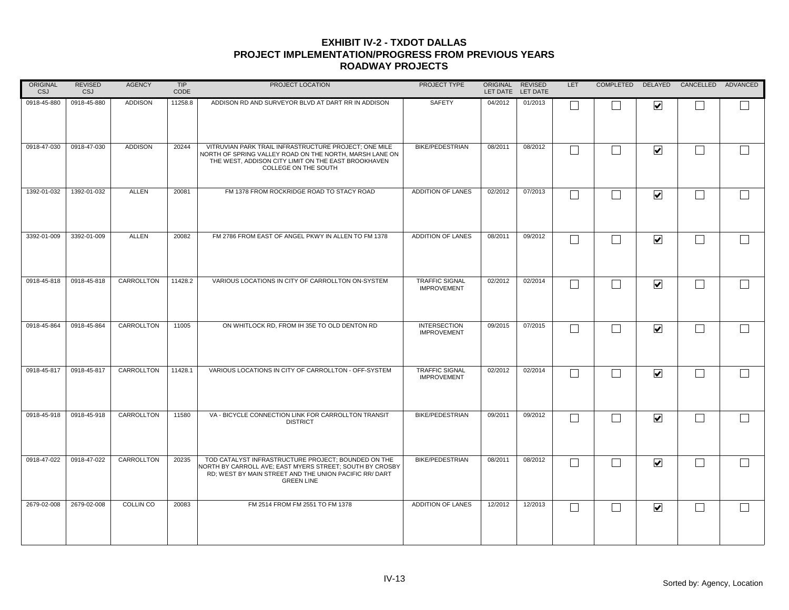| ORIGINAL<br><b>CSJ</b> | <b>REVISED</b><br>CSJ | <b>AGENCY</b>  | TIP<br>CODE | PROJECT LOCATION                                                                                                                                                                                | PROJECT TYPE                                | ORIGINAL | REVISED<br>LET DATE LET DATE | LET |                              | COMPLETED DELAYED CANCELLED ADVANCED |  |
|------------------------|-----------------------|----------------|-------------|-------------------------------------------------------------------------------------------------------------------------------------------------------------------------------------------------|---------------------------------------------|----------|------------------------------|-----|------------------------------|--------------------------------------|--|
| 0918-45-880            | 0918-45-880           | <b>ADDISON</b> | 11258.8     | ADDISON RD AND SURVEYOR BLVD AT DART RR IN ADDISON                                                                                                                                              | SAFETY                                      | 04/2012  | 01/2013                      |     | ☑                            |                                      |  |
| 0918-47-030            | 0918-47-030           | <b>ADDISON</b> | 20244       | VITRUVIAN PARK TRAIL INFRASTRUCTURE PROJECT; ONE MILE<br>NORTH OF SPRING VALLEY ROAD ON THE NORTH. MARSH LANE ON<br>THE WEST, ADDISON CITY LIMIT ON THE EAST BROOKHAVEN<br>COLLEGE ON THE SOUTH | <b>BIKE/PEDESTRIAN</b>                      | 08/2011  | 08/2012                      | Г   | $\overline{\mathbf{v}}$      |                                      |  |
| 1392-01-032            | 1392-01-032           | <b>ALLEN</b>   | 20081       | FM 1378 FROM ROCKRIDGE ROAD TO STACY ROAD                                                                                                                                                       | ADDITION OF LANES                           | 02/2012  | 07/2013                      | Г   | $\blacktriangledown$         |                                      |  |
| 3392-01-009            | 3392-01-009           | ALLEN          | 20082       | FM 2786 FROM EAST OF ANGEL PKWY IN ALLEN TO FM 1378                                                                                                                                             | ADDITION OF LANES                           | 08/2011  | 09/2012                      | П   | $\overline{\mathbf{v}}$      |                                      |  |
| 0918-45-818            | 0918-45-818           | CARROLLTON     | 11428.2     | VARIOUS LOCATIONS IN CITY OF CARROLLTON ON-SYSTEM                                                                                                                                               | <b>TRAFFIC SIGNAL</b><br><b>IMPROVEMENT</b> | 02/2012  | 02/2014                      | Г   | $\overline{\mathbf{v}}$      |                                      |  |
| 0918-45-864            | 0918-45-864           | CARROLLTON     | 11005       | ON WHITLOCK RD, FROM IH 35E TO OLD DENTON RD                                                                                                                                                    | <b>INTERSECTION</b><br><b>IMPROVEMENT</b>   | 09/2015  | 07/2015                      |     | $\blacktriangledown$         |                                      |  |
| 0918-45-817            | 0918-45-817           | CARROLLTON     | 11428.1     | VARIOUS LOCATIONS IN CITY OF CARROLLTON - OFF-SYSTEM                                                                                                                                            | <b>TRAFFIC SIGNAL</b><br><b>IMPROVEMENT</b> | 02/2012  | 02/2014                      | L   | $\overline{\mathbf{v}}$      |                                      |  |
| 0918-45-918            | 0918-45-918           | CARROLLTON     | 11580       | VA - BICYCLE CONNECTION LINK FOR CARROLLTON TRANSIT<br><b>DISTRICT</b>                                                                                                                          | <b>BIKE/PEDESTRIAN</b>                      | 09/2011  | 09/2012                      | Г   | $\overline{\mathbf{v}}$      |                                      |  |
| 0918-47-022            | 0918-47-022           | CARROLLTON     | 20235       | TOD CATALYST INFRASTRUCTURE PROJECT: BOUNDED ON THE<br>VORTH BY CARROLL AVE; EAST MYERS STREET; SOUTH BY CROSBY<br>RD; WEST BY MAIN STREET AND THE UNION PACIFIC RR/ DART<br><b>GREEN LINE</b>  | <b>BIKE/PEDESTRIAN</b>                      | 08/2011  | 08/2012                      | Г   | $\boxed{\blacktriangledown}$ |                                      |  |
| 2679-02-008            | 2679-02-008           | COLLIN CO      | 20083       | FM 2514 FROM FM 2551 TO FM 1378                                                                                                                                                                 | ADDITION OF LANES                           | 12/2012  | 12/2013                      | L   | $\overline{\mathbf{v}}$      |                                      |  |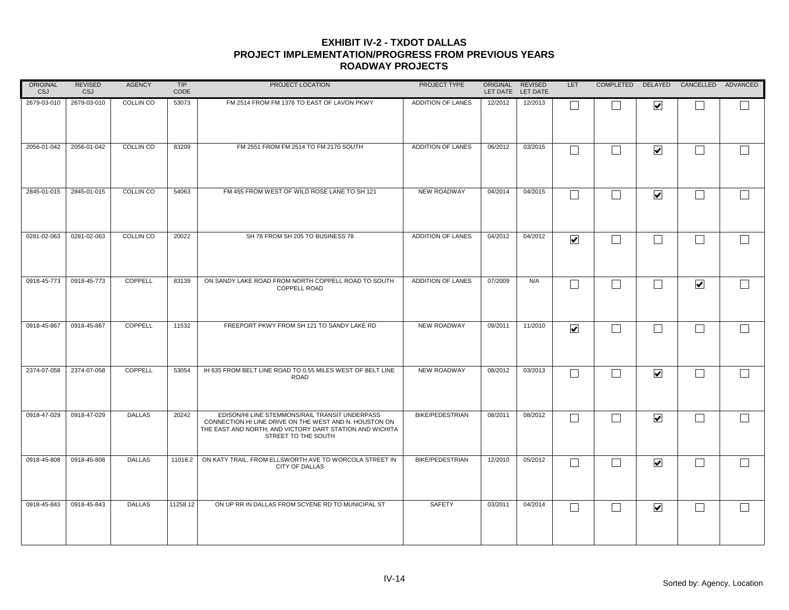| ORIGINAL<br><b>CSJ</b> | <b>REVISED</b><br>CSJ | <b>AGENCY</b> | TIP<br>CODE | PROJECT LOCATION                                                                                                                                                                            | PROJECT TYPE           |         | ORIGINAL REVISED<br>LET DATE LET DATE | <b>LET</b>              |                |                          | COMPLETED DELAYED CANCELLED ADVANCED |                   |
|------------------------|-----------------------|---------------|-------------|---------------------------------------------------------------------------------------------------------------------------------------------------------------------------------------------|------------------------|---------|---------------------------------------|-------------------------|----------------|--------------------------|--------------------------------------|-------------------|
| 2679-03-010            | 2679-03-010           | COLLIN CO     | 53073       | FM 2514 FROM FM 1378 TO EAST OF LAVON PKWY                                                                                                                                                  | ADDITION OF LANES      | 12/2012 | 12/2013                               |                         |                | $\overline{\mathbf{v}}$  |                                      |                   |
| 2056-01-042            | 2056-01-042           | COLLIN CO     | 83209       | FM 2551 FROM FM 2514 TO FM 2170 SOUTH                                                                                                                                                       | ADDITION OF LANES      | 06/2012 | 03/2015                               |                         |                | $\blacktriangledown$     | $\Box$                               |                   |
| 2845-01-015            | 2845-01-015           | COLLIN CO     | 54063       | FM 455 FROM WEST OF WILD ROSE LANE TO SH 121                                                                                                                                                | <b>NEW ROADWAY</b>     | 04/2014 | 04/2015                               |                         |                | $\blacktriangledown$     | $\Box$                               |                   |
| 0281-02-063            | 0281-02-063           | COLLIN CO     | 20022       | SH 78 FROM SH 205 TO BUSINESS 78                                                                                                                                                            | ADDITION OF LANES      | 04/2012 | 04/2012                               | $\overline{\mathbf{v}}$ | $\blacksquare$ | $\vert \ \ \vert$        | $\Box$                               |                   |
| 0918-45-773            | 0918-45-773           | COPPELL       | 83139       | ON SANDY LAKE ROAD FROM NORTH COPPELL ROAD TO SOUTH<br>COPPELL ROAD                                                                                                                         | ADDITION OF LANES      | 07/2009 | N/A                                   |                         |                | $\overline{\phantom{a}}$ | $\overline{\mathbf{v}}$              |                   |
| 0918-45-867            | 0918-45-867           | COPPELL       | 11532       | FREEPORT PKWY FROM SH 121 TO SANDY LAKE RD                                                                                                                                                  | <b>NEW ROADWAY</b>     | 09/2011 | 11/2010                               | $\blacktriangledown$    |                |                          | $\Box$                               | $\vert \ \ \vert$ |
| 2374-07-058            | 2374-07-058           | COPPELL       | 53054       | IH 635 FROM BELT LINE ROAD TO 0.55 MILES WEST OF BELT LINE<br><b>ROAD</b>                                                                                                                   | NEW ROADWAY            | 08/2012 | 03/2013                               |                         |                | $\blacktriangledown$     | $\Box$                               |                   |
| 0918-47-029            | 0918-47-029           | <b>DALLAS</b> | 20242       | EDISON/HI LINE STEMMONS/RAIL TRANSIT UNDERPASS<br>CONNECTION HI LINE DRIVE ON THE WEST AND N. HOUSTON ON<br>THE EAST AND NORTH; AND VICTORY DART STATION AND WICHITA<br>STREET TO THE SOUTH | <b>BIKE/PEDESTRIAN</b> | 08/2011 | 08/2012                               |                         |                | $\overline{\mathbf{v}}$  | $\Box$                               | $\Box$            |
| 0918-45-808            | 0918-45-808           | <b>DALLAS</b> | 11018.2     | ON KATY TRAIL, FROM ELLSWORTH AVE TO WORCOLA STREET IN<br>CITY OF DALLAS                                                                                                                    | <b>BIKE/PEDESTRIAN</b> | 12/2010 | 05/2012                               |                         |                | $\blacktriangledown$     | $\vert \ \ \vert$                    |                   |
| 0918-45-843            | 0918-45-843           | <b>DALLAS</b> | 11258.12    | ON UP RR IN DALLAS FROM SCYENE RD TO MUNICIPAL ST                                                                                                                                           | SAFETY                 | 03/2011 | 04/2014                               | L                       |                | $\blacktriangleright$    | $\vert \ \ \vert$                    |                   |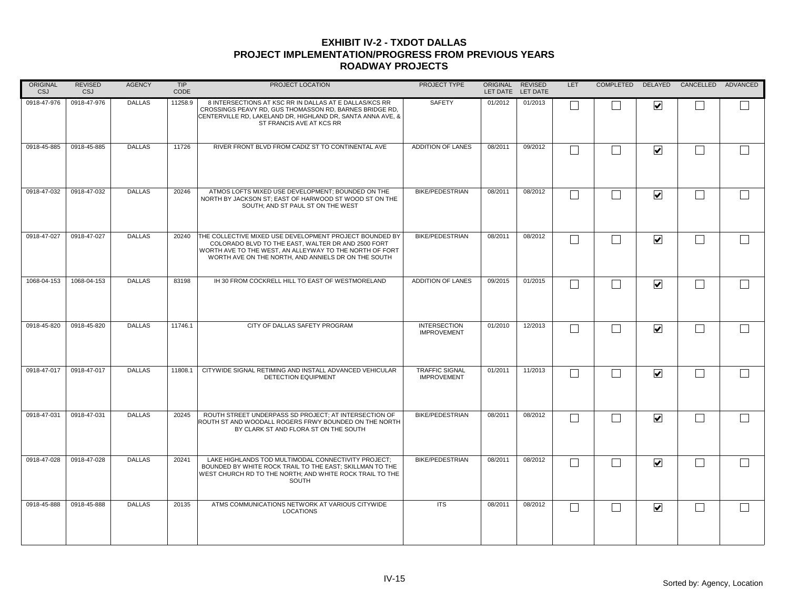| ORIGINAL<br>CSJ | <b>REVISED</b><br>CSJ | <b>AGENCY</b> | TIP<br>CODE | PROJECT LOCATION                                                                                                                                                                                                                | PROJECT TYPE                                | ORIGINAL REVISED | LET DATE LET DATE | <b>LET</b> | COMPLETED |                         | DELAYED CANCELLED ADVANCED |        |
|-----------------|-----------------------|---------------|-------------|---------------------------------------------------------------------------------------------------------------------------------------------------------------------------------------------------------------------------------|---------------------------------------------|------------------|-------------------|------------|-----------|-------------------------|----------------------------|--------|
| 0918-47-976     | 0918-47-976           | <b>DALLAS</b> | 11258.9     | 8 INTERSECTIONS AT KSC RR IN DALLAS AT E DALLAS/KCS RR<br>CROSSINGS PEAVY RD, GUS THOMASSON RD, BARNES BRIDGE RD,<br>CENTERVILLE RD, LAKELAND DR, HIGHLAND DR, SANTA ANNA AVE, &<br>ST FRANCIS AVE AT KCS RR                    | SAFETY                                      | 01/2012          | 01/2013           |            |           | $\blacktriangledown$    |                            |        |
| 0918-45-885     | 0918-45-885           | <b>DALLAS</b> | 11726       | RIVER FRONT BLVD FROM CADIZ ST TO CONTINENTAL AVE                                                                                                                                                                               | ADDITION OF LANES                           | 08/2011          | 09/2012           |            |           | $\overline{\mathbf{v}}$ | $\mathbb{R}^n$             | $\Box$ |
| 0918-47-032     | 0918-47-032           | <b>DALLAS</b> | 20246       | ATMOS LOFTS MIXED USE DEVELOPMENT; BOUNDED ON THE<br>NORTH BY JACKSON ST; EAST OF HARWOOD ST WOOD ST ON THE<br>SOUTH; AND ST PAUL ST ON THE WEST                                                                                | <b>BIKE/PEDESTRIAN</b>                      | 08/2011          | 08/2012           |            |           | $\blacktriangledown$    | $\overline{\phantom{a}}$   | $\Box$ |
| 0918-47-027     | 0918-47-027           | <b>DALLAS</b> | 20240       | THE COLLECTIVE MIXED USE DEVELOPMENT PROJECT BOUNDED BY<br>COLORADO BLVD TO THE EAST, WALTER DR AND 2500 FORT<br>WORTH AVE TO THE WEST, AN ALLEYWAY TO THE NORTH OF FORT<br>WORTH AVE ON THE NORTH, AND ANNIELS DR ON THE SOUTH | <b>BIKE/PEDESTRIAN</b>                      | 08/2011          | 08/2012           |            |           | $\overline{\mathbf{v}}$ |                            | $\Box$ |
| 1068-04-153     | 1068-04-153           | <b>DALLAS</b> | 83198       | IH 30 FROM COCKRELL HILL TO EAST OF WESTMORELAND                                                                                                                                                                                | ADDITION OF LANES                           | 09/2015          | 01/2015           |            |           | $\overline{\mathbf{v}}$ |                            |        |
| 0918-45-820     | 0918-45-820           | <b>DALLAS</b> | 11746.1     | CITY OF DALLAS SAFETY PROGRAM                                                                                                                                                                                                   | <b>INTERSECTION</b><br><b>IMPROVEMENT</b>   | 01/2010          | 12/2013           |            |           | $\overline{\mathbf{v}}$ |                            | $\Box$ |
| 0918-47-017     | 0918-47-017           | <b>DALLAS</b> | 11808.1     | CITYWIDE SIGNAL RETIMING AND INSTALL ADVANCED VEHICULAR<br>DETECTION EQUIPMENT                                                                                                                                                  | <b>TRAFFIC SIGNAL</b><br><b>IMPROVEMENT</b> | 01/2011          | 11/2013           |            |           | $\overline{\mathbf{v}}$ |                            | $\Box$ |
| 0918-47-031     | 0918-47-031           | <b>DALLAS</b> | 20245       | ROUTH STREET UNDERPASS SD PROJECT; AT INTERSECTION OF<br>ROUTH ST AND WOODALL ROGERS FRWY BOUNDED ON THE NORTH<br>BY CLARK ST AND FLORA ST ON THE SOUTH                                                                         | <b>BIKE/PEDESTRIAN</b>                      | 08/2011          | 08/2012           |            |           | $\overline{\mathbf{v}}$ |                            | $\Box$ |
| 0918-47-028     | 0918-47-028           | <b>DALLAS</b> | 20241       | LAKE HIGHLANDS TOD MULTIMODAL CONNECTIVITY PROJECT;<br>BOUNDED BY WHITE ROCK TRAIL TO THE EAST; SKILLMAN TO THE<br>WEST CHURCH RD TO THE NORTH: AND WHITE ROCK TRAIL TO THE<br>SOUTH                                            | <b>BIKE/PEDESTRIAN</b>                      | 08/2011          | 08/2012           |            |           | $\overline{\mathbf{v}}$ |                            | $\Box$ |
| 0918-45-888     | 0918-45-888           | <b>DALLAS</b> | 20135       | ATMS COMMUNICATIONS NETWORK AT VARIOUS CITYWIDE<br><b>LOCATIONS</b>                                                                                                                                                             | <b>ITS</b>                                  | 08/2011          | 08/2012           |            |           | $\blacktriangledown$    |                            |        |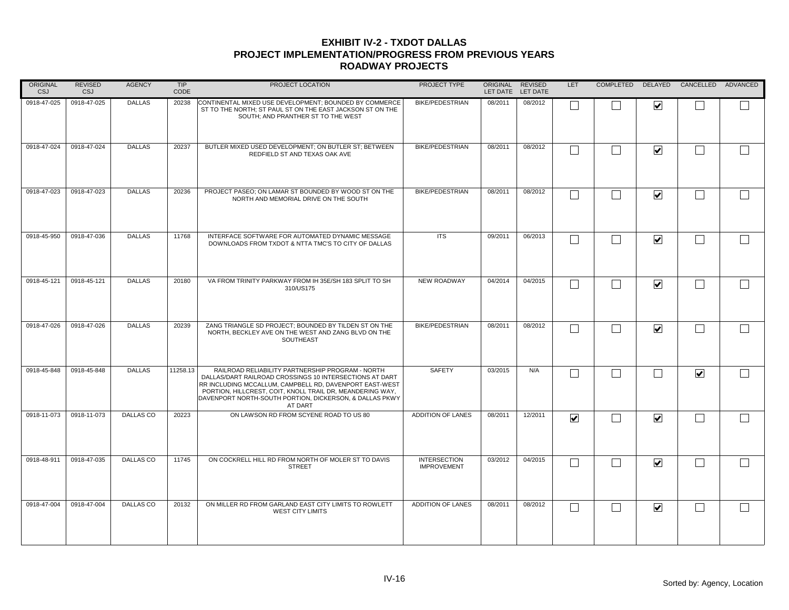| ORIGINAL<br><b>CSJ</b> | <b>REVISED</b><br><b>CSJ</b> | <b>AGENCY</b>    | <b>TIP</b><br>CODE | PROJECT LOCATION                                                                                                                                                                                                                                                                                          | PROJECT TYPE                              | ORIGINAL | REVISED<br>LET DATE LET DATE | LET                     |                         | COMPLETED DELAYED CANCELLED ADVANCED |  |
|------------------------|------------------------------|------------------|--------------------|-----------------------------------------------------------------------------------------------------------------------------------------------------------------------------------------------------------------------------------------------------------------------------------------------------------|-------------------------------------------|----------|------------------------------|-------------------------|-------------------------|--------------------------------------|--|
| 0918-47-025            | 0918-47-025                  | <b>DALLAS</b>    | 20238              | CONTINENTAL MIXED USE DEVELOPMENT; BOUNDED BY COMMERCE<br>ST TO THE NORTH; ST PAUL ST ON THE EAST JACKSON ST ON THE<br>SOUTH; AND PRANTHER ST TO THE WEST                                                                                                                                                 | <b>BIKE/PEDESTRIAN</b>                    | 08/2011  | 08/2012                      |                         | ☑                       |                                      |  |
| 0918-47-024            | 0918-47-024                  | <b>DALLAS</b>    | 20237              | BUTLER MIXED USED DEVELOPMENT; ON BUTLER ST; BETWEEN<br>REDFIELD ST AND TEXAS OAK AVE                                                                                                                                                                                                                     | <b>BIKE/PEDESTRIAN</b>                    | 08/2011  | 08/2012                      | Г                       | $\overline{\mathbf{v}}$ |                                      |  |
| 0918-47-023            | 0918-47-023                  | <b>DALLAS</b>    | 20236              | PROJECT PASEO: ON LAMAR ST BOUNDED BY WOOD ST ON THE<br>NORTH AND MEMORIAL DRIVE ON THE SOUTH                                                                                                                                                                                                             | <b>BIKE/PEDESTRIAN</b>                    | 08/2011  | 08/2012                      | Г                       | $\blacktriangledown$    | $\mathbf{L}$                         |  |
| 0918-45-950            | 0918-47-036                  | <b>DALLAS</b>    | 11768              | INTERFACE SOFTWARE FOR AUTOMATED DYNAMIC MESSAGE<br>DOWNLOADS FROM TXDOT & NTTA TMC'S TO CITY OF DALLAS                                                                                                                                                                                                   | <b>ITS</b>                                | 09/2011  | 06/2013                      | Г                       | $\overline{\mathbf{v}}$ |                                      |  |
| 0918-45-121            | 0918-45-121                  | <b>DALLAS</b>    | 20180              | VA FROM TRINITY PARKWAY FROM IH 35E/SH 183 SPLIT TO SH<br>310/US175                                                                                                                                                                                                                                       | <b>NEW ROADWAY</b>                        | 04/2014  | 04/2015                      | Г                       | $\blacktriangledown$    |                                      |  |
| 0918-47-026            | 0918-47-026                  | <b>DALLAS</b>    | 20239              | ZANG TRIANGLE SD PROJECT: BOUNDED BY TILDEN ST ON THE<br>NORTH, BECKLEY AVE ON THE WEST AND ZANG BLVD ON THE<br>SOUTHEAST                                                                                                                                                                                 | <b>BIKE/PEDESTRIAN</b>                    | 08/2011  | 08/2012                      | Г                       | $\blacktriangledown$    |                                      |  |
| 0918-45-848            | 0918-45-848                  | <b>DALLAS</b>    | 11258.13           | RAILROAD RELIABILITY PARTNERSHIP PROGRAM - NORTH<br>DALLAS/DART RAILROAD CROSSINGS 10 INTERSECTIONS AT DART<br>RR INCLUDING MCCALLUM, CAMPBELL RD, DAVENPORT EAST-WEST<br>PORTION, HILLCREST, COIT, KNOLL TRAIL DR, MEANDERING WAY,<br>DAVENPORT NORTH-SOUTH PORTION, DICKERSON, & DALLAS PKWY<br>AT DART | <b>SAFETY</b>                             | 03/2015  | N/A                          | $\Box$                  |                         | $\blacktriangledown$                 |  |
| 0918-11-073            | 0918-11-073                  | <b>DALLAS CO</b> | 20223              | ON LAWSON RD FROM SCYENE ROAD TO US 80                                                                                                                                                                                                                                                                    | ADDITION OF LANES                         | 08/2011  | 12/2011                      | $\overline{\mathbf{v}}$ | $\overline{\mathbf{v}}$ |                                      |  |
| 0918-48-911            | 0918-47-035                  | <b>DALLAS CO</b> | 11745              | ON COCKRELL HILL RD FROM NORTH OF MOLER ST TO DAVIS<br><b>STREET</b>                                                                                                                                                                                                                                      | <b>INTERSECTION</b><br><b>IMPROVEMENT</b> | 03/2012  | 04/2015                      | Г                       | $\blacktriangledown$    |                                      |  |
| 0918-47-004            | 0918-47-004                  | DALLAS CO        | 20132              | ON MILLER RD FROM GARLAND EAST CITY LIMITS TO ROWLETT<br><b>WEST CITY LIMITS</b>                                                                                                                                                                                                                          | ADDITION OF LANES                         | 08/2011  | 08/2012                      | L                       | $\blacktriangledown$    |                                      |  |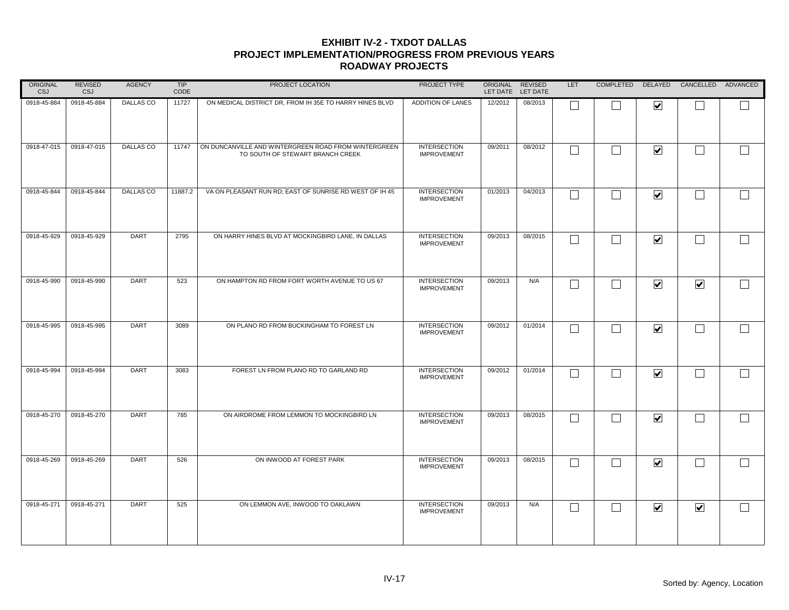| ORIGINAL<br><b>CSJ</b> | <b>REVISED</b><br><b>CSJ</b> | <b>AGENCY</b> | <b>TIP</b><br>CODE | PROJECT LOCATION                                                                         | PROJECT TYPE                              | ORIGINAL REVISED | LET DATE LET DATE | LET               |   |                              | COMPLETED DELAYED CANCELLED ADVANCED |              |
|------------------------|------------------------------|---------------|--------------------|------------------------------------------------------------------------------------------|-------------------------------------------|------------------|-------------------|-------------------|---|------------------------------|--------------------------------------|--------------|
| 0918-45-884            | 0918-45-884                  | DALLAS CO     | 11727              | ON MEDICAL DISTRICT DR, FROM IH 35E TO HARRY HINES BLVD                                  | ADDITION OF LANES                         | 12/2012          | 08/2013           | $\Box$            |   | $\overline{\mathbf{v}}$      |                                      |              |
| 0918-47-015            | 0918-47-015                  | DALLAS CO     | 11747              | ON DUNCANVILLE AND WINTERGREEN ROAD FROM WINTERGREEN<br>TO SOUTH OF STEWART BRANCH CREEK | <b>INTERSECTION</b><br><b>IMPROVEMENT</b> | 09/2011          | 08/2012           | П                 |   | $\blacktriangledown$         | $\vert \hspace{.06cm} \vert$         | $\mathbf{I}$ |
| 0918-45-844            | 0918-45-844                  | DALLAS CO     | 11887.2            | VA ON PLEASANT RUN RD; EAST OF SUNRISE RD WEST OF IH 45                                  | <b>INTERSECTION</b><br><b>IMPROVEMENT</b> | 01/2013          | 04/2013           | $\Box$            | M | $\blacktriangledown$         | $\overline{\phantom{0}}$             |              |
| 0918-45-929            | 0918-45-929                  | <b>DART</b>   | 2795               | ON HARRY HINES BLVD AT MOCKINGBIRD LANE, IN DALLAS                                       | <b>INTERSECTION</b><br><b>IMPROVEMENT</b> | 09/2013          | 08/2015           | Г                 |   | $\blacktriangledown$         |                                      |              |
| 0918-45-990            | 0918-45-990                  | DART          | 523                | ON HAMPTON RD FROM FORT WORTH AVENUE TO US 67                                            | <b>INTERSECTION</b><br><b>IMPROVEMENT</b> | 09/2013          | N/A               | $\Box$            |   | $\blacktriangledown$         | $\blacktriangledown$                 |              |
| 0918-45-995            | 0918-45-995                  | <b>DART</b>   | 3089               | ON PLANO RD FROM BUCKINGHAM TO FOREST LN                                                 | <b>INTERSECTION</b><br><b>IMPROVEMENT</b> | 09/2012          | 01/2014           | Г                 |   | $\blacktriangledown$         |                                      |              |
| 0918-45-994            | 0918-45-994                  | <b>DART</b>   | 3083               | FOREST LN FROM PLANO RD TO GARLAND RD                                                    | <b>INTERSECTION</b><br><b>IMPROVEMENT</b> | 09/2012          | 01/2014           | Г                 |   | $\overline{\mathbf{v}}$      |                                      |              |
| 0918-45-270            | 0918-45-270                  | DART          | 785                | ON AIRDROME FROM LEMMON TO MOCKINGBIRD LN                                                | <b>INTERSECTION</b><br><b>IMPROVEMENT</b> | 09/2013          | 08/2015           | Г                 |   | $\overline{\mathbf{v}}$      | I.                                   |              |
| 0918-45-269            | 0918-45-269                  | <b>DART</b>   | 526                | ON INWOOD AT FOREST PARK                                                                 | <b>INTERSECTION</b><br><b>IMPROVEMENT</b> | 09/2013          | 08/2015           | $\vert \ \ \vert$ |   | $\blacktriangledown$         |                                      |              |
| 0918-45-271            | 0918-45-271                  | <b>DART</b>   | 525                | ON LEMMON AVE, INWOOD TO OAKLAWN                                                         | <b>INTERSECTION</b><br><b>IMPROVEMENT</b> | 09/2013          | N/A               | $\Box$            |   | $\boxed{\blacktriangledown}$ | $\blacktriangledown$                 |              |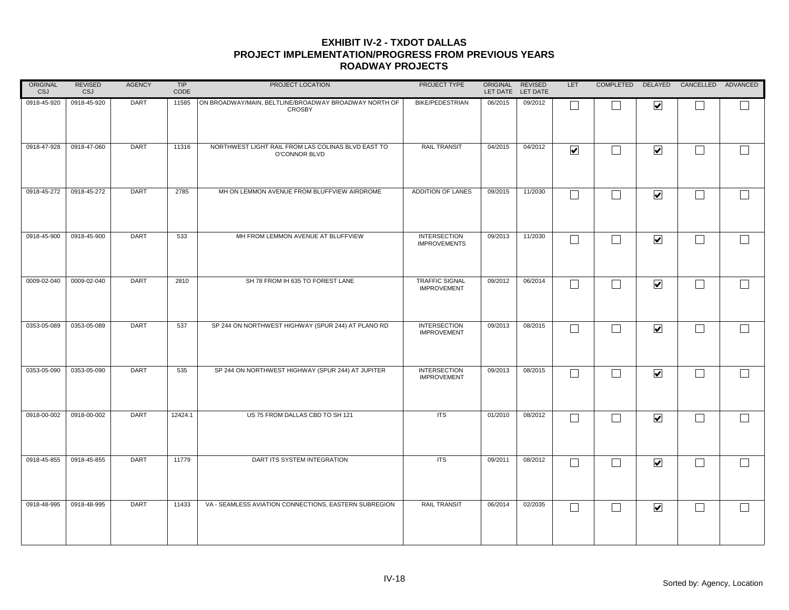| ORIGINAL<br>CSJ | <b>REVISED</b><br><b>CSJ</b> | <b>AGENCY</b> | TIP<br>CODE | PROJECT LOCATION                                                       | PROJECT TYPE                               | ORIGINAL REVISED | LET DATE LET DATE | LET                     | COMPLETED                |                         | DELAYED CANCELLED ADVANCED |        |
|-----------------|------------------------------|---------------|-------------|------------------------------------------------------------------------|--------------------------------------------|------------------|-------------------|-------------------------|--------------------------|-------------------------|----------------------------|--------|
| 0918-45-920     | 0918-45-920                  | DART          | 11585       | ON BROADWAY/MAIN, BELTLINE/BROADWAY BROADWAY NORTH OF<br><b>CROSBY</b> | <b>BIKE/PEDESTRIAN</b>                     | 06/2015          | 09/2012           |                         |                          | $\overline{\mathbf{v}}$ |                            |        |
| 0918-47-928     | 0918-47-060                  | <b>DART</b>   | 11316       | NORTHWEST LIGHT RAIL FROM LAS COLINAS BLVD EAST TO<br>O'CONNOR BLVD    | <b>RAIL TRANSIT</b>                        | 04/2015          | 04/2012           | $\overline{\mathbf{v}}$ | $\Box$                   | $\blacktriangleright$   | $\Box$                     | $\Box$ |
| 0918-45-272     | 0918-45-272                  | <b>DART</b>   | 2785        | MH ON LEMMON AVENUE FROM BLUFFVIEW AIRDROME                            | ADDITION OF LANES                          | 09/2015          | 11/2030           | $\mathbf{L}$            | $\blacksquare$           | $\blacktriangledown$    | $\Box$                     | $\Box$ |
| 0918-45-900     | 0918-45-900                  | <b>DART</b>   | 533         | MH FROM LEMMON AVENUE AT BLUFFVIEW                                     | <b>INTERSECTION</b><br><b>IMPROVEMENTS</b> | 09/2013          | 11/2030           | $\Box$                  | $\overline{\phantom{0}}$ | $\overline{\mathbf{v}}$ | $\Box$                     |        |
| 0009-02-040     | 0009-02-040                  | DART          | 2810        | SH 78 FROM IH 635 TO FOREST LANE                                       | TRAFFIC SIGNAL<br><b>IMPROVEMENT</b>       | 09/2012          | 06/2014           | Е                       | ┓                        | $\blacktriangledown$    | $\Box$                     |        |
| 0353-05-089     | 0353-05-089                  | <b>DART</b>   | 537         | SP 244 ON NORTHWEST HIGHWAY (SPUR 244) AT PLANO RD                     | <b>INTERSECTION</b><br><b>IMPROVEMENT</b>  | 09/2013          | 08/2015           |                         |                          | $\blacktriangledown$    | $\vert \ \ \vert$          | $\Box$ |
| 0353-05-090     | 0353-05-090                  | DART          | 535         | SP 244 ON NORTHWEST HIGHWAY (SPUR 244) AT JUPITER                      | <b>INTERSECTION</b><br><b>IMPROVEMENT</b>  | 09/2013          | 08/2015           | L                       | $\blacksquare$           | $\blacktriangledown$    | $\Box$                     |        |
| 0918-00-002     | 0918-00-002                  | <b>DART</b>   | 12424.1     | US 75 FROM DALLAS CBD TO SH 121                                        | <b>ITS</b>                                 | 01/2010          | 08/2012           |                         |                          | $\blacktriangledown$    | $\Box$                     | $\Box$ |
| 0918-45-855     | 0918-45-855                  | <b>DART</b>   | 11779       | DART ITS SYSTEM INTEGRATION                                            | <b>ITS</b>                                 | 09/2011          | 08/2012           | L                       |                          | $\blacktriangledown$    | $\perp$                    |        |
| 0918-48-995     | 0918-48-995                  | <b>DART</b>   | 11433       | VA - SEAMLESS AVIATION CONNECTIONS, EASTERN SUBREGION                  | <b>RAIL TRANSIT</b>                        | 06/2014          | 02/2035           | $\Box$                  | $\blacksquare$           | $\blacktriangledown$    | $\Box$                     |        |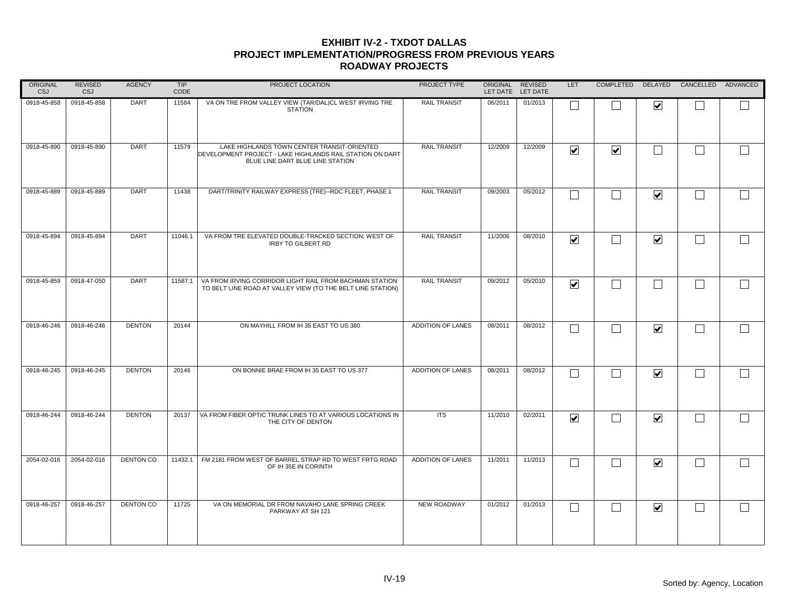| ORIGINAL<br>CSJ | <b>REVISED</b><br><b>CSJ</b> | <b>AGENCY</b>    | TIP<br>CODE | PROJECT LOCATION                                                                                                                             | PROJECT TYPE             | ORIGINAL REVISED | LET DATE LET DATE | LET                     |                             |                         | COMPLETED DELAYED CANCELLED ADVANCED |        |
|-----------------|------------------------------|------------------|-------------|----------------------------------------------------------------------------------------------------------------------------------------------|--------------------------|------------------|-------------------|-------------------------|-----------------------------|-------------------------|--------------------------------------|--------|
| 0918-45-858     | 0918-45-858                  | <b>DART</b>      | 11584       | VA ON TRE FROM VALLEY VIEW (TAR/DAL)CL WEST IRVING TRE<br><b>STATION</b>                                                                     | <b>RAIL TRANSIT</b>      | 06/2011          | 01/2013           | $\Box$                  |                             | $\overline{\mathbf{v}}$ |                                      |        |
| 0918-45-890     | 0918-45-890                  | <b>DART</b>      | 11579       | LAKE HIGHLANDS TOWN CENTER TRANSIT-ORIENTED<br>DEVELOPMENT PROJECT - LAKE HIGHLANDS RAIL STATION ON DART<br>BLUE LINE DART BLUE LINE STATION | <b>RAIL TRANSIT</b>      | 12/2009          | 12/2009           | $\overline{\mathbf{v}}$ | $\blacktriangledown$        | $\Box$                  | $\Box$                               |        |
| 0918-45-889     | 0918-45-889                  | <b>DART</b>      | 11438       | DART/TRINITY RAILWAY EXPRESS (TRE)--RDC FLEET, PHASE 1                                                                                       | <b>RAIL TRANSIT</b>      | 09/2003          | 05/2012           | $\Box$                  | $\Box$                      | $\blacktriangledown$    | $\vert \ \ \vert$                    |        |
| 0918-45-894     | 0918-45-894                  | <b>DART</b>      | 11046.1     | VA FROM TRE ELEVATED DOUBLE-TRACKED SECTION; WEST OF<br><b>IRBY TO GILBERT RD</b>                                                            | <b>RAIL TRANSIT</b>      | 11/2006          | 08/2010           | $\overline{\mathbf{v}}$ | $\mathcal{L}_{\mathcal{A}}$ | $\overline{\mathbf{v}}$ | $\Box$                               |        |
| 0918-45-859     | 0918-47-050                  | <b>DART</b>      | 11587.1     | VA FROM IRVING CORRIDOR LIGHT RAIL FROM BACHMAN STATION<br>TO BELT LINE ROAD AT VALLEY VIEW (TO THE BELT LINE STATION)                       | <b>RAIL TRANSIT</b>      | 09/2012          | 05/2010           | $\overline{\mathbf{v}}$ |                             | $\Box$                  | $\Box$                               |        |
| 0918-46-246     | 0918-46-246                  | <b>DENTON</b>    | 20144       | ON MAYHILL FROM IH 35 EAST TO US 380                                                                                                         | ADDITION OF LANES        | 08/2011          | 08/2012           | $\Box$                  |                             | $\blacktriangledown$    | $\vert \ \ \vert$                    |        |
| 0918-46-245     | 0918-46-245                  | <b>DENTON</b>    | 20146       | ON BONNIE BRAE FROM IH 35 EAST TO US 377                                                                                                     | ADDITION OF LANES        | 08/2011          | 08/2012           | $\Box$                  | $\mathcal{L}_{\mathcal{A}}$ | $\blacktriangledown$    | $\Box$                               | $\Box$ |
| 0918-46-244     | 0918-46-244                  | <b>DENTON</b>    | 20137       | VA FROM FIBER OPTIC TRUNK LINES TO AT VARIOUS LOCATIONS IN<br>THE CITY OF DENTON                                                             | <b>ITS</b>               | 11/2010          | 02/2011           | $\blacktriangledown$    | $\overline{\phantom{0}}$    | $\blacktriangledown$    | $\Box$                               |        |
| 2054-02-016     | 2054-02-016                  | <b>DENTON CO</b> | 11432.1     | FM 2181 FROM WEST OF BARREL STRAP RD TO WEST FRTG ROAD<br>OF IH 35E IN CORINTH                                                               | <b>ADDITION OF LANES</b> | 11/2011          | 11/2013           | Г                       | $\blacksquare$              | $\blacktriangledown$    | $\perp$                              |        |
| 0918-46-257     | 0918-46-257                  | <b>DENTON CO</b> | 11725       | VA ON MEMORIAL DR FROM NAVAHO LANE SPRING CREEK<br>PARKWAY AT SH 121                                                                         | <b>NEW ROADWAY</b>       | 01/2012          | 01/2013           | $\Box$                  | $\Box$                      | $\blacktriangledown$    | $\mathcal{L}_{\mathcal{A}}$          |        |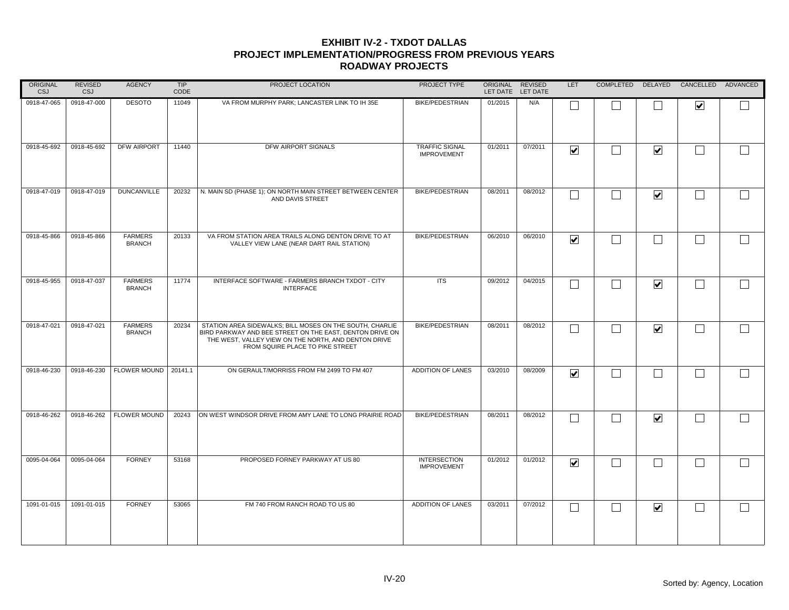| ORIGINAL<br><b>CSJ</b> | <b>REVISED</b><br>CSJ | <b>AGENCY</b>                   | TIP<br>CODE | PROJECT LOCATION                                                                                                                                                                                                 | PROJECT TYPE                                | ORIGINAL REVISED | LET DATE LET DATE | LET                     |        |                              | COMPLETED DELAYED CANCELLED ADVANCED |        |
|------------------------|-----------------------|---------------------------------|-------------|------------------------------------------------------------------------------------------------------------------------------------------------------------------------------------------------------------------|---------------------------------------------|------------------|-------------------|-------------------------|--------|------------------------------|--------------------------------------|--------|
| 0918-47-065            | 0918-47-000           | <b>DESOTO</b>                   | 11049       | VA FROM MURPHY PARK; LANCASTER LINK TO IH 35E                                                                                                                                                                    | <b>BIKE/PEDESTRIAN</b>                      | 01/2015          | N/A               |                         |        |                              | $\overline{\mathbf{v}}$              |        |
| 0918-45-692            | 0918-45-692           | DFW AIRPORT                     | 11440       | DFW AIRPORT SIGNALS                                                                                                                                                                                              | <b>TRAFFIC SIGNAL</b><br><b>IMPROVEMENT</b> | 01/2011          | 07/2011           | $\overline{\mathbf{v}}$ |        | $\overline{\mathbf{v}}$      | ┌                                    | $\Box$ |
| 0918-47-019            | 0918-47-019           | <b>DUNCANVILLE</b>              | 20232       | N. MAIN SD (PHASE 1); ON NORTH MAIN STREET BETWEEN CENTER<br>AND DAVIS STREET                                                                                                                                    | <b>BIKE/PEDESTRIAN</b>                      | 08/2011          | 08/2012           |                         |        | $\overline{\mathbf{v}}$      | $\Box$                               | $\Box$ |
| 0918-45-866            | 0918-45-866           | <b>FARMERS</b><br><b>BRANCH</b> | 20133       | VA FROM STATION AREA TRAILS ALONG DENTON DRIVE TO AT<br>VALLEY VIEW LANE (NEAR DART RAIL STATION)                                                                                                                | <b>BIKE/PEDESTRIAN</b>                      | 06/2010          | 06/2010           | $\overline{\mathbf{v}}$ | $\Box$ | $\sim$                       | □                                    | $\Box$ |
| 0918-45-955            | 0918-47-037           | <b>FARMERS</b><br><b>BRANCH</b> | 11774       | INTERFACE SOFTWARE - FARMERS BRANCH TXDOT - CITY<br><b>INTERFACE</b>                                                                                                                                             | <b>ITS</b>                                  | 09/2012          | 04/2015           |                         |        | $\overline{\mathbf{v}}$      |                                      |        |
| 0918-47-021            | 0918-47-021           | <b>FARMERS</b><br><b>BRANCH</b> | 20234       | STATION AREA SIDEWALKS: BILL MOSES ON THE SOUTH, CHARLIE<br>BIRD PARKWAY AND BEE STREET ON THE EAST, DENTON DRIVE ON<br>THE WEST, VALLEY VIEW ON THE NORTH, AND DENTON DRIVE<br>FROM SQUIRE PLACE TO PIKE STREET | <b>BIKE/PEDESTRIAN</b>                      | 08/2011          | 08/2012           |                         |        | $\overline{\mathbf{v}}$      |                                      | $\Box$ |
| 0918-46-230            | 0918-46-230           | FLOWER MOUND   20141.1          |             | ON GERAULT/MORRISS FROM FM 2499 TO FM 407                                                                                                                                                                        | ADDITION OF LANES                           | 03/2010          | 08/2009           | $\overline{\mathbf{v}}$ |        |                              |                                      | $\Box$ |
| 0918-46-262            | 0918-46-262           | <b>FLOWER MOUND</b>             | 20243       | ON WEST WINDSOR DRIVE FROM AMY LANE TO LONG PRAIRIE ROAD                                                                                                                                                         | <b>BIKE/PEDESTRIAN</b>                      | 08/2011          | 08/2012           |                         |        | $\overline{\mathbf{v}}$      | ┌                                    | $\Box$ |
| 0095-04-064            | 0095-04-064           | <b>FORNEY</b>                   | 53168       | PROPOSED FORNEY PARKWAY AT US 80                                                                                                                                                                                 | <b>INTERSECTION</b><br><b>IMPROVEMENT</b>   | 01/2012          | 01/2012           | $\overline{\mathbf{v}}$ |        |                              | $\sim$                               | $\Box$ |
| 1091-01-015            | 1091-01-015           | <b>FORNEY</b>                   | 53065       | FM 740 FROM RANCH ROAD TO US 80                                                                                                                                                                                  | ADDITION OF LANES                           | 03/2011          | 07/2012           | L                       |        | $\boxed{\blacktriangledown}$ |                                      | $\Box$ |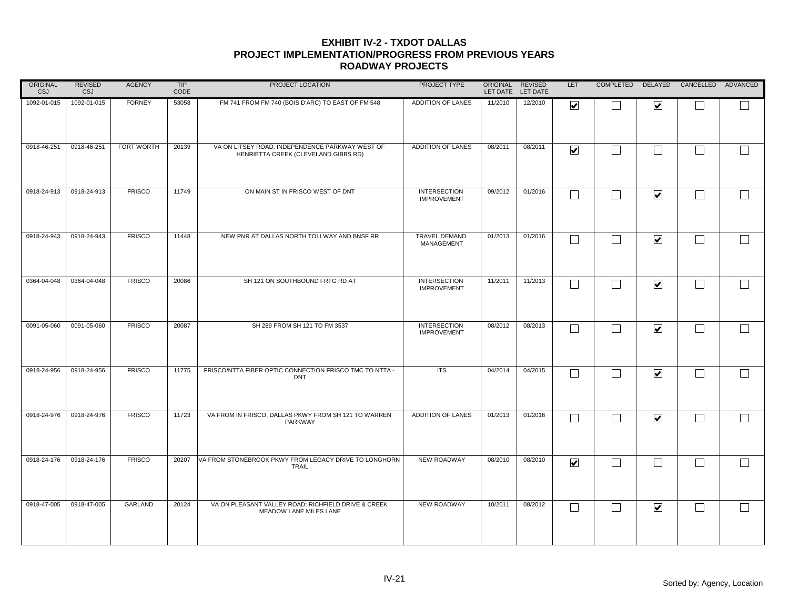| ORIGINAL<br><b>CSJ</b> | <b>REVISED</b><br>CSJ | <b>AGENCY</b> | TIP<br>CODE | PROJECT LOCATION                                                                        | PROJECT TYPE                              | ORIGINAL REVISED | LET DATE LET DATE | LET                     |                             |                         | COMPLETED DELAYED CANCELLED ADVANCED |        |
|------------------------|-----------------------|---------------|-------------|-----------------------------------------------------------------------------------------|-------------------------------------------|------------------|-------------------|-------------------------|-----------------------------|-------------------------|--------------------------------------|--------|
| 1092-01-015            | 1092-01-015           | <b>FORNEY</b> | 53058       | FM 741 FROM FM 740 (BOIS D'ARC) TO EAST OF FM 548                                       | ADDITION OF LANES                         | 11/2010          | 12/2010           | $\overline{\mathbf{v}}$ |                             | $\overline{\mathbf{v}}$ |                                      |        |
| 0918-46-251            | 0918-46-251           | FORT WORTH    | 20139       | VA ON LITSEY ROAD; INDEPENDENCE PARKWAY WEST OF<br>HENRIETTA CREEK (CLEVELAND GIBBS RD) | ADDITION OF LANES                         | 08/2011          | 08/2011           | $\overline{\mathbf{v}}$ | $\Box$                      | $\Box$                  | $\Box$                               | $\Box$ |
| 0918-24-913            | 0918-24-913           | <b>FRISCO</b> | 11749       | ON MAIN ST IN FRISCO WEST OF DNT                                                        | <b>INTERSECTION</b><br><b>IMPROVEMENT</b> | 09/2012          | 01/2016           | $\Box$                  | $\Box$                      | $\blacktriangledown$    | $\Box$                               | $\Box$ |
| 0918-24-943            | 0918-24-943           | <b>FRISCO</b> | 11448       | NEW PNR AT DALLAS NORTH TOLLWAY AND BNSF RR                                             | <b>TRAVEL DEMAND</b><br>MANAGEMENT        | 01/2013          | 01/2016           | $\Box$                  | $\mathcal{L}_{\mathcal{A}}$ | $\overline{\mathbf{v}}$ | $\Box$                               |        |
| 0364-04-048            | 0364-04-048           | <b>FRISCO</b> | 20086       | SH 121 ON SOUTHBOUND FRTG RD AT                                                         | <b>INTERSECTION</b><br><b>IMPROVEMENT</b> | 11/2011          | 11/2013           | $\Box$                  | $\overline{\phantom{a}}$    | $\blacktriangledown$    | $\Box$                               |        |
| 0091-05-060            | 0091-05-060           | <b>FRISCO</b> | 20087       | SH 289 FROM SH 121 TO FM 3537                                                           | <b>INTERSECTION</b><br><b>IMPROVEMENT</b> | 08/2012          | 08/2013           | $\Box$                  |                             | $\blacktriangledown$    | $\Box$                               | $\Box$ |
| 0918-24-956            | 0918-24-956           | <b>FRISCO</b> | 11775       | FRISCO/NTTA FIBER OPTIC CONNECTION FRISCO TMC TO NTTA -<br><b>DNT</b>                   | <b>ITS</b>                                | 04/2014          | 04/2015           | $\Box$                  | $\blacksquare$              | $\blacktriangledown$    | $\vert \ \ \vert$                    |        |
| 0918-24-976            | 0918-24-976           | <b>FRISCO</b> | 11723       | VA FROM IN FRISCO, DALLAS PKWY FROM SH 121 TO WARREN<br>PARKWAY                         | ADDITION OF LANES                         | 01/2013          | 01/2016           | П                       | コ                           | $\overline{\mathbf{v}}$ | $\Box$                               | $\Box$ |
| 0918-24-176            | 0918-24-176           | <b>FRISCO</b> | 20207       | VA FROM STONEBROOK PKWY FROM LEGACY DRIVE TO LONGHORN<br><b>TRAIL</b>                   | NEW ROADWAY                               | 08/2010          | 08/2010           | $\overline{\mathbf{v}}$ | $\Box$                      | $\vert \ \ \vert$       | $\perp$                              | $\Box$ |
| 0918-47-005            | 0918-47-005           | GARLAND       | 20124       | VA ON PLEASANT VALLEY ROAD; RICHFIELD DRIVE & CREEK<br>MEADOW LANE MILES LANE           | NEW ROADWAY                               | 10/2011          | 08/2012           | $\Box$                  | $\blacksquare$              | $\blacktriangledown$    | $\vert \ \ \vert$                    |        |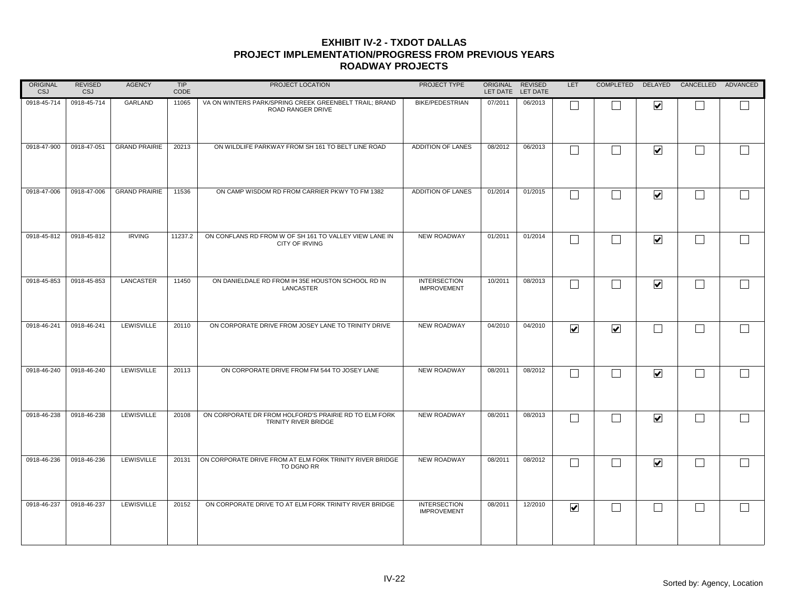| <b>ORIGINAL</b><br><b>CSJ</b> | <b>REVISED</b><br><b>CSJ</b> | <b>AGENCY</b>        | <b>TIP</b><br>CODE | PROJECT LOCATION                                                              | PROJECT TYPE                              | ORIGINAL REVISED | LET DATE LET DATE | <b>LET</b>           |                      |                         | COMPLETED DELAYED CANCELLED ADVANCED |        |
|-------------------------------|------------------------------|----------------------|--------------------|-------------------------------------------------------------------------------|-------------------------------------------|------------------|-------------------|----------------------|----------------------|-------------------------|--------------------------------------|--------|
| 0918-45-714                   | 0918-45-714                  | GARLAND              | 11065              | VA ON WINTERS PARK/SPRING CREEK GREENBELT TRAIL; BRAND<br>ROAD RANGER DRIVE   | <b>BIKE/PEDESTRIAN</b>                    | 07/2011          | 06/2013           | L                    |                      | $\overline{\mathbf{v}}$ |                                      |        |
| 0918-47-900                   | 0918-47-051                  | <b>GRAND PRAIRIE</b> | 20213              | ON WILDLIFE PARKWAY FROM SH 161 TO BELT LINE ROAD                             | ADDITION OF LANES                         | 08/2012          | 06/2013           | $\Box$               | $\sim$               | $\blacktriangledown$    | L.                                   |        |
| 0918-47-006                   | 0918-47-006                  | <b>GRAND PRAIRIE</b> | 11536              | ON CAMP WISDOM RD FROM CARRIER PKWY TO FM 1382                                | ADDITION OF LANES                         | 01/2014          | 01/2015           | $\Box$               |                      | $\blacktriangledown$    | $\mathbf{I}$                         | $\Box$ |
| 0918-45-812                   | 0918-45-812                  | <b>IRVING</b>        | 11237.2            | ON CONFLANS RD FROM W OF SH 161 TO VALLEY VIEW LANE IN<br>CITY OF IRVING      | NEW ROADWAY                               | 01/2011          | 01/2014           | П                    | M                    | $\overline{\mathbf{v}}$ | $\mathbf{I}$                         |        |
| 0918-45-853                   | 0918-45-853                  | LANCASTER            | 11450              | ON DANIELDALE RD FROM IH 35E HOUSTON SCHOOL RD IN<br>LANCASTER                | <b>INTERSECTION</b><br><b>IMPROVEMENT</b> | 10/2011          | 08/2013           | $\Box$               | $\sim$               | $\overline{\mathbf{v}}$ | L.                                   |        |
| 0918-46-241                   | 0918-46-241                  | LEWISVILLE           | 20110              | ON CORPORATE DRIVE FROM JOSEY LANE TO TRINITY DRIVE                           | <b>NEW ROADWAY</b>                        | 04/2010          | 04/2010           | $\blacktriangledown$ | $\blacktriangledown$ |                         |                                      |        |
| 0918-46-240                   | 0918-46-240                  | LEWISVILLE           | 20113              | ON CORPORATE DRIVE FROM FM 544 TO JOSEY LANE                                  | <b>NEW ROADWAY</b>                        | 08/2011          | 08/2012           | $\Box$               |                      | $\blacktriangledown$    | L.                                   |        |
| 0918-46-238                   | 0918-46-238                  | LEWISVILLE           | 20108              | ON CORPORATE DR FROM HOLFORD'S PRAIRIE RD TO ELM FORK<br>TRINITY RIVER BRIDGE | <b>NEW ROADWAY</b>                        | 08/2011          | 08/2013           | П                    |                      | $\blacktriangledown$    |                                      |        |
| 0918-46-236                   | 0918-46-236                  | LEWISVILLE           | 20131              | ON CORPORATE DRIVE FROM AT ELM FORK TRINITY RIVER BRIDGE<br>TO DGNO RR        | <b>NEW ROADWAY</b>                        | 08/2011          | 08/2012           | Г                    |                      | $\blacktriangledown$    |                                      |        |
| 0918-46-237                   | 0918-46-237                  | LEWISVILLE           | 20152              | ON CORPORATE DRIVE TO AT ELM FORK TRINITY RIVER BRIDGE                        | <b>INTERSECTION</b><br><b>IMPROVEMENT</b> | 08/2011          | 12/2010           | $\blacktriangledown$ |                      | $\blacksquare$          | L.                                   |        |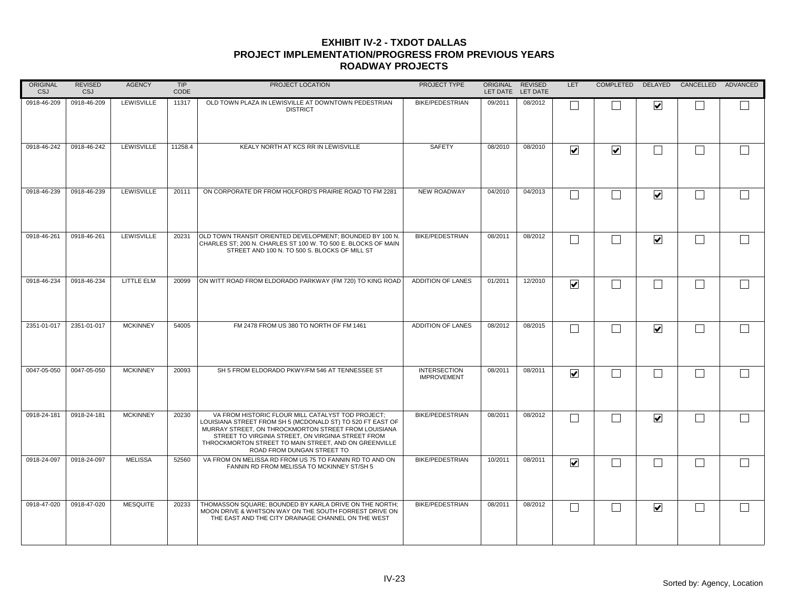| <b>ORIGINAL</b><br><b>CSJ</b> | <b>REVISED</b><br><b>CSJ</b> | <b>AGENCY</b>   | <b>TIP</b><br>CODE | PROJECT LOCATION                                                                                                                                                                                                                                                                                                     | PROJECT TYPE                              | ORIGINAL REVISED | LET DATE LET DATE | LET.                    |                      |                         | COMPLETED DELAYED CANCELLED ADVANCED |  |
|-------------------------------|------------------------------|-----------------|--------------------|----------------------------------------------------------------------------------------------------------------------------------------------------------------------------------------------------------------------------------------------------------------------------------------------------------------------|-------------------------------------------|------------------|-------------------|-------------------------|----------------------|-------------------------|--------------------------------------|--|
| 0918-46-209                   | 0918-46-209                  | LEWISVILLE      | 11317              | OLD TOWN PLAZA IN LEWISVILLE AT DOWNTOWN PEDESTRIAN<br><b>DISTRICT</b>                                                                                                                                                                                                                                               | <b>BIKE/PEDESTRIAN</b>                    | 09/2011          | 08/2012           |                         |                      | $\overline{\mathbf{v}}$ |                                      |  |
| 0918-46-242                   | 0918-46-242                  | LEWISVILLE      | 11258.4            | KEALY NORTH AT KCS RR IN LEWISVILLE                                                                                                                                                                                                                                                                                  | <b>SAFETY</b>                             | 08/2010          | 08/2010           | $\blacktriangledown$    | $\blacktriangledown$ | П                       | $\Box$                               |  |
| 0918-46-239                   | 0918-46-239                  | LEWISVILLE      | 20111              | ON CORPORATE DR FROM HOLFORD'S PRAIRIE ROAD TO FM 2281                                                                                                                                                                                                                                                               | <b>NEW ROADWAY</b>                        | 04/2010          | 04/2013           |                         |                      | $\blacktriangledown$    | $\vert \ \ \vert$                    |  |
| 0918-46-261                   | 0918-46-261                  | LEWISVILLE      | 20231              | OLD TOWN TRANSIT ORIENTED DEVELOPMENT; BOUNDED BY 100 N.<br>CHARLES ST; 200 N. CHARLES ST 100 W. TO 500 E. BLOCKS OF MAIN<br>STREET AND 100 N. TO 500 S. BLOCKS OF MILL ST                                                                                                                                           | <b>BIKE/PEDESTRIAN</b>                    | 08/2011          | 08/2012           |                         |                      | $\overline{\mathbf{v}}$ | $\Box$                               |  |
| 0918-46-234                   | 0918-46-234                  | LITTLE ELM      | 20099              | ON WITT ROAD FROM ELDORADO PARKWAY (FM 720) TO KING ROAD                                                                                                                                                                                                                                                             | <b>ADDITION OF LANES</b>                  | 01/2011          | 12/2010           | $\blacktriangledown$    |                      | $\Box$                  | $\Box$                               |  |
| 2351-01-017                   | 2351-01-017                  | <b>MCKINNEY</b> | 54005              | FM 2478 FROM US 380 TO NORTH OF FM 1461                                                                                                                                                                                                                                                                              | <b>ADDITION OF LANES</b>                  | 08/2012          | 08/2015           |                         |                      | $\blacktriangledown$    | $\vert \ \ \vert$                    |  |
| 0047-05-050                   | 0047-05-050                  | <b>MCKINNEY</b> | 20093              | SH 5 FROM ELDORADO PKWY/FM 546 AT TENNESSEE ST                                                                                                                                                                                                                                                                       | <b>INTERSECTION</b><br><b>IMPROVEMENT</b> | 08/2011          | 08/2011           | $\overline{\mathbf{v}}$ |                      | $\blacksquare$          | $\vert \ \ \vert$                    |  |
| 0918-24-181                   | 0918-24-181                  | <b>MCKINNEY</b> | 20230              | VA FROM HISTORIC FLOUR MILL CATALYST TOD PROJECT;<br>LOUISIANA STREET FROM SH 5 (MCDONALD ST) TO 520 FT EAST OF<br>MURRAY STREET, ON THROCKMORTON STREET FROM LOUISIANA<br>STREET TO VIRGINIA STREET, ON VIRGINIA STREET FROM<br>THROCKMORTON STREET TO MAIN STREET. AND ON GREENVILLE<br>ROAD FROM DUNGAN STREET TO | <b>BIKE/PEDESTRIAN</b>                    | 08/2011          | 08/2012           |                         |                      | $\blacktriangledown$    | $\Box$                               |  |
| 0918-24-097                   | 0918-24-097                  | <b>MELISSA</b>  | 52560              | VA FROM ON MELISSA RD FROM US 75 TO FANNIN RD TO AND ON<br>FANNIN RD FROM MELISSA TO MCKINNEY ST/SH 5                                                                                                                                                                                                                | <b>BIKE/PEDESTRIAN</b>                    | 10/2011          | 08/2011           | $\overline{\mathbf{v}}$ |                      | k.                      | $\vert \ \ \vert$                    |  |
| 0918-47-020                   | 0918-47-020                  | <b>MESQUITE</b> | 20233              | THOMASSON SQUARE; BOUNDED BY KARLA DRIVE ON THE NORTH;<br>MOON DRIVE & WHITSON WAY ON THE SOUTH FORREST DRIVE ON<br>THE EAST AND THE CITY DRAINAGE CHANNEL ON THE WEST                                                                                                                                               | <b>BIKE/PEDESTRIAN</b>                    | 08/2011          | 08/2012           | L                       |                      | $\blacktriangledown$    | $\vert \ \ \vert$                    |  |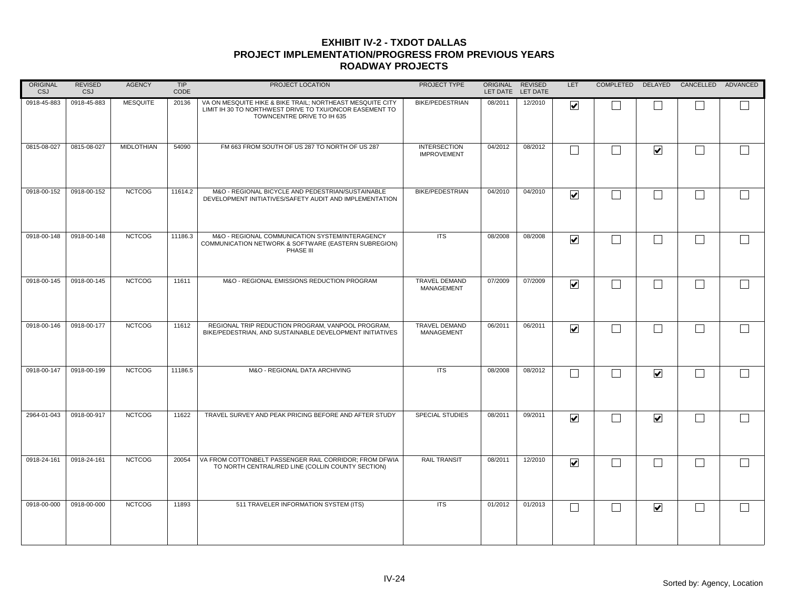| ORIGINAL<br><b>CSJ</b> | <b>REVISED</b><br>CSJ | <b>AGENCY</b>     | TIP<br>CODE | PROJECT LOCATION                                                                                                                                   | PROJECT TYPE                              | ORIGINAL<br>LET DATE LET DATE | <b>REVISED</b> | LET                     |                   |                              | COMPLETED DELAYED CANCELLED ADVANCED |        |
|------------------------|-----------------------|-------------------|-------------|----------------------------------------------------------------------------------------------------------------------------------------------------|-------------------------------------------|-------------------------------|----------------|-------------------------|-------------------|------------------------------|--------------------------------------|--------|
| 0918-45-883            | 0918-45-883           | <b>MESQUITE</b>   | 20136       | VA ON MESQUITE HIKE & BIKE TRAIL; NORTHEAST MESQUITE CITY<br>LIMIT IH 30 TO NORTHWEST DRIVE TO TXU/ONCOR EASEMENT TO<br>TOWNCENTRE DRIVE TO IH 635 | <b>BIKE/PEDESTRIAN</b>                    | 08/2011                       | 12/2010        | $\overline{\mathbf{v}}$ |                   |                              |                                      |        |
| 0815-08-027            | 0815-08-027           | <b>MIDLOTHIAN</b> | 54090       | FM 663 FROM SOUTH OF US 287 TO NORTH OF US 287                                                                                                     | <b>INTERSECTION</b><br><b>IMPROVEMENT</b> | 04/2012                       | 08/2012        |                         |                   | $\overline{\mathbf{v}}$      |                                      | $\Box$ |
| 0918-00-152            | 0918-00-152           | <b>NCTCOG</b>     | 11614.2     | M&O - REGIONAL BICYCLE AND PEDESTRIAN/SUSTAINABLE<br>DEVELOPMENT INITIATIVES/SAFETY AUDIT AND IMPLEMENTATION                                       | <b>BIKE/PEDESTRIAN</b>                    | 04/2010                       | 04/2010        | $\overline{\mathbf{v}}$ | $\perp$           | $\sim$                       | $\vert \ \ \vert$                    | $\Box$ |
| 0918-00-148            | 0918-00-148           | <b>NCTCOG</b>     | 11186.3     | M&O - REGIONAL COMMUNICATION SYSTEM/INTERAGENCY<br>COMMUNICATION NETWORK & SOFTWARE (EASTERN SUBREGION)<br>PHASE III                               | <b>ITS</b>                                | 08/2008                       | 08/2008        | $\overline{\mathbf{v}}$ | $\Box$            | $\sim$                       | $\Box$                               | $\Box$ |
| 0918-00-145            | 0918-00-145           | <b>NCTCOG</b>     | 11611       | M&O - REGIONAL EMISSIONS REDUCTION PROGRAM                                                                                                         | <b>TRAVEL DEMAND</b><br>MANAGEMENT        | 07/2009                       | 07/2009        | $\overline{\mathbf{v}}$ | $\Box$            | Ξ                            |                                      |        |
| 0918-00-146            | 0918-00-177           | <b>NCTCOG</b>     | 11612       | REGIONAL TRIP REDUCTION PROGRAM. VANPOOL PROGRAM.<br>BIKE/PEDESTRIAN, AND SUSTAINABLE DEVELOPMENT INITIATIVES                                      | <b>TRAVEL DEMAND</b><br>MANAGEMENT        | 06/2011                       | 06/2011        | $\overline{\mathbf{v}}$ |                   |                              |                                      | $\Box$ |
| 0918-00-147            | 0918-00-199           | <b>NCTCOG</b>     | 11186.5     | M&O - REGIONAL DATA ARCHIVING                                                                                                                      | <b>ITS</b>                                | 08/2008                       | 08/2012        | L                       |                   | $\overline{\mathbf{v}}$      |                                      | $\Box$ |
| 2964-01-043            | 0918-00-917           | <b>NCTCOG</b>     | 11622       | TRAVEL SURVEY AND PEAK PRICING BEFORE AND AFTER STUDY                                                                                              | <b>SPECIAL STUDIES</b>                    | 08/2011                       | 09/2011        | $\overline{\mathbf{v}}$ |                   | $\overline{\mathbf{v}}$      |                                      | $\Box$ |
| 0918-24-161            | 0918-24-161           | <b>NCTCOG</b>     | 20054       | VA FROM COTTONBELT PASSENGER RAIL CORRIDOR; FROM DFWIA<br>TO NORTH CENTRAL/RED LINE (COLLIN COUNTY SECTION)                                        | <b>RAIL TRANSIT</b>                       | 08/2011                       | 12/2010        | $\overline{\mathbf{v}}$ |                   |                              | $\sim$                               | $\Box$ |
| 0918-00-000            | 0918-00-000           | <b>NCTCOG</b>     | 11893       | 511 TRAVELER INFORMATION SYSTEM (ITS)                                                                                                              | <b>ITS</b>                                | 01/2012                       | 01/2013        | L                       | $\vert \ \ \vert$ | $\boxed{\blacktriangledown}$ |                                      | $\Box$ |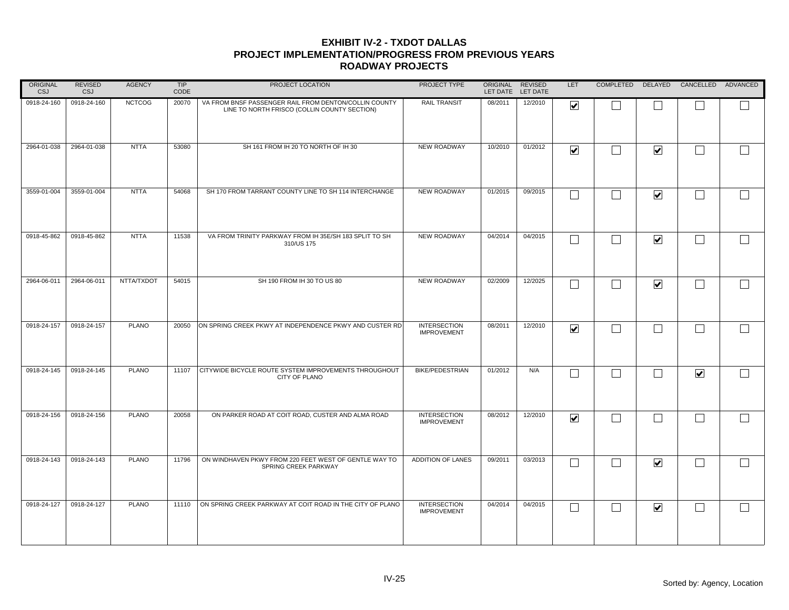| ORIGINAL<br><b>CSJ</b> | <b>REVISED</b><br>CSJ | <b>AGENCY</b> | TIP<br>CODE | PROJECT LOCATION                                                                                      | PROJECT TYPE                              | ORIGINAL REVISED | LET DATE LET DATE | LET                     |              |                             | COMPLETED DELAYED CANCELLED ADVANCED |        |
|------------------------|-----------------------|---------------|-------------|-------------------------------------------------------------------------------------------------------|-------------------------------------------|------------------|-------------------|-------------------------|--------------|-----------------------------|--------------------------------------|--------|
| 0918-24-160            | 0918-24-160           | <b>NCTCOG</b> | 20070       | VA FROM BNSF PASSENGER RAIL FROM DENTON/COLLIN COUNTY<br>LINE TO NORTH FRISCO (COLLIN COUNTY SECTION) | RAIL TRANSIT                              | 08/2011          | 12/2010           | $\overline{\mathbf{v}}$ |              |                             |                                      |        |
| 2964-01-038            | 2964-01-038           | <b>NTTA</b>   | 53080       | SH 161 FROM IH 20 TO NORTH OF IH 30                                                                   | NEW ROADWAY                               | 10/2010          | 01/2012           | $\overline{\mathbf{v}}$ | $\Box$       | $\overline{\mathbf{v}}$     | ┌                                    | $\Box$ |
| 3559-01-004            | 3559-01-004           | <b>NTTA</b>   | 54068       | SH 170 FROM TARRANT COUNTY LINE TO SH 114 INTERCHANGE                                                 | <b>NEW ROADWAY</b>                        | 01/2015          | 09/2015           |                         |              | $\blacktriangledown$        | $\vert \ \ \vert$                    | $\Box$ |
| 0918-45-862            | 0918-45-862           | <b>NTTA</b>   | 11538       | VA FROM TRINITY PARKWAY FROM IH 35E/SH 183 SPLIT TO SH<br>310/US 175                                  | NEW ROADWAY                               | 04/2014          | 04/2015           | $\Box$                  | $\Box$       | $\overline{\mathbf{v}}$     | $\Box$                               | $\Box$ |
| 2964-06-011            | 2964-06-011           | NTTA/TXDOT    | 54015       | SH 190 FROM IH 30 TO US 80                                                                            | <b>NEW ROADWAY</b>                        | 02/2009          | 12/2025           | Г                       | $\Box$       | $\overline{\mathbf{v}}$     | Г                                    | $\Box$ |
| 0918-24-157            | 0918-24-157           | <b>PLANO</b>  | 20050       | ON SPRING CREEK PKWY AT INDEPENDENCE PKWY AND CUSTER RD                                               | <b>INTERSECTION</b><br><b>IMPROVEMENT</b> | 08/2011          | 12/2010           | $\overline{\mathbf{v}}$ |              |                             |                                      | $\Box$ |
| 0918-24-145            | 0918-24-145           | <b>PLANO</b>  | 11107       | CITYWIDE BICYCLE ROUTE SYSTEM IMPROVEMENTS THROUGHOUT<br>CITY OF PLANO                                | <b>BIKE/PEDESTRIAN</b>                    | 01/2012          | N/A               | L                       | $\mathsf{L}$ |                             | $\blacktriangledown$                 | $\Box$ |
| 0918-24-156            | 0918-24-156           | <b>PLANO</b>  | 20058       | ON PARKER ROAD AT COIT ROAD, CUSTER AND ALMA ROAD                                                     | <b>INTERSECTION</b><br><b>IMPROVEMENT</b> | 08/2012          | 12/2010           | $\overline{\mathbf{v}}$ | $\Box$       | $\mathcal{L}_{\mathcal{A}}$ | ┌                                    | $\Box$ |
| 0918-24-143            | 0918-24-143           | <b>PLANO</b>  | 11796       | ON WINDHAVEN PKWY FROM 220 FEET WEST OF GENTLE WAY TO<br>SPRING CREEK PARKWAY                         | ADDITION OF LANES                         | 09/2011          | 03/2013           | L                       |              | $\overline{\mathbf{v}}$     | L.                                   | $\Box$ |
| 0918-24-127            | 0918-24-127           | <b>PLANO</b>  | 11110       | ON SPRING CREEK PARKWAY AT COIT ROAD IN THE CITY OF PLANO                                             | <b>INTERSECTION</b><br><b>IMPROVEMENT</b> | 04/2014          | 04/2015           | L                       | $\mathsf{L}$ | $\overline{\mathbf{v}}$     | $\mathcal{L}$                        | $\Box$ |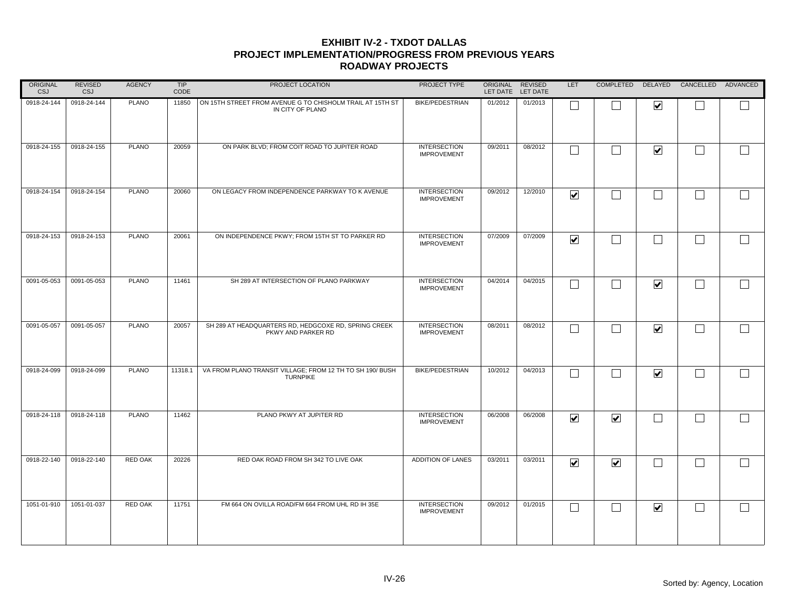| ORIGINAL<br><b>CSJ</b> | <b>REVISED</b><br>CSJ | <b>AGENCY</b> | TIP<br>CODE | PROJECT LOCATION                                                              | PROJECT TYPE                              | ORIGINAL REVISED | LET DATE LET DATE | LET                             |                          |                              | COMPLETED DELAYED CANCELLED ADVANCED |        |
|------------------------|-----------------------|---------------|-------------|-------------------------------------------------------------------------------|-------------------------------------------|------------------|-------------------|---------------------------------|--------------------------|------------------------------|--------------------------------------|--------|
| 0918-24-144            | 0918-24-144           | <b>PLANO</b>  | 11850       | ON 15TH STREET FROM AVENUE G TO CHISHOLM TRAIL AT 15TH ST<br>IN CITY OF PLANO | <b>BIKE/PEDESTRIAN</b>                    | 01/2012          | 01/2013           |                                 |                          | $\boxed{\blacktriangledown}$ |                                      |        |
| 0918-24-155            | 0918-24-155           | <b>PLANO</b>  | 20059       | ON PARK BLVD; FROM COIT ROAD TO JUPITER ROAD                                  | <b>INTERSECTION</b><br><b>IMPROVEMENT</b> | 09/2011          | 08/2012           | Г                               | $\Box$                   | $\overline{\mathbf{v}}$      | ┌                                    | $\Box$ |
| 0918-24-154            | 0918-24-154           | <b>PLANO</b>  | 20060       | ON LEGACY FROM INDEPENDENCE PARKWAY TO K AVENUE                               | <b>INTERSECTION</b><br><b>IMPROVEMENT</b> | 09/2012          | 12/2010           | $\overline{\mathbf{v}}$         | $\mathbf{L}$             | $\sim$                       | $\vert \ \ \vert$                    | $\Box$ |
| 0918-24-153            | 0918-24-153           | <b>PLANO</b>  | 20061       | ON INDEPENDENCE PKWY; FROM 15TH ST TO PARKER RD                               | <b>INTERSECTION</b><br><b>IMPROVEMENT</b> | 07/2009          | 07/2009           | $\overline{\blacktriangledown}$ | $\Box$                   | $\sim$                       | $\Box$                               | $\Box$ |
| 0091-05-053            | 0091-05-053           | <b>PLANO</b>  | 11461       | SH 289 AT INTERSECTION OF PLANO PARKWAY                                       | <b>INTERSECTION</b><br><b>IMPROVEMENT</b> | 04/2014          | 04/2015           | Г                               | $\Box$                   | $\overline{\mathbf{v}}$      | Г                                    | $\Box$ |
| 0091-05-057            | 0091-05-057           | <b>PLANO</b>  | 20057       | SH 289 AT HEADQUARTERS RD, HEDGCOXE RD, SPRING CREEK<br>PKWY AND PARKER RD    | <b>INTERSECTION</b><br><b>IMPROVEMENT</b> | 08/2011          | 08/2012           |                                 |                          | $\overline{\mathbf{v}}$      | L.                                   | $\Box$ |
| 0918-24-099            | 0918-24-099           | <b>PLANO</b>  | 11318.1     | VA FROM PLANO TRANSIT VILLAGE; FROM 12 TH TO SH 190/ BUSH<br><b>TURNPIKE</b>  | <b>BIKE/PEDESTRIAN</b>                    | 10/2012          | 04/2013           | L                               | $\overline{\phantom{0}}$ | $\overline{\mathbf{v}}$      |                                      | $\Box$ |
| 0918-24-118            | 0918-24-118           | <b>PLANO</b>  | 11462       | PLANO PKWY AT JUPITER RD                                                      | <b>INTERSECTION</b><br><b>IMPROVEMENT</b> | 06/2008          | 06/2008           | $\overline{\mathbf{v}}$         | $\overline{\mathbf{v}}$  | $\mathcal{L}_{\mathcal{A}}$  | ┌                                    | $\Box$ |
| 0918-22-140            | 0918-22-140           | RED OAK       | 20226       | RED OAK ROAD FROM SH 342 TO LIVE OAK                                          | ADDITION OF LANES                         | 03/2011          | 03/2011           | $\overline{\mathbf{v}}$         | $\blacktriangledown$     | $\sim$                       | L.                                   | $\Box$ |
| 1051-01-910            | 1051-01-037           | RED OAK       | 11751       | FM 664 ON OVILLA ROAD/FM 664 FROM UHL RD IH 35E                               | <b>INTERSECTION</b><br><b>IMPROVEMENT</b> | 09/2012          | 01/2015           | L                               | $\mathsf{L}$             | $\overline{\mathbf{v}}$      | $\mathcal{L}$                        | $\Box$ |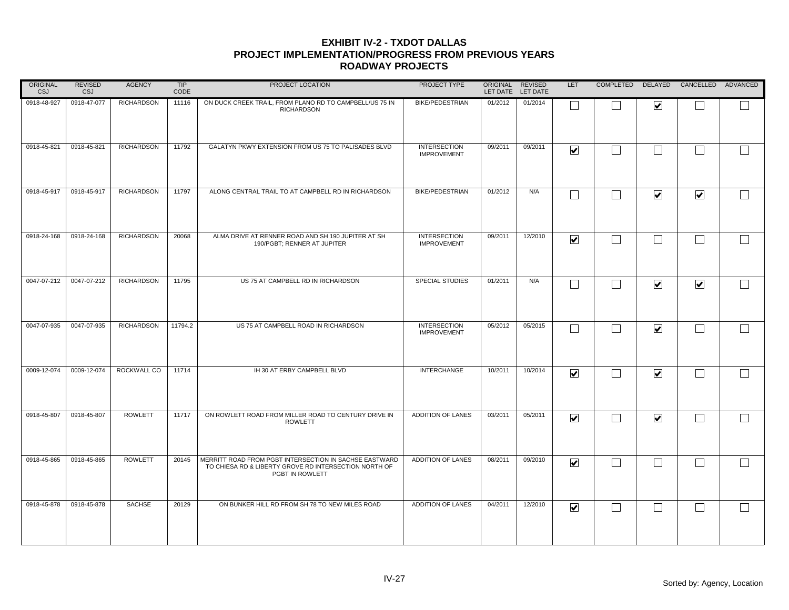| ORIGINAL<br><b>CSJ</b> | <b>REVISED</b><br><b>CSJ</b> | <b>AGENCY</b>     | TIP<br>CODE | PROJECT LOCATION                                                                                                                   | PROJECT TYPE                              |         | ORIGINAL REVISED<br>LET DATE LET DATE | LET                          |                |                         | COMPLETED DELAYED CANCELLED ADVANCED |        |
|------------------------|------------------------------|-------------------|-------------|------------------------------------------------------------------------------------------------------------------------------------|-------------------------------------------|---------|---------------------------------------|------------------------------|----------------|-------------------------|--------------------------------------|--------|
| 0918-48-927            | 0918-47-077                  | <b>RICHARDSON</b> | 11116       | ON DUCK CREEK TRAIL, FROM PLANO RD TO CAMPBELL/US 75 IN<br><b>RICHARDSON</b>                                                       | <b>BIKE/PEDESTRIAN</b>                    | 01/2012 | 01/2014                               |                              |                | $\overline{\mathbf{v}}$ |                                      |        |
| 0918-45-821            | 0918-45-821                  | <b>RICHARDSON</b> | 11792       | GALATYN PKWY EXTENSION FROM US 75 TO PALISADES BLVD                                                                                | <b>INTERSECTION</b><br><b>IMPROVEMENT</b> | 09/2011 | 09/2011                               | $\overline{\mathbf{v}}$      |                | П                       | $\Box$                               |        |
| 0918-45-917            | 0918-45-917                  | <b>RICHARDSON</b> | 11797       | ALONG CENTRAL TRAIL TO AT CAMPBELL RD IN RICHARDSON                                                                                | <b>BIKE/PEDESTRIAN</b>                    | 01/2012 | N/A                                   |                              |                | $\blacktriangledown$    | $\blacktriangledown$                 | $\Box$ |
| 0918-24-168            | 0918-24-168                  | <b>RICHARDSON</b> | 20068       | ALMA DRIVE AT RENNER ROAD AND SH 190 JUPITER AT SH<br>190/PGBT; RENNER AT JUPITER                                                  | <b>INTERSECTION</b><br><b>IMPROVEMENT</b> | 09/2011 | 12/2010                               | $\overline{\mathbf{v}}$      | $\blacksquare$ | $\vert \ \ \vert$       | $\Box$                               |        |
| 0047-07-212            | 0047-07-212                  | <b>RICHARDSON</b> | 11795       | US 75 AT CAMPBELL RD IN RICHARDSON                                                                                                 | <b>SPECIAL STUDIES</b>                    | 01/2011 | N/A                                   |                              |                | $\blacktriangledown$    | $\overline{\mathbf{v}}$              |        |
| 0047-07-935            | 0047-07-935                  | <b>RICHARDSON</b> | 11794.2     | US 75 AT CAMPBELL ROAD IN RICHARDSON                                                                                               | <b>INTERSECTION</b><br><b>IMPROVEMENT</b> | 05/2012 | 05/2015                               |                              |                | $\blacktriangledown$    | $\vert \ \ \vert$                    | $\Box$ |
| 0009-12-074            | 0009-12-074                  | ROCKWALL CO       | 11714       | IH 30 AT ERBY CAMPBELL BLVD                                                                                                        | <b>INTERCHANGE</b>                        | 10/2011 | 10/2014                               | $\overline{\mathbf{v}}$      |                | $\blacktriangledown$    | $\Box$                               |        |
| 0918-45-807            | 0918-45-807                  | <b>ROWLETT</b>    | 11717       | ON ROWLETT ROAD FROM MILLER ROAD TO CENTURY DRIVE IN<br><b>ROWLETT</b>                                                             | ADDITION OF LANES                         | 03/2011 | 05/2011                               | $\overline{\mathbf{v}}$      |                | $\overline{\mathbf{v}}$ | $\Box$                               | $\Box$ |
| 0918-45-865            | 0918-45-865                  | <b>ROWLETT</b>    | 20145       | MERRITT ROAD FROM PGBT INTERSECTION IN SACHSE EASTWARD<br>TO CHIESA RD & LIBERTY GROVE RD INTERSECTION NORTH OF<br>PGBT IN ROWLETT | ADDITION OF LANES                         | 08/2011 | 09/2010                               | $\overline{\mathbf{v}}$      |                | $\blacksquare$          | $\vert \ \ \vert$                    |        |
| 0918-45-878            | 0918-45-878                  | SACHSE            | 20129       | ON BUNKER HILL RD FROM SH 78 TO NEW MILES ROAD                                                                                     | <b>ADDITION OF LANES</b>                  | 04/2011 | 12/2010                               | $\boxed{\blacktriangledown}$ |                | $\blacksquare$          | $\vert \ \ \vert$                    |        |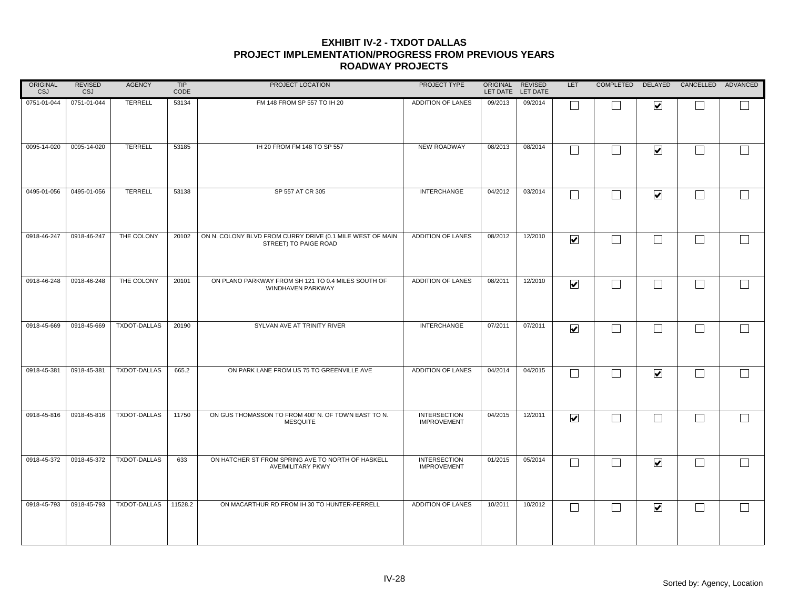| ORIGINAL<br>CSJ | <b>REVISED</b><br>CSJ | <b>AGENCY</b>       | TIP<br>CODE | PROJECT LOCATION                                                                   | PROJECT TYPE                              |         | ORIGINAL REVISED<br>LET DATE LET DATE | <b>LET</b>              |                          |                         | COMPLETED DELAYED CANCELLED ADVANCED |                   |
|-----------------|-----------------------|---------------------|-------------|------------------------------------------------------------------------------------|-------------------------------------------|---------|---------------------------------------|-------------------------|--------------------------|-------------------------|--------------------------------------|-------------------|
| 0751-01-044     | 0751-01-044           | TERRELL             | 53134       | FM 148 FROM SP 557 TO IH 20                                                        | ADDITION OF LANES                         | 09/2013 | 09/2014                               |                         |                          | $\overline{\mathbf{v}}$ |                                      |                   |
| 0095-14-020     | 0095-14-020           | <b>TERRELL</b>      | 53185       | IH 20 FROM FM 148 TO SP 557                                                        | NEW ROADWAY                               | 08/2013 | 08/2014                               |                         |                          | $\blacktriangledown$    | $\Box$                               | $\Box$            |
| 0495-01-056     | 0495-01-056           | TERRELL             | 53138       | SP 557 AT CR 305                                                                   | <b>INTERCHANGE</b>                        | 04/2012 | 03/2014                               |                         |                          | $\blacktriangledown$    | $\Box$                               | $\Box$            |
| 0918-46-247     | 0918-46-247           | THE COLONY          | 20102       | ON N. COLONY BLVD FROM CURRY DRIVE (0.1 MILE WEST OF MAIN<br>STREET) TO PAIGE ROAD | ADDITION OF LANES                         | 08/2012 | 12/2010                               | $\overline{\mathbf{v}}$ | ┓                        | $\Box$                  | $\Box$                               |                   |
| 0918-46-248     | 0918-46-248           | THE COLONY          | 20101       | ON PLANO PARKWAY FROM SH 121 TO 0.4 MILES SOUTH OF<br>WINDHAVEN PARKWAY            | ADDITION OF LANES                         | 08/2011 | 12/2010                               | $\overline{\mathbf{v}}$ |                          | $\Box$                  | $\Box$                               |                   |
| 0918-45-669     | 0918-45-669           | TXDOT-DALLAS        | 20190       | SYLVAN AVE AT TRINITY RIVER                                                        | <b>INTERCHANGE</b>                        | 07/2011 | 07/2011                               | $\overline{\mathbf{v}}$ |                          | $\blacksquare$          | $\vert \ \ \vert$                    | $\Box$            |
| 0918-45-381     | 0918-45-381           | <b>TXDOT-DALLAS</b> | 665.2       | ON PARK LANE FROM US 75 TO GREENVILLE AVE                                          | <b>ADDITION OF LANES</b>                  | 04/2014 | 04/2015                               | L                       |                          | $\blacktriangledown$    | $\vert \ \ \vert$                    | $\vert \ \ \vert$ |
| 0918-45-816     | 0918-45-816           | TXDOT-DALLAS        | 11750       | ON GUS THOMASSON TO FROM 400' N. OF TOWN EAST TO N.<br><b>MESQUITE</b>             | <b>INTERSECTION</b><br><b>IMPROVEMENT</b> | 04/2015 | 12/2011                               | $\overline{\mathbf{v}}$ | $\overline{\phantom{0}}$ | $\Box$                  | $\Box$                               | $\Box$            |
| 0918-45-372     | 0918-45-372           | <b>TXDOT-DALLAS</b> | 633         | ON HATCHER ST FROM SPRING AVE TO NORTH OF HASKELL<br>AVE/MILITARY PKWY             | <b>INTERSECTION</b><br><b>IMPROVEMENT</b> | 01/2015 | 05/2014                               |                         |                          | $\blacktriangledown$    | $\vert \ \ \vert$                    | $\Box$            |
| 0918-45-793     | 0918-45-793           | <b>TXDOT-DALLAS</b> | 11528.2     | ON MACARTHUR RD FROM IH 30 TO HUNTER-FERRELL                                       | <b>ADDITION OF LANES</b>                  | 10/2011 | 10/2012                               | L                       |                          | $\blacktriangledown$    | $\mathcal{L}_{\mathcal{A}}$          |                   |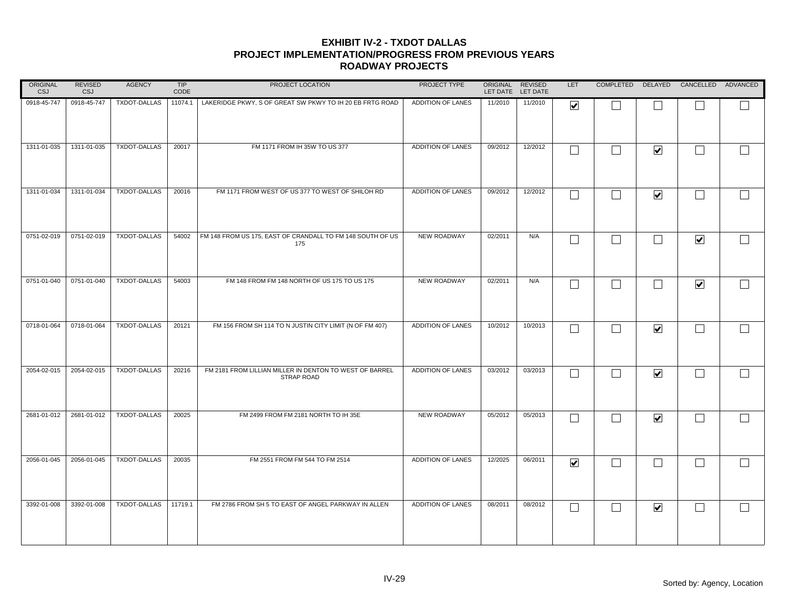| ORIGINAL<br><b>CSJ</b> | <b>REVISED</b><br><b>CSJ</b> | <b>AGENCY</b>       | TIP<br>CODE | PROJECT LOCATION                                                             | PROJECT TYPE       | ORIGINAL REVISED | LET DATE LET DATE | LET                     |                          |                      | COMPLETED DELAYED CANCELLED ADVANCED |        |
|------------------------|------------------------------|---------------------|-------------|------------------------------------------------------------------------------|--------------------|------------------|-------------------|-------------------------|--------------------------|----------------------|--------------------------------------|--------|
| 0918-45-747            | 0918-45-747                  | TXDOT-DALLAS        | 11074.1     | LAKERIDGE PKWY, S OF GREAT SW PKWY TO IH 20 EB FRTG ROAD                     | ADDITION OF LANES  | 11/2010          | 11/2010           | ☑                       |                          |                      |                                      |        |
| 1311-01-035            | 1311-01-035                  | TXDOT-DALLAS        | 20017       | FM 1171 FROM IH 35W TO US 377                                                | ADDITION OF LANES  | 09/2012          | 12/2012           | $\Box$                  | $\Box$                   | $\blacktriangledown$ | $\Box$                               | $\Box$ |
| 1311-01-034            | 1311-01-034                  | TXDOT-DALLAS        | 20016       | FM 1171 FROM WEST OF US 377 TO WEST OF SHILOH RD                             | ADDITION OF LANES  | 09/2012          | 12/2012           | $\mathsf{L}$            | $\blacksquare$           | $\blacktriangledown$ | $\Box$                               | $\Box$ |
| 0751-02-019            | 0751-02-019                  | <b>TXDOT-DALLAS</b> | 54002       | FM 148 FROM US 175, EAST OF CRANDALL TO FM 148 SOUTH OF US<br>175            | NEW ROADWAY        | 02/2011          | N/A               | $\Box$                  | $\blacksquare$           | $\Box$               | $\blacktriangledown$                 | $\Box$ |
| 0751-01-040            | 0751-01-040                  | TXDOT-DALLAS        | 54003       | FM 148 FROM FM 148 NORTH OF US 175 TO US 175                                 | <b>NEW ROADWAY</b> | 02/2011          | N/A               | $\Box$                  | $\overline{\phantom{a}}$ | П                    | $\blacktriangledown$                 |        |
| 0718-01-064            | 0718-01-064                  | TXDOT-DALLAS        | 20121       | FM 156 FROM SH 114 TO N JUSTIN CITY LIMIT (N OF FM 407)                      | ADDITION OF LANES  | 10/2012          | 10/2013           |                         |                          | $\blacktriangledown$ | $\Box$                               | $\Box$ |
| 2054-02-015            | 2054-02-015                  | TXDOT-DALLAS        | 20216       | FM 2181 FROM LILLIAN MILLER IN DENTON TO WEST OF BARREL<br><b>STRAP ROAD</b> | ADDITION OF LANES  | 03/2012          | 03/2013           | $\mathbf{L}$            | $\overline{\phantom{0}}$ | $\blacktriangledown$ | $\Box$                               |        |
| 2681-01-012            | 2681-01-012                  | TXDOT-DALLAS        | 20025       | FM 2499 FROM FM 2181 NORTH TO IH 35E                                         | NEW ROADWAY        | 05/2012          | 05/2013           | I.                      |                          | $\blacktriangledown$ | $\Box$                               | $\Box$ |
| 2056-01-045            | 2056-01-045                  | TXDOT-DALLAS        | 20035       | FM 2551 FROM FM 544 TO FM 2514                                               | ADDITION OF LANES  | 12/2025          | 06/2011           | $\overline{\mathbf{v}}$ |                          | $\Box$               | $\Box$                               |        |
| 3392-01-008            | 3392-01-008                  | TXDOT-DALLAS        | 11719.1     | FM 2786 FROM SH 5 TO EAST OF ANGEL PARKWAY IN ALLEN                          | ADDITION OF LANES  | 08/2011          | 08/2012           | $\Box$                  | $\blacksquare$           | $\blacktriangledown$ | $\Box$                               |        |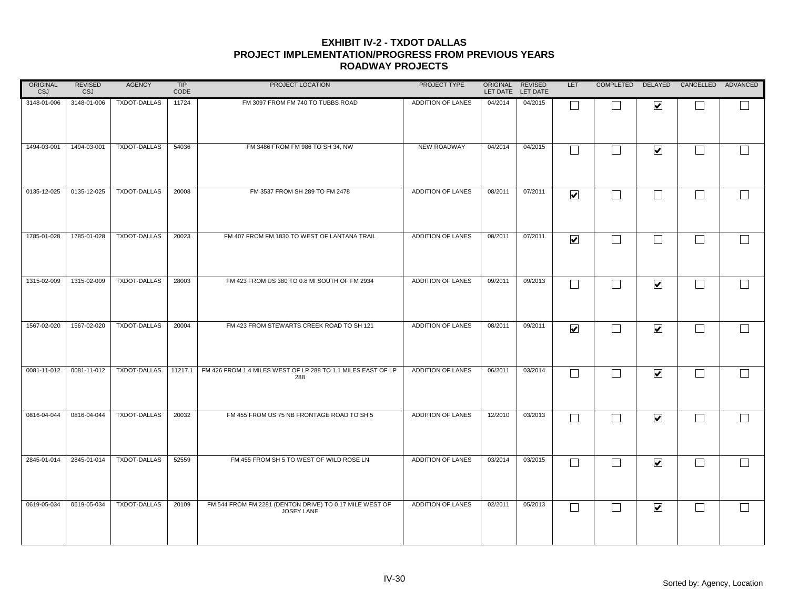| ORIGINAL<br><b>CSJ</b> | <b>REVISED</b><br>CSJ | <b>AGENCY</b>       | TIP<br>CODE | PROJECT LOCATION                                                      | PROJECT TYPE             |         | ORIGINAL REVISED<br>LET DATE LET DATE | <b>LET</b>              |                          |                         | COMPLETED DELAYED CANCELLED ADVANCED |        |
|------------------------|-----------------------|---------------------|-------------|-----------------------------------------------------------------------|--------------------------|---------|---------------------------------------|-------------------------|--------------------------|-------------------------|--------------------------------------|--------|
| 3148-01-006            | 3148-01-006           | TXDOT-DALLAS        | 11724       | FM 3097 FROM FM 740 TO TUBBS ROAD                                     | ADDITION OF LANES        | 04/2014 | 04/2015                               |                         |                          | $\overline{\mathbf{v}}$ |                                      |        |
| 1494-03-001            | 1494-03-001           | TXDOT-DALLAS        | 54036       | FM 3486 FROM FM 986 TO SH 34, NW                                      | NEW ROADWAY              | 04/2014 | 04/2015                               | $\Box$                  | $\overline{\phantom{0}}$ | $\blacktriangledown$    | $\Box$                               | $\Box$ |
| 0135-12-025            | 0135-12-025           | <b>TXDOT-DALLAS</b> | 20008       | FM 3537 FROM SH 289 TO FM 2478                                        | ADDITION OF LANES        | 08/2011 | 07/2011                               | $\blacktriangledown$    | $\overline{\phantom{0}}$ | $\Box$                  | $\Box$                               | $\Box$ |
| 1785-01-028            | 1785-01-028           | <b>TXDOT-DALLAS</b> | 20023       | FM 407 FROM FM 1830 TO WEST OF LANTANA TRAIL                          | ADDITION OF LANES        | 08/2011 | 07/2011                               | $\overline{\mathbf{v}}$ | $\Box$                   | $\Box$                  | $\Box$                               |        |
| 1315-02-009            | 1315-02-009           | TXDOT-DALLAS        | 28003       | FM 423 FROM US 380 TO 0.8 MI SOUTH OF FM 2934                         | ADDITION OF LANES        | 09/2011 | 09/2013                               | $\Box$                  | ┐                        | $\blacktriangledown$    | $\Box$                               |        |
| 1567-02-020            | 1567-02-020           | TXDOT-DALLAS        | 20004       | FM 423 FROM STEWARTS CREEK ROAD TO SH 121                             | <b>ADDITION OF LANES</b> | 08/2011 | 09/2011                               | $\blacktriangledown$    |                          | $\blacktriangledown$    | $\Box$                               | $\Box$ |
| 0081-11-012            | 0081-11-012           | TXDOT-DALLAS        | 11217.1     | FM 426 FROM 1.4 MILES WEST OF LP 288 TO 1.1 MILES EAST OF LP<br>288   | ADDITION OF LANES        | 06/2011 | 03/2014                               | $\mathbf{L}$            | IJ                       | $\blacktriangledown$    | $\Box$                               |        |
| 0816-04-044            | 0816-04-044           | TXDOT-DALLAS        | 20032       | FM 455 FROM US 75 NB FRONTAGE ROAD TO SH 5                            | ADDITION OF LANES        | 12/2010 | 03/2013                               | I.                      | $\overline{\phantom{0}}$ | $\blacktriangledown$    | $\Box$                               | $\Box$ |
| 2845-01-014            | 2845-01-014           | <b>TXDOT-DALLAS</b> | 52559       | FM 455 FROM SH 5 TO WEST OF WILD ROSE LN                              | <b>ADDITION OF LANES</b> | 03/2014 | 03/2015                               | $\Box$                  |                          | $\blacktriangledown$    | $\Box$                               | $\Box$ |
| 0619-05-034            | 0619-05-034           | <b>TXDOT-DALLAS</b> | 20109       | FM 544 FROM FM 2281 (DENTON DRIVE) TO 0.17 MILE WEST OF<br>JOSEY LANE | ADDITION OF LANES        | 02/2011 | 05/2013                               | $\Box$                  | $\overline{\phantom{0}}$ | $\blacktriangledown$    | $\mathcal{L}_{\mathcal{A}}$          |        |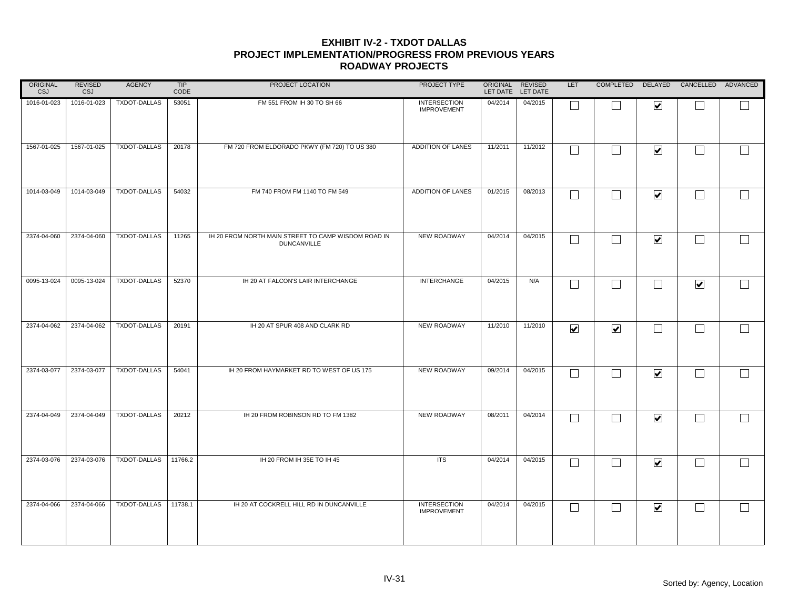| ORIGINAL<br><b>CSJ</b> | <b>REVISED</b><br><b>CSJ</b> | <b>AGENCY</b>       | TIP<br>CODE | PROJECT LOCATION                                                          | PROJECT TYPE                              | ORIGINAL REVISED | LET DATE LET DATE | <b>LET</b>           |                      |                      | COMPLETED DELAYED CANCELLED ADVANCED |              |
|------------------------|------------------------------|---------------------|-------------|---------------------------------------------------------------------------|-------------------------------------------|------------------|-------------------|----------------------|----------------------|----------------------|--------------------------------------|--------------|
| 1016-01-023            | 1016-01-023                  | TXDOT-DALLAS        | 53051       | FM 551 FROM IH 30 TO SH 66                                                | <b>INTERSECTION</b><br><b>IMPROVEMENT</b> | 04/2014          | 04/2015           | $\Box$               |                      | $\blacktriangledown$ |                                      |              |
| 1567-01-025            | 1567-01-025                  | <b>TXDOT-DALLAS</b> | 20178       | FM 720 FROM ELDORADO PKWY (FM 720) TO US 380                              | ADDITION OF LANES                         | 11/2011          | 11/2012           | $\Box$               | $\perp$              | $\blacktriangledown$ | $\overline{\phantom{a}}$             | $\mathbf{I}$ |
| 1014-03-049            | 1014-03-049                  | <b>TXDOT-DALLAS</b> | 54032       | FM 740 FROM FM 1140 TO FM 549                                             | ADDITION OF LANES                         | 01/2015          | 08/2013           | $\Box$               | $\vert \ \ \vert$    | $\blacktriangledown$ | $\overline{\phantom{0}}$             | $\Box$       |
| 2374-04-060            | 2374-04-060                  | TXDOT-DALLAS        | 11265       | IH 20 FROM NORTH MAIN STREET TO CAMP WISDOM ROAD IN<br><b>DUNCANVILLE</b> | NEW ROADWAY                               | 04/2014          | 04/2015           | $\Box$               | П                    | $\blacktriangledown$ | L.                                   |              |
| 0095-13-024            | 0095-13-024                  | <b>TXDOT-DALLAS</b> | 52370       | IH 20 AT FALCON'S LAIR INTERCHANGE                                        | <b>INTERCHANGE</b>                        | 04/2015          | N/A               | $\Box$               | П                    | $\Box$               | $\blacktriangledown$                 |              |
| 2374-04-062            | 2374-04-062                  | <b>TXDOT-DALLAS</b> | 20191       | IH 20 AT SPUR 408 AND CLARK RD                                            | <b>NEW ROADWAY</b>                        | 11/2010          | 11/2010           | $\blacktriangledown$ | $\blacktriangledown$ | $\sim$ 1             |                                      |              |
| 2374-03-077            | 2374-03-077                  | <b>TXDOT-DALLAS</b> | 54041       | IH 20 FROM HAYMARKET RD TO WEST OF US 175                                 | <b>NEW ROADWAY</b>                        | 09/2014          | 04/2015           | $\Box$               | $\vert \ \ \vert$    | $\blacktriangledown$ | L.                                   |              |
| 2374-04-049            | 2374-04-049                  | TXDOT-DALLAS        | 20212       | IH 20 FROM ROBINSON RD TO FM 1382                                         | NEW ROADWAY                               | 08/2011          | 04/2014           | $\Box$               | $\Box$               | $\blacktriangledown$ |                                      |              |
| 2374-03-076            | 2374-03-076                  | TXDOT-DALLAS        | 11766.2     | IH 20 FROM IH 35E TO IH 45                                                | <b>ITS</b>                                | 04/2014          | 04/2015           | $\Box$               |                      | $\blacktriangledown$ | L.                                   | $\Box$       |
| 2374-04-066            | 2374-04-066                  | <b>TXDOT-DALLAS</b> | 11738.1     | IH 20 AT COCKRELL HILL RD IN DUNCANVILLE                                  | <b>INTERSECTION</b><br><b>IMPROVEMENT</b> | 04/2014          | 04/2015           | $\Box$               | $\Box$               | $\blacktriangledown$ | L.                                   |              |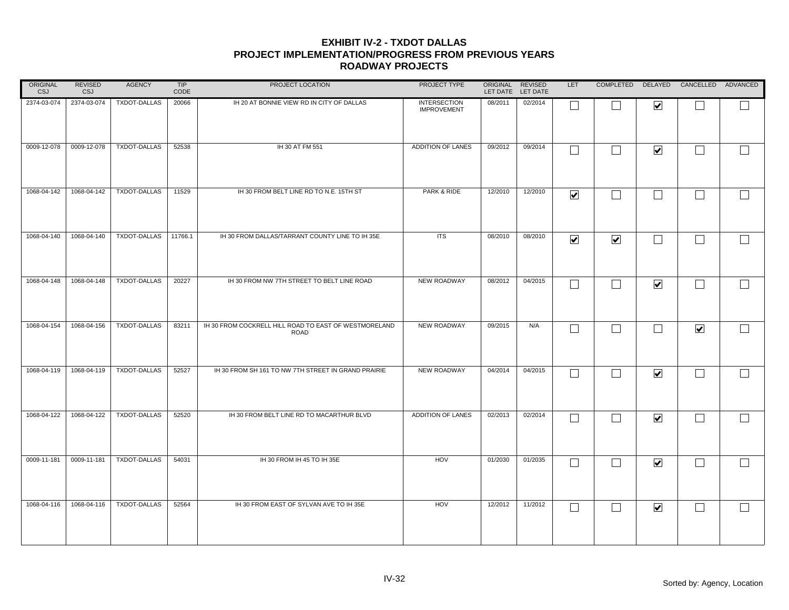| ORIGINAL<br><b>CSJ</b> | <b>REVISED</b><br><b>CSJ</b> | <b>AGENCY</b>       | TIP<br>CODE | PROJECT LOCATION                                                     | PROJECT TYPE                              | ORIGINAL REVISED | LET DATE LET DATE | <b>LET</b>              |                          |                          | COMPLETED DELAYED CANCELLED ADVANCED |        |
|------------------------|------------------------------|---------------------|-------------|----------------------------------------------------------------------|-------------------------------------------|------------------|-------------------|-------------------------|--------------------------|--------------------------|--------------------------------------|--------|
| 2374-03-074            | 2374-03-074                  | TXDOT-DALLAS        | 20066       | IH 20 AT BONNIE VIEW RD IN CITY OF DALLAS                            | <b>INTERSECTION</b><br><b>IMPROVEMENT</b> | 08/2011          | 02/2014           |                         |                          | $\overline{\mathbf{v}}$  |                                      |        |
| 0009-12-078            | 0009-12-078                  | TXDOT-DALLAS        | 52538       | IH 30 AT FM 551                                                      | ADDITION OF LANES                         | 09/2012          | 09/2014           |                         |                          | $\blacktriangledown$     | $\Box$                               | $\Box$ |
| 1068-04-142            | 1068-04-142                  | <b>TXDOT-DALLAS</b> | 11529       | IH 30 FROM BELT LINE RD TO N.E. 15TH ST                              | PARK & RIDE                               | 12/2010          | 12/2010           | $\overline{\mathbf{v}}$ | $\overline{\phantom{0}}$ | $\Box$                   | $\Box$                               | $\Box$ |
| 1068-04-140            | 1068-04-140                  | TXDOT-DALLAS        | 11766.1     | IH 30 FROM DALLAS/TARRANT COUNTY LINE TO IH 35E                      | <b>ITS</b>                                | 08/2010          | 08/2010           | ☑                       | $\overline{\mathbf{v}}$  | $\Box$                   | $\mathcal{L}^{\mathcal{A}}$          |        |
| 1068-04-148            | 1068-04-148                  | <b>TXDOT-DALLAS</b> | 20227       | IH 30 FROM NW 7TH STREET TO BELT LINE ROAD                           | <b>NEW ROADWAY</b>                        | 08/2012          | 04/2015           |                         |                          | $\blacktriangledown$     | $\Box$                               |        |
| 1068-04-154            | 1068-04-156                  | TXDOT-DALLAS        | 83211       | IH 30 FROM COCKRELL HILL ROAD TO EAST OF WESTMORELAND<br><b>ROAD</b> | <b>NEW ROADWAY</b>                        | 09/2015          | N/A               |                         |                          | $\overline{\phantom{a}}$ | $\blacktriangledown$                 | $\Box$ |
| 1068-04-119            | 1068-04-119                  | <b>TXDOT-DALLAS</b> | 52527       | IH 30 FROM SH 161 TO NW 7TH STREET IN GRAND PRAIRIE                  | <b>NEW ROADWAY</b>                        | 04/2014          | 04/2015           |                         |                          | $\overline{\mathbf{v}}$  | $\vert \ \ \vert$                    |        |
| 1068-04-122            | 1068-04-122                  | TXDOT-DALLAS        | 52520       | IH 30 FROM BELT LINE RD TO MACARTHUR BLVD                            | ADDITION OF LANES                         | 02/2013          | 02/2014           |                         |                          | $\blacktriangledown$     | $\Box$                               |        |
| 0009-11-181            | 0009-11-181                  | TXDOT-DALLAS        | 54031       | IH 30 FROM IH 45 TO IH 35E                                           | HOV                                       | 01/2030          | 01/2035           |                         |                          | $\blacktriangledown$     | $\Box$                               | $\Box$ |
| 1068-04-116            | 1068-04-116                  | <b>TXDOT-DALLAS</b> | 52564       | IH 30 FROM EAST OF SYLVAN AVE TO IH 35E                              | HOV                                       | 12/2012          | 11/2012           | L                       |                          | $\blacktriangledown$     | $\vert \ \ \vert$                    |        |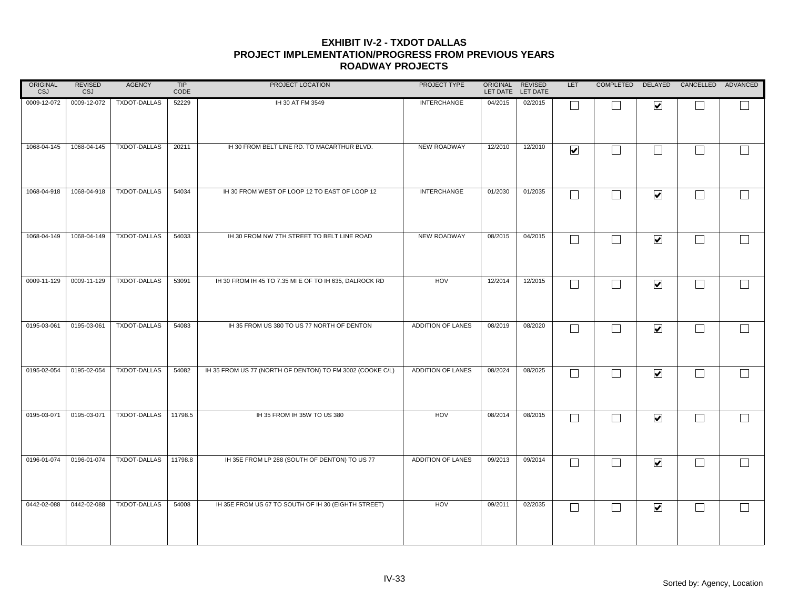| ORIGINAL<br><b>CSJ</b> | REVISED<br><b>CSJ</b> | <b>AGENCY</b>       | TIP<br>CODE | PROJECT LOCATION                                          | PROJECT TYPE       | ORIGINAL REVISED | LET DATE LET DATE | LET                     |                   |                      | COMPLETED DELAYED CANCELLED ADVANCED |        |
|------------------------|-----------------------|---------------------|-------------|-----------------------------------------------------------|--------------------|------------------|-------------------|-------------------------|-------------------|----------------------|--------------------------------------|--------|
| 0009-12-072            | 0009-12-072           | TXDOT-DALLAS        | 52229       | IH 30 AT FM 3549                                          | <b>INTERCHANGE</b> | 04/2015          | 02/2015           | $\Box$                  |                   | $\blacktriangledown$ |                                      |        |
| 1068-04-145            | 1068-04-145           | TXDOT-DALLAS        | 20211       | IH 30 FROM BELT LINE RD. TO MACARTHUR BLVD.               | NEW ROADWAY        | 12/2010          | 12/2010           | $\overline{\mathbf{v}}$ | $\Box$            | $\Box$               | $\overline{\phantom{a}}$             | $\Box$ |
| 1068-04-918            | 1068-04-918           | <b>TXDOT-DALLAS</b> | 54034       | IH 30 FROM WEST OF LOOP 12 TO EAST OF LOOP 12             | <b>INTERCHANGE</b> | 01/2030          | 01/2035           | $\Box$                  | $\Box$            | $\blacktriangledown$ | $\perp$                              | $\Box$ |
| 1068-04-149            | 1068-04-149           | TXDOT-DALLAS        | 54033       | IH 30 FROM NW 7TH STREET TO BELT LINE ROAD                | NEW ROADWAY        | 08/2015          | 04/2015           | $\Box$                  | $\Box$            | $\blacktriangledown$ | $\overline{\phantom{0}}$             | $\Box$ |
| 0009-11-129            | 0009-11-129           | TXDOT-DALLAS        | 53091       | IH 30 FROM IH 45 TO 7.35 MI E OF TO IH 635, DALROCK RD    | HOV                | 12/2014          | 12/2015           | $\Box$                  | $\Box$            | $\blacktriangledown$ | $\Box$                               |        |
| 0195-03-061            | 0195-03-061           | TXDOT-DALLAS        | 54083       | IH 35 FROM US 380 TO US 77 NORTH OF DENTON                | ADDITION OF LANES  | 08/2019          | 08/2020           | $\Box$                  |                   | $\blacktriangledown$ | L.                                   | $\Box$ |
| 0195-02-054            | 0195-02-054           | TXDOT-DALLAS        | 54082       | IH 35 FROM US 77 (NORTH OF DENTON) TO FM 3002 (COOKE C/L) | ADDITION OF LANES  | 08/2024          | 08/2025           | $\Box$                  | $\perp$           | $\blacktriangledown$ | $\overline{\phantom{a}}$             | $\Box$ |
| 0195-03-071            | 0195-03-071           | TXDOT-DALLAS        | 11798.5     | IH 35 FROM IH 35W TO US 380                               | HOV                | 08/2014          | 08/2015           | $\Box$                  | П                 | $\blacktriangledown$ | $\Box$                               |        |
| 0196-01-074            | 0196-01-074           | TXDOT-DALLAS        | 11798.8     | IH 35E FROM LP 288 (SOUTH OF DENTON) TO US 77             | ADDITION OF LANES  | 09/2013          | 09/2014           | $\Box$                  | $\Box$            | $\blacktriangledown$ | $\overline{\phantom{a}}$             | $\Box$ |
| 0442-02-088            | 0442-02-088           | TXDOT-DALLAS        | 54008       | IH 35E FROM US 67 TO SOUTH OF IH 30 (EIGHTH STREET)       | HOV                | 09/2011          | 02/2035           | $\Box$                  | $\vert \ \ \vert$ | $\blacktriangledown$ | $\sim$                               |        |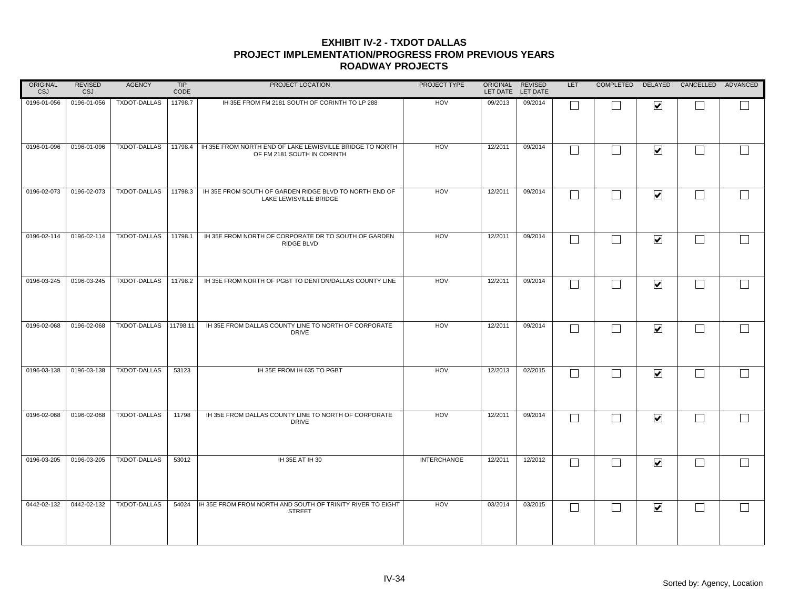| ORIGINAL<br><b>CSJ</b> | <b>REVISED</b><br><b>CSJ</b> | <b>AGENCY</b>         | TIP<br>CODE | PROJECT LOCATION                                                                        | PROJECT TYPE       | ORIGINAL REVISED<br>LET DATE LET DATE |         | <b>LET</b> |        |                         | COMPLETED DELAYED CANCELLED ADVANCED |  |
|------------------------|------------------------------|-----------------------|-------------|-----------------------------------------------------------------------------------------|--------------------|---------------------------------------|---------|------------|--------|-------------------------|--------------------------------------|--|
| 0196-01-056            | 0196-01-056                  | <b>TXDOT-DALLAS</b>   | 11798.7     | IH 35E FROM FM 2181 SOUTH OF CORINTH TO LP 288                                          | HOV                | 09/2013                               | 09/2014 | ⊏          |        | $\overline{\mathbf{v}}$ |                                      |  |
| 0196-01-096            | 0196-01-096                  | <b>TXDOT-DALLAS</b>   | 11798.4     | IH 35E FROM NORTH END OF LAKE LEWISVILLE BRIDGE TO NORTH<br>OF FM 2181 SOUTH IN CORINTH | HOV                | 12/2011                               | 09/2014 | $\Box$     |        | $\blacktriangledown$    | $\overline{\phantom{a}}$             |  |
| 0196-02-073            | 0196-02-073                  | <b>TXDOT-DALLAS</b>   | 11798.3     | IH 35E FROM SOUTH OF GARDEN RIDGE BLVD TO NORTH END OF<br>LAKE LEWISVILLE BRIDGE        | HOV                | 12/2011                               | 09/2014 | $\Box$     | $\sim$ | $\blacktriangledown$    | $\overline{\phantom{0}}$             |  |
| 0196-02-114            | 0196-02-114                  | TXDOT-DALLAS 11798.1  |             | IH 35E FROM NORTH OF CORPORATE DR TO SOUTH OF GARDEN<br>RIDGE BLVD                      | <b>HOV</b>         | 12/2011                               | 09/2014 | $\Box$     |        | $\blacktriangledown$    |                                      |  |
| 0196-03-245            | 0196-03-245                  | <b>TXDOT-DALLAS</b>   | 11798.2     | IH 35E FROM NORTH OF PGBT TO DENTON/DALLAS COUNTY LINE                                  | HOV                | 12/2011                               | 09/2014 | $\Box$     |        | $\blacktriangledown$    |                                      |  |
| 0196-02-068            | 0196-02-068                  | TXDOT-DALLAS 11798.11 |             | IH 35E FROM DALLAS COUNTY LINE TO NORTH OF CORPORATE<br><b>DRIVE</b>                    | HOV                | 12/2011                               | 09/2014 | Г          |        | $\blacktriangledown$    | $\mathbf{L}$                         |  |
| 0196-03-138            | 0196-03-138                  | <b>TXDOT-DALLAS</b>   | 53123       | IH 35E FROM IH 635 TO PGBT                                                              | HOV                | 12/2013                               | 02/2015 | $\Box$     |        | $\overline{\mathbf{v}}$ |                                      |  |
| 0196-02-068            | 0196-02-068                  | <b>TXDOT-DALLAS</b>   | 11798       | IH 35E FROM DALLAS COUNTY LINE TO NORTH OF CORPORATE<br><b>DRIVE</b>                    | HOV                | 12/2011                               | 09/2014 | $\Box$     |        | $\blacktriangledown$    | $\mathbf{L}$                         |  |
| 0196-03-205            | 0196-03-205                  | <b>TXDOT-DALLAS</b>   | 53012       | IH 35E AT IH 30                                                                         | <b>INTERCHANGE</b> | 12/2011                               | 12/2012 | П          |        | $\blacktriangledown$    | $\mathbf{I}$                         |  |
| 0442-02-132            | 0442-02-132                  | TXDOT-DALLAS          | 54024       | IH 35E FROM FROM NORTH AND SOUTH OF TRINITY RIVER TO EIGHT<br><b>STREET</b>             | HOV                | 03/2014                               | 03/2015 | $\Box$     |        | $\overline{\mathbf{v}}$ | $\mathbf{L}$                         |  |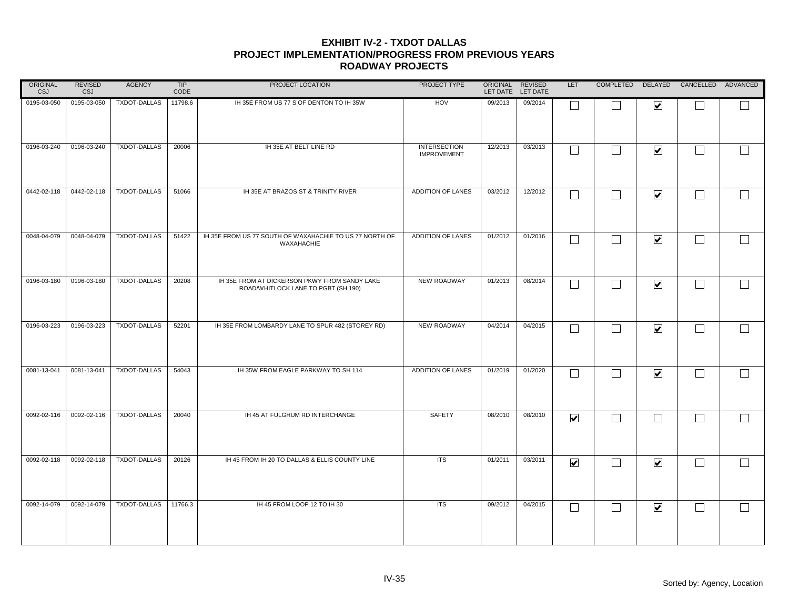| <b>ORIGINAL</b><br>CSJ | REVISED<br>CSJ | <b>AGENCY</b>       | TIP<br>CODE | PROJECT LOCATION                                                                     | PROJECT TYPE                              | ORIGINAL | REVISED<br>LET DATE LET DATE | LET                     |                   |                      | COMPLETED DELAYED CANCELLED ADVANCED |              |
|------------------------|----------------|---------------------|-------------|--------------------------------------------------------------------------------------|-------------------------------------------|----------|------------------------------|-------------------------|-------------------|----------------------|--------------------------------------|--------------|
| 0195-03-050            | 0195-03-050    | TXDOT-DALLAS        | 11798.6     | IH 35E FROM US 77 S OF DENTON TO IH 35W                                              | HOV                                       | 09/2013  | 09/2014                      | L                       |                   | $\blacktriangledown$ |                                      |              |
| 0196-03-240            | 0196-03-240    | TXDOT-DALLAS        | 20006       | IH 35E AT BELT LINE RD                                                               | <b>INTERSECTION</b><br><b>IMPROVEMENT</b> | 12/2013  | 03/2013                      | $\Box$                  | П                 | $\blacktriangledown$ | $\mathbf{I}$                         |              |
| 0442-02-118            | 0442-02-118    | <b>TXDOT-DALLAS</b> | 51066       | IH 35E AT BRAZOS ST & TRINITY RIVER                                                  | ADDITION OF LANES                         | 03/2012  | 12/2012                      | $\Box$                  | $\vert \ \ \vert$ | $\blacktriangledown$ | $\overline{\phantom{0}}$             | $\Box$       |
| 0048-04-079            | 0048-04-079    | TXDOT-DALLAS        | 51422       | IH 35E FROM US 77 SOUTH OF WAXAHACHIE TO US 77 NORTH OF<br>WAXAHACHIE                | ADDITION OF LANES                         | 01/2012  | 01/2016                      | $\Box$                  | $\vert \ \ \vert$ | $\blacktriangledown$ | $\overline{\phantom{0}}$             |              |
| 0196-03-180            | 0196-03-180    | <b>TXDOT-DALLAS</b> | 20208       | IH 35E FROM AT DICKERSON PKWY FROM SANDY LAKE<br>ROAD/WHITLOCK LANE TO PGBT (SH 190) | <b>NEW ROADWAY</b>                        | 01/2013  | 08/2014                      | $\Box$                  | П                 | $\blacktriangledown$ | $\Box$                               |              |
| 0196-03-223            | 0196-03-223    | <b>TXDOT-DALLAS</b> | 52201       | IH 35E FROM LOMBARDY LANE TO SPUR 482 (STOREY RD)                                    | <b>NEW ROADWAY</b>                        | 04/2014  | 04/2015                      | П                       |                   | $\blacktriangledown$ | $\sim$                               | $\mathbf{I}$ |
| 0081-13-041            | 0081-13-041    | TXDOT-DALLAS        | 54043       | IH 35W FROM EAGLE PARKWAY TO SH 114                                                  | ADDITION OF LANES                         | 01/2019  | 01/2020                      | $\Box$                  | $\vert \ \ \vert$ | $\blacktriangledown$ | L.                                   |              |
| 0092-02-116            | 0092-02-116    | <b>TXDOT-DALLAS</b> | 20040       | IH 45 AT FULGHUM RD INTERCHANGE                                                      | <b>SAFETY</b>                             | 08/2010  | 08/2010                      | $\overline{\mathbf{v}}$ | $\Box$            | $\Box$               |                                      |              |
| 0092-02-118            | 0092-02-118    | <b>TXDOT-DALLAS</b> | 20126       | IH 45 FROM IH 20 TO DALLAS & ELLIS COUNTY LINE                                       | <b>ITS</b>                                | 01/2011  | 03/2011                      | $\overline{\mathbf{v}}$ | $\Box$            | $\blacktriangledown$ | L.                                   |              |
| 0092-14-079            | 0092-14-079    | <b>TXDOT-DALLAS</b> | 11766.3     | IH 45 FROM LOOP 12 TO IH 30                                                          | <b>ITS</b>                                | 09/2012  | 04/2015                      | $\Box$                  | $\vert \ \ \vert$ | $\blacktriangledown$ | $\sim$                               |              |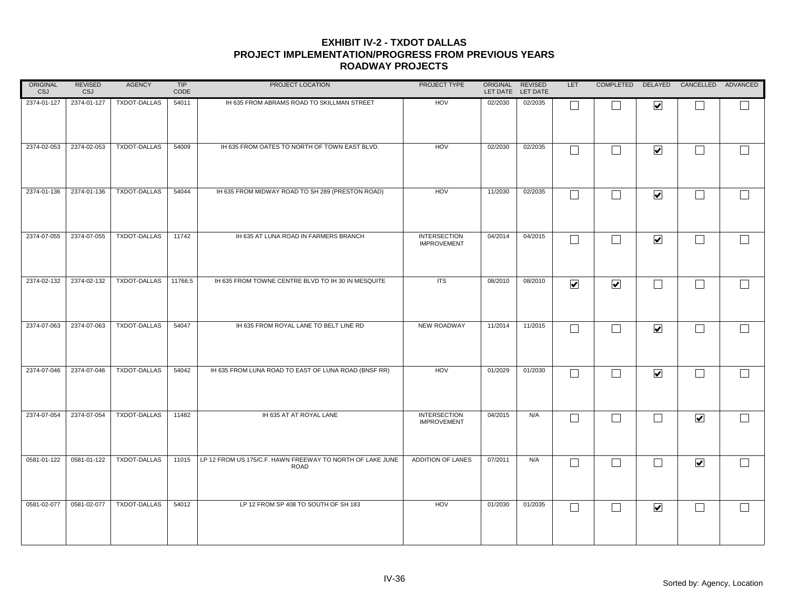| ORIGINAL<br>CSJ | REVISED<br><b>CSJ</b> | <b>AGENCY</b>       | TIP<br>CODE | PROJECT LOCATION                                                         | PROJECT TYPE                              | ORIGINAL | REVISED<br>LET DATE LET DATE | <b>LET</b>              |                         |                         | COMPLETED DELAYED CANCELLED ADVANCED |              |
|-----------------|-----------------------|---------------------|-------------|--------------------------------------------------------------------------|-------------------------------------------|----------|------------------------------|-------------------------|-------------------------|-------------------------|--------------------------------------|--------------|
| 2374-01-127     | 2374-01-127           | <b>TXDOT-DALLAS</b> | 54011       | IH 635 FROM ABRAMS ROAD TO SKILLMAN STREET                               | HOV                                       | 02/2030  | 02/2035                      |                         |                         | $\blacktriangledown$    |                                      |              |
| 2374-02-053     | 2374-02-053           | TXDOT-DALLAS        | 54009       | IH 635 FROM OATES TO NORTH OF TOWN EAST BLVD.                            | HOV                                       | 02/2030  | 02/2035                      | $\Box$                  | П                       | $\blacktriangledown$    | $\sim$                               | $\Box$       |
| 2374-01-136     | 2374-01-136           | <b>TXDOT-DALLAS</b> | 54044       | IH 635 FROM MIDWAY ROAD TO SH 289 (PRESTON ROAD)                         | HOV                                       | 11/2030  | 02/2035                      | $\Box$                  | $\perp$                 | $\blacktriangledown$    | $\overline{\phantom{0}}$             | $\mathbf{I}$ |
| 2374-07-055     | 2374-07-055           | TXDOT-DALLAS        | 11742       | IH 635 AT LUNA ROAD IN FARMERS BRANCH                                    | <b>INTERSECTION</b><br><b>IMPROVEMENT</b> | 04/2014  | 04/2015                      | $\Box$                  | $\perp$                 | $\overline{\mathbf{v}}$ | $\overline{\phantom{a}}$             | $\Box$       |
| 2374-02-132     | 2374-02-132           | TXDOT-DALLAS        | 11766.5     | IH 635 FROM TOWNE CENTRE BLVD TO IH 30 IN MESQUITE                       | <b>ITS</b>                                | 08/2010  | 08/2010                      | $\overline{\mathbf{v}}$ | $\overline{\mathbf{v}}$ | $\Box$                  |                                      |              |
| 2374-07-063     | 2374-07-063           | <b>TXDOT-DALLAS</b> | 54047       | IH 635 FROM ROYAL LANE TO BELT LINE RD                                   | <b>NEW ROADWAY</b>                        | 11/2014  | 11/2015                      | Г                       |                         | $\blacktriangledown$    | L.                                   | $\Box$       |
| 2374-07-046     | 2374-07-046           | TXDOT-DALLAS        | 54042       | IH 635 FROM LUNA ROAD TO EAST OF LUNA ROAD (BNSF RR)                     | HOV                                       | 01/2029  | 01/2030                      | $\Box$                  | $\Box$                  | $\blacktriangledown$    |                                      |              |
| 2374-07-054     | 2374-07-054           | TXDOT-DALLAS        | 11482       | IH 635 AT AT ROYAL LANE                                                  | <b>INTERSECTION</b><br><b>IMPROVEMENT</b> | 04/2015  | N/A                          | $\Box$                  | $\Box$                  | $\Box$                  | $\blacktriangledown$                 | $\Box$       |
| 0581-01-122     | 0581-01-122           | <b>TXDOT-DALLAS</b> | 11015       | LP 12 FROM US 175/C.F. HAWN FREEWAY TO NORTH OF LAKE JUNE<br><b>ROAD</b> | ADDITION OF LANES                         | 07/2011  | N/A                          | $\Box$                  | $\perp$                 | $\vert \ \ \vert$       | $\blacktriangledown$                 | $\Box$       |
| 0581-02-077     | 0581-02-077           | <b>TXDOT-DALLAS</b> | 54012       | LP 12 FROM SP 408 TO SOUTH OF SH 183                                     | HOV                                       | 01/2030  | 01/2035                      | $\Box$                  | $\vert \ \ \vert$       | $\blacktriangledown$    | $\sim$                               |              |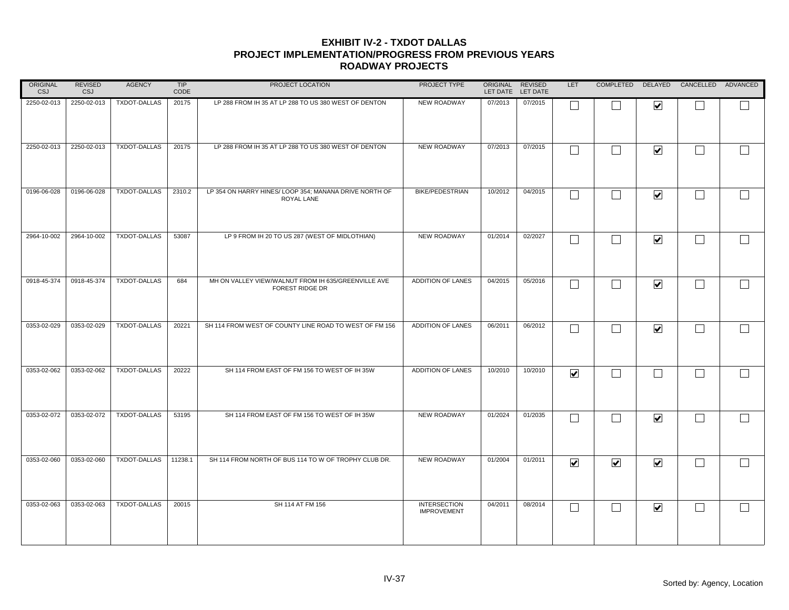| ORIGINAL<br>CSJ | <b>REVISED</b><br><b>CSJ</b> | <b>AGENCY</b>       | TIP<br>CODE | PROJECT LOCATION                                                              | PROJECT TYPE                              | ORIGINAL REVISED | LET DATE LET DATE | LET.                    | COMPLETED                |                         | DELAYED CANCELLED ADVANCED  |                   |
|-----------------|------------------------------|---------------------|-------------|-------------------------------------------------------------------------------|-------------------------------------------|------------------|-------------------|-------------------------|--------------------------|-------------------------|-----------------------------|-------------------|
| 2250-02-013     | 2250-02-013                  | <b>TXDOT-DALLAS</b> | 20175       | LP 288 FROM IH 35 AT LP 288 TO US 380 WEST OF DENTON                          | NEW ROADWAY                               | 07/2013          | 07/2015           |                         |                          | $\overline{\mathbf{v}}$ |                             |                   |
| 2250-02-013     | 2250-02-013                  | TXDOT-DALLAS        | 20175       | LP 288 FROM IH 35 AT LP 288 TO US 380 WEST OF DENTON                          | NEW ROADWAY                               | 07/2013          | 07/2015           | $\Box$                  | $\Box$                   | $\blacktriangledown$    | $\Box$                      | $\Box$            |
| 0196-06-028     | 0196-06-028                  | <b>TXDOT-DALLAS</b> | 2310.2      | LP 354 ON HARRY HINES/ LOOP 354; MANANA DRIVE NORTH OF<br>ROYAL LANE          | <b>BIKE/PEDESTRIAN</b>                    | 10/2012          | 04/2015           | $\mathbf{L}$            | $\blacksquare$           | $\blacktriangledown$    | $\Box$                      | $\Box$            |
| 2964-10-002     | 2964-10-002                  | <b>TXDOT-DALLAS</b> | 53087       | LP 9 FROM IH 20 TO US 287 (WEST OF MIDLOTHIAN)                                | NEW ROADWAY                               | 01/2014          | 02/2027           | $\Box$                  | $\overline{\phantom{0}}$ | $\overline{\mathbf{v}}$ | $\mathcal{L}_{\mathcal{A}}$ |                   |
| 0918-45-374     | 0918-45-374                  | <b>TXDOT-DALLAS</b> | 684         | MH ON VALLEY VIEW/WALNUT FROM IH 635/GREENVILLE AVE<br><b>FOREST RIDGE DR</b> | ADDITION OF LANES                         | 04/2015          | 05/2016           | $\Box$                  |                          | $\blacktriangledown$    | $\Box$                      |                   |
| 0353-02-029     | 0353-02-029                  | TXDOT-DALLAS        | 20221       | SH 114 FROM WEST OF COUNTY LINE ROAD TO WEST OF FM 156                        | <b>ADDITION OF LANES</b>                  | 06/2011          | 06/2012           |                         |                          | $\blacktriangledown$    | $\vert \ \ \vert$           | $\vert \ \ \vert$ |
| 0353-02-062     | 0353-02-062                  | TXDOT-DALLAS        | 20222       | SH 114 FROM EAST OF FM 156 TO WEST OF IH 35W                                  | ADDITION OF LANES                         | 10/2010          | 10/2010           | ☑                       | $\overline{\phantom{0}}$ | $\vert \ \ \vert$       | $\vert \ \ \vert$           |                   |
| 0353-02-072     | 0353-02-072                  | TXDOT-DALLAS        | 53195       | SH 114 FROM EAST OF FM 156 TO WEST OF IH 35W                                  | NEW ROADWAY                               | 01/2024          | 01/2035           | I.                      |                          | $\blacktriangledown$    | $\Box$                      | $\Box$            |
| 0353-02-060     | 0353-02-060                  | <b>TXDOT-DALLAS</b> | 11238.1     | SH 114 FROM NORTH OF BUS 114 TO W OF TROPHY CLUB DR.                          | NEW ROADWAY                               | 01/2004          | 01/2011           | $\overline{\mathbf{v}}$ | $\overline{\mathbf{v}}$  | $\blacktriangledown$    | $\Box$                      |                   |
| 0353-02-063     | 0353-02-063                  | <b>TXDOT-DALLAS</b> | 20015       | SH 114 AT FM 156                                                              | <b>INTERSECTION</b><br><b>IMPROVEMENT</b> | 04/2011          | 08/2014           | $\Box$                  | $\overline{\phantom{0}}$ | $\blacktriangledown$    | $\Box$                      |                   |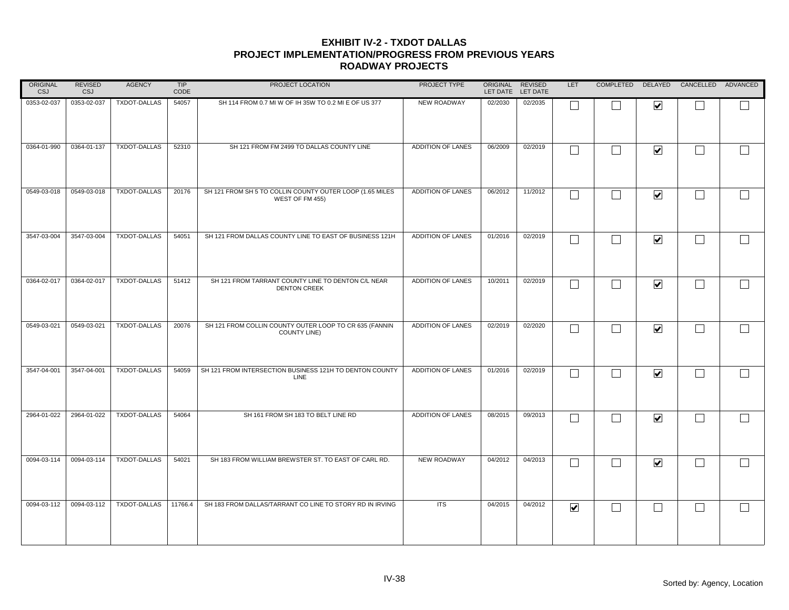| ORIGINAL<br><b>CSJ</b> | <b>REVISED</b><br><b>CSJ</b> | <b>AGENCY</b>       | <b>TIP</b><br>CODE | PROJECT LOCATION                                                              | PROJECT TYPE             | ORIGINAL REVISED<br>LET DATE LET DATE |         | LET                     |        |                         | COMPLETED DELAYED CANCELLED ADVANCED |        |
|------------------------|------------------------------|---------------------|--------------------|-------------------------------------------------------------------------------|--------------------------|---------------------------------------|---------|-------------------------|--------|-------------------------|--------------------------------------|--------|
| 0353-02-037            | 0353-02-037                  | <b>TXDOT-DALLAS</b> | 54057              | SH 114 FROM 0.7 MI W OF IH 35W TO 0.2 MI E OF US 377                          | NEW ROADWAY              | 02/2030                               | 02/2035 |                         |        | $\overline{\mathbf{v}}$ |                                      |        |
| 0364-01-990            | 0364-01-137                  | TXDOT-DALLAS        | 52310              | SH 121 FROM FM 2499 TO DALLAS COUNTY LINE                                     | ADDITION OF LANES        | 06/2009                               | 02/2019 | $\Box$                  |        | $\blacktriangledown$    | $\mathbf{I}$                         |        |
| 0549-03-018            | 0549-03-018                  | <b>TXDOT-DALLAS</b> | 20176              | SH 121 FROM SH 5 TO COLLIN COUNTY OUTER LOOP (1.65 MILES<br>WEST OF FM 455)   | ADDITION OF LANES        | 06/2012                               | 11/2012 | $\Box$                  |        | $\blacktriangledown$    | $\overline{\phantom{a}}$             | $\Box$ |
| 3547-03-004            | 3547-03-004                  | TXDOT-DALLAS        | 54051              | SH 121 FROM DALLAS COUNTY LINE TO EAST OF BUSINESS 121H                       | <b>ADDITION OF LANES</b> | 01/2016                               | 02/2019 | $\Box$                  | $\sim$ | $\blacktriangledown$    | $\mathbf{I}$                         |        |
| 0364-02-017            | 0364-02-017                  | <b>TXDOT-DALLAS</b> | 51412              | SH 121 FROM TARRANT COUNTY LINE TO DENTON C/L NEAR<br><b>DENTON CREEK</b>     | ADDITION OF LANES        | 10/2011                               | 02/2019 | $\Box$                  |        | $\overline{\mathbf{v}}$ |                                      |        |
| 0549-03-021            | 0549-03-021                  | <b>TXDOT-DALLAS</b> | 20076              | SH 121 FROM COLLIN COUNTY OUTER LOOP TO CR 635 (FANNIN<br><b>COUNTY LINE)</b> | <b>ADDITION OF LANES</b> | 02/2019                               | 02/2020 | Г                       |        | $\blacktriangledown$    |                                      |        |
| 3547-04-001            | 3547-04-001                  | TXDOT-DALLAS        | 54059              | SH 121 FROM INTERSECTION BUSINESS 121H TO DENTON COUNTY<br><b>LINE</b>        | ADDITION OF LANES        | 01/2016                               | 02/2019 | $\Box$                  |        | $\blacktriangledown$    |                                      |        |
| 2964-01-022            | 2964-01-022                  | <b>TXDOT-DALLAS</b> | 54064              | SH 161 FROM SH 183 TO BELT LINE RD                                            | ADDITION OF LANES        | 08/2015                               | 09/2013 | Г                       |        | $\overline{\mathbf{v}}$ |                                      |        |
| 0094-03-114            | 0094-03-114                  | <b>TXDOT-DALLAS</b> | 54021              | SH 183 FROM WILLIAM BREWSTER ST. TO EAST OF CARL RD.                          | <b>NEW ROADWAY</b>       | 04/2012                               | 04/2013 | Г                       |        | $\blacktriangledown$    | $\mathbf{L}$                         |        |
| 0094-03-112            | 0094-03-112                  | <b>TXDOT-DALLAS</b> | 11766.4            | SH 183 FROM DALLAS/TARRANT CO LINE TO STORY RD IN IRVING                      | <b>ITS</b>               | 04/2015                               | 04/2012 | $\overline{\mathbf{v}}$ | $\sim$ | $\blacksquare$          | L.                                   |        |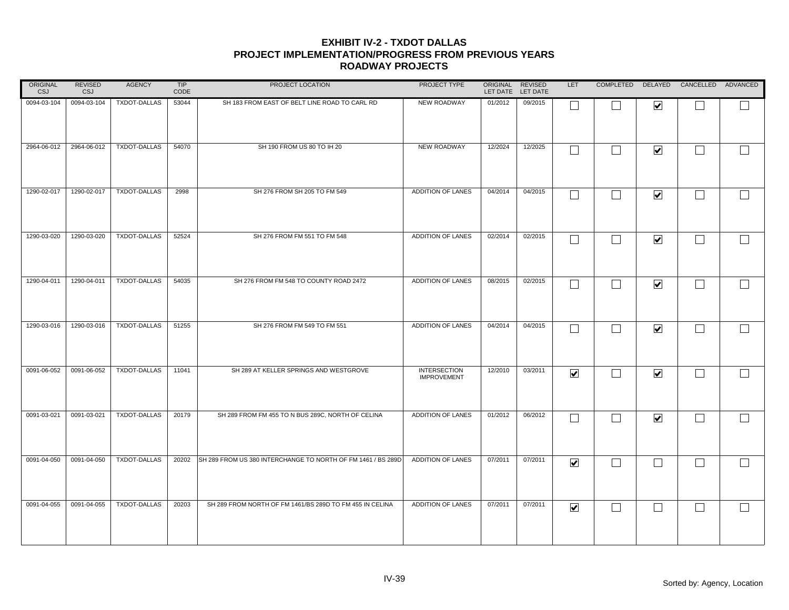| ORIGINAL<br><b>CSJ</b> | <b>REVISED</b><br><b>CSJ</b> | <b>AGENCY</b>       | <b>TIP</b><br>CODE | PROJECT LOCATION                                             | PROJECT TYPE                              | ORIGINAL REVISED | LET DATE LET DATE | LET                     |                   |                          | COMPLETED DELAYED CANCELLED ADVANCED |              |
|------------------------|------------------------------|---------------------|--------------------|--------------------------------------------------------------|-------------------------------------------|------------------|-------------------|-------------------------|-------------------|--------------------------|--------------------------------------|--------------|
| 0094-03-104            | 0094-03-104                  | <b>TXDOT-DALLAS</b> | 53044              | SH 183 FROM EAST OF BELT LINE ROAD TO CARL RD                | <b>NEW ROADWAY</b>                        | 01/2012          | 09/2015           | L                       |                   | $\blacktriangledown$     |                                      |              |
| 2964-06-012            | 2964-06-012                  | TXDOT-DALLAS        | 54070              | SH 190 FROM US 80 TO IH 20                                   | NEW ROADWAY                               | 12/2024          | 12/2025           | $\Box$                  | $\perp$           | $\blacktriangledown$     | $\sim$                               | $\mathbf{I}$ |
| 1290-02-017            | 1290-02-017                  | TXDOT-DALLAS        | 2998               | SH 276 FROM SH 205 TO FM 549                                 | ADDITION OF LANES                         | 04/2014          | 04/2015           | $\Box$                  | $\vert \ \ \vert$ | $\blacktriangledown$     | $\overline{\phantom{0}}$             | $\Box$       |
| 1290-03-020            | 1290-03-020                  | <b>TXDOT-DALLAS</b> | 52524              | SH 276 FROM FM 551 TO FM 548                                 | ADDITION OF LANES                         | 02/2014          | 02/2015           | $\Box$                  | $\perp$           | $\blacktriangledown$     | $\overline{\phantom{0}}$             | $\Box$       |
| 1290-04-011            | 1290-04-011                  | <b>TXDOT-DALLAS</b> | 54035              | SH 276 FROM FM 548 TO COUNTY ROAD 2472                       | ADDITION OF LANES                         | 08/2015          | 02/2015           | $\Box$                  | $\Box$            | $\blacktriangledown$     | $\Box$                               |              |
| 1290-03-016            | 1290-03-016                  | TXDOT-DALLAS        | 51255              | SH 276 FROM FM 549 TO FM 551                                 | ADDITION OF LANES                         | 04/2014          | 04/2015           | $\Box$                  |                   | $\blacktriangledown$     |                                      | $\Box$       |
| 0091-06-052            | 0091-06-052                  | TXDOT-DALLAS        | 11041              | SH 289 AT KELLER SPRINGS AND WESTGROVE                       | <b>INTERSECTION</b><br><b>IMPROVEMENT</b> | 12/2010          | 03/2011           | $\overline{\mathbf{v}}$ | $\vert \ \ \vert$ | $\blacktriangledown$     | П                                    |              |
| 0091-03-021            | 0091-03-021                  | TXDOT-DALLAS        | 20179              | SH 289 FROM FM 455 TO N BUS 289C, NORTH OF CELINA            | ADDITION OF LANES                         | 01/2012          | 06/2012           | $\Box$                  | $\Box$            | $\blacktriangledown$     | $\sim$                               | $\Box$       |
| 0091-04-050            | 0091-04-050                  | TXDOT-DALLAS        | 20202              | SH 289 FROM US 380 INTERCHANGE TO NORTH OF FM 1461 / BS 289D | ADDITION OF LANES                         | 07/2011          | 07/2011           | $\overline{\mathbf{v}}$ | $\Box$            | $\overline{\phantom{0}}$ |                                      |              |
| 0091-04-055            | 0091-04-055                  | TXDOT-DALLAS        | 20203              | SH 289 FROM NORTH OF FM 1461/BS 289D TO FM 455 IN CELINA     | ADDITION OF LANES                         | 07/2011          | 07/2011           | $\overline{\mathbf{v}}$ | $\perp$           | $\vert \ \ \vert$        | $\sim$                               |              |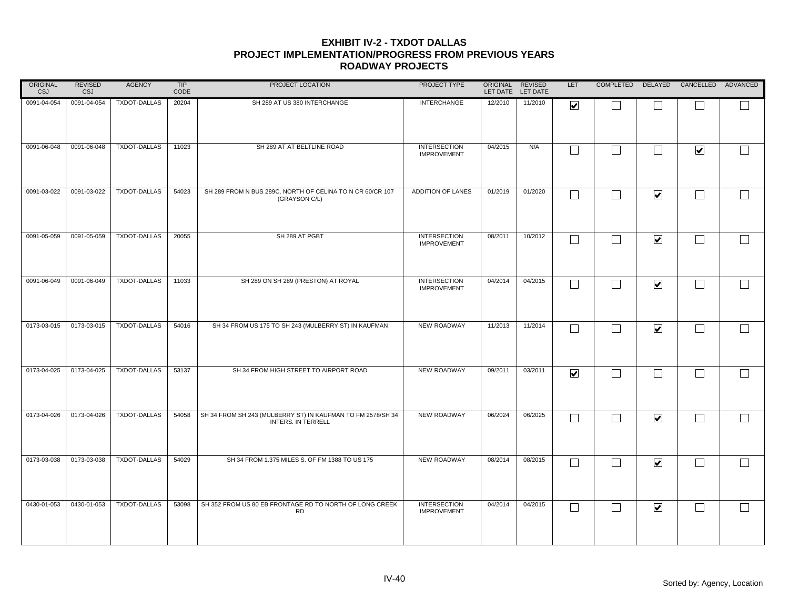| ORIGINAL<br>CSJ | <b>REVISED</b><br><b>CSJ</b> | <b>AGENCY</b>       | TIP<br>CODE | PROJECT LOCATION                                                                         | PROJECT TYPE                              | ORIGINAL REVISED | LET DATE LET DATE | LET                     |                |                         | COMPLETED DELAYED CANCELLED ADVANCED |                          |
|-----------------|------------------------------|---------------------|-------------|------------------------------------------------------------------------------------------|-------------------------------------------|------------------|-------------------|-------------------------|----------------|-------------------------|--------------------------------------|--------------------------|
| 0091-04-054     | 0091-04-054                  | <b>TXDOT-DALLAS</b> | 20204       | SH 289 AT US 380 INTERCHANGE                                                             | <b>INTERCHANGE</b>                        | 12/2010          | 11/2010           | ☑                       |                |                         |                                      |                          |
| 0091-06-048     | 0091-06-048                  | TXDOT-DALLAS        | 11023       | SH 289 AT AT BELTLINE ROAD                                                               | <b>INTERSECTION</b><br><b>IMPROVEMENT</b> | 04/2015          | N/A               | $\Box$                  | $\Box$         | П                       | $\blacktriangledown$                 | $\overline{\phantom{a}}$ |
| 0091-03-022     | 0091-03-022                  | <b>TXDOT-DALLAS</b> | 54023       | SH 289 FROM N BUS 289C, NORTH OF CELINA TO N CR 60/CR 107<br>(GRAYSON C/L)               | ADDITION OF LANES                         | 01/2019          | 01/2020           | $\Box$                  | $\blacksquare$ | $\blacktriangledown$    | $\Box$                               | $\Box$                   |
| 0091-05-059     | 0091-05-059                  | TXDOT-DALLAS        | 20055       | SH 289 AT PGBT                                                                           | <b>INTERSECTION</b><br><b>IMPROVEMENT</b> | 08/2011          | 10/2012           | $\Box$                  |                | $\overline{\mathbf{v}}$ | $\Box$                               |                          |
| 0091-06-049     | 0091-06-049                  | <b>TXDOT-DALLAS</b> | 11033       | SH 289 ON SH 289 (PRESTON) AT ROYAL                                                      | <b>INTERSECTION</b><br><b>IMPROVEMENT</b> | 04/2014          | 04/2015           | $\Box$                  | ┓              | $\blacktriangledown$    | $\Box$                               |                          |
| 0173-03-015     | 0173-03-015                  | TXDOT-DALLAS        | 54016       | SH 34 FROM US 175 TO SH 243 (MULBERRY ST) IN KAUFMAN                                     | <b>NEW ROADWAY</b>                        | 11/2013          | 11/2014           |                         |                | $\blacktriangledown$    | $\Box$                               | $\Box$                   |
| 0173-04-025     | 0173-04-025                  | TXDOT-DALLAS        | 53137       | SH 34 FROM HIGH STREET TO AIRPORT ROAD                                                   | <b>NEW ROADWAY</b>                        | 09/2011          | 03/2011           | $\overline{\mathbf{v}}$ | $\blacksquare$ | $\Box$                  | $\mathcal{L}_{\mathcal{A}}$          | $\Box$                   |
| 0173-04-026     | 0173-04-026                  | <b>TXDOT-DALLAS</b> | 54058       | SH 34 FROM SH 243 (MULBERRY ST) IN KAUFMAN TO FM 2578/SH 34<br><b>INTERS. IN TERRELL</b> | NEW ROADWAY                               | 06/2024          | 06/2025           |                         |                | $\blacktriangledown$    | $\Box$                               | $\Box$                   |
| 0173-03-038     | 0173-03-038                  | <b>TXDOT-DALLAS</b> | 54029       | SH 34 FROM 1.375 MILES S. OF FM 1388 TO US 175                                           | NEW ROADWAY                               | 08/2014          | 08/2015           | $\mathbf{L}$            |                | $\blacktriangledown$    | $\Box$                               | $\Box$                   |
| 0430-01-053     | 0430-01-053                  | <b>TXDOT-DALLAS</b> | 53098       | SH 352 FROM US 80 EB FRONTAGE RD TO NORTH OF LONG CREEK<br><b>RD</b>                     | <b>INTERSECTION</b><br><b>IMPROVEMENT</b> | 04/2014          | 04/2015           | $\Box$                  | $\blacksquare$ | $\blacktriangledown$    | $\mathcal{L}_{\mathcal{A}}$          |                          |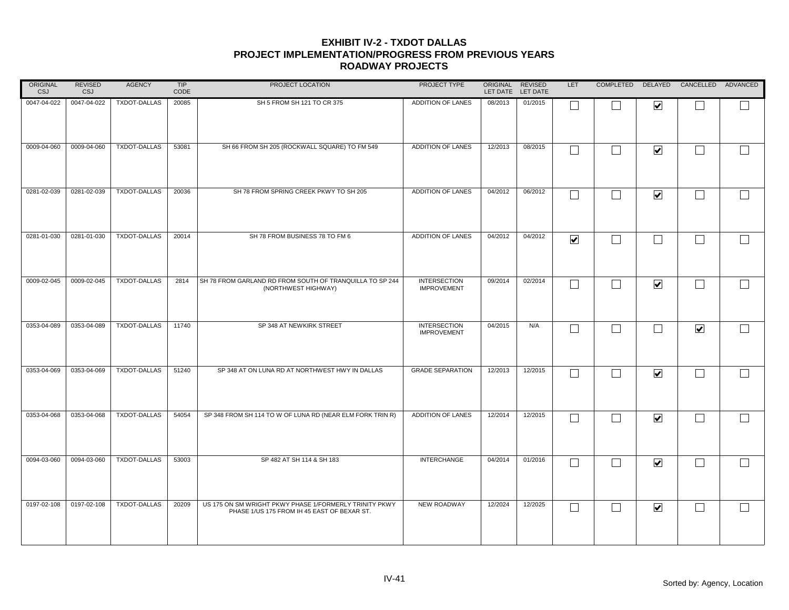| ORIGINAL<br><b>CSJ</b> | <b>REVISED</b><br><b>CSJ</b> | <b>AGENCY</b>       | <b>TIP</b><br>CODE | PROJECT LOCATION                                                                                      | PROJECT TYPE                              | ORIGINAL REVISED<br>LET DATE LET DATE |         | LET                     |                             |                         | COMPLETED DELAYED CANCELLED ADVANCED |                |
|------------------------|------------------------------|---------------------|--------------------|-------------------------------------------------------------------------------------------------------|-------------------------------------------|---------------------------------------|---------|-------------------------|-----------------------------|-------------------------|--------------------------------------|----------------|
| 0047-04-022            | 0047-04-022                  | <b>TXDOT-DALLAS</b> | 20085              | SH 5 FROM SH 121 TO CR 375                                                                            | ADDITION OF LANES                         | 08/2013                               | 01/2015 | □                       |                             | $\overline{\mathbf{v}}$ |                                      |                |
| 0009-04-060            | 0009-04-060                  | TXDOT-DALLAS        | 53081              | SH 66 FROM SH 205 (ROCKWALL SQUARE) TO FM 549                                                         | ADDITION OF LANES                         | 12/2013                               | 08/2015 | $\Box$                  | $\mathbf{L}$                | $\blacktriangledown$    | $\mathbf{I}$                         |                |
| 0281-02-039            | 0281-02-039                  | <b>TXDOT-DALLAS</b> | 20036              | SH 78 FROM SPRING CREEK PKWY TO SH 205                                                                | ADDITION OF LANES                         | 04/2012                               | 06/2012 | $\Box$                  | $\mathbf{L}$                | $\blacktriangledown$    | $\vert \ \ \vert$                    | $\Box$         |
| 0281-01-030            | 0281-01-030                  | <b>TXDOT-DALLAS</b> | 20014              | SH 78 FROM BUSINESS 78 TO FM 6                                                                        | ADDITION OF LANES                         | 04/2012                               | 04/2012 | $\overline{\mathbf{v}}$ | $\perp$                     | $\Box$                  | $\overline{\phantom{0}}$             |                |
| 0009-02-045            | 0009-02-045                  | <b>TXDOT-DALLAS</b> | 2814               | SH 78 FROM GARLAND RD FROM SOUTH OF TRANQUILLA TO SP 244<br>(NORTHWEST HIGHWAY)                       | <b>INTERSECTION</b><br><b>IMPROVEMENT</b> | 09/2014                               | 02/2014 | $\Box$                  | $\mathcal{L}_{\mathcal{A}}$ | $\blacktriangledown$    |                                      |                |
| 0353-04-089            | 0353-04-089                  | <b>TXDOT-DALLAS</b> | 11740              | SP 348 AT NEWKIRK STREET                                                                              | <b>INTERSECTION</b><br><b>IMPROVEMENT</b> | 04/2015                               | N/A     | Г                       |                             |                         | $\blacktriangledown$                 | $\mathbb{R}^n$ |
| 0353-04-069            | 0353-04-069                  | <b>TXDOT-DALLAS</b> | 51240              | SP 348 AT ON LUNA RD AT NORTHWEST HWY IN DALLAS                                                       | <b>GRADE SEPARATION</b>                   | 12/2013                               | 12/2015 | $\Box$                  |                             | $\blacktriangledown$    | L.                                   |                |
| 0353-04-068            | 0353-04-068                  | <b>TXDOT-DALLAS</b> | 54054              | SP 348 FROM SH 114 TO W OF LUNA RD (NEAR ELM FORK TRIN R)                                             | ADDITION OF LANES                         | 12/2014                               | 12/2015 | $\Box$                  | $\mathcal{L}_{\mathcal{A}}$ | $\blacktriangledown$    | $\overline{\phantom{a}}$             | $\Box$         |
| 0094-03-060            | 0094-03-060                  | <b>TXDOT-DALLAS</b> | 53003              | SP 482 AT SH 114 & SH 183                                                                             | <b>INTERCHANGE</b>                        | 04/2014                               | 01/2016 | $\Box$                  |                             | $\blacktriangledown$    |                                      |                |
| 0197-02-108            | 0197-02-108                  | <b>TXDOT-DALLAS</b> | 20209              | US 175 ON SM WRIGHT PKWY PHASE 1/FORMERLY TRINITY PKWY<br>PHASE 1/US 175 FROM IH 45 EAST OF BEXAR ST. | NEW ROADWAY                               | 12/2024                               | 12/2025 | $\Box$                  |                             | $\overline{\mathbf{v}}$ | $\mathbf{L}$                         |                |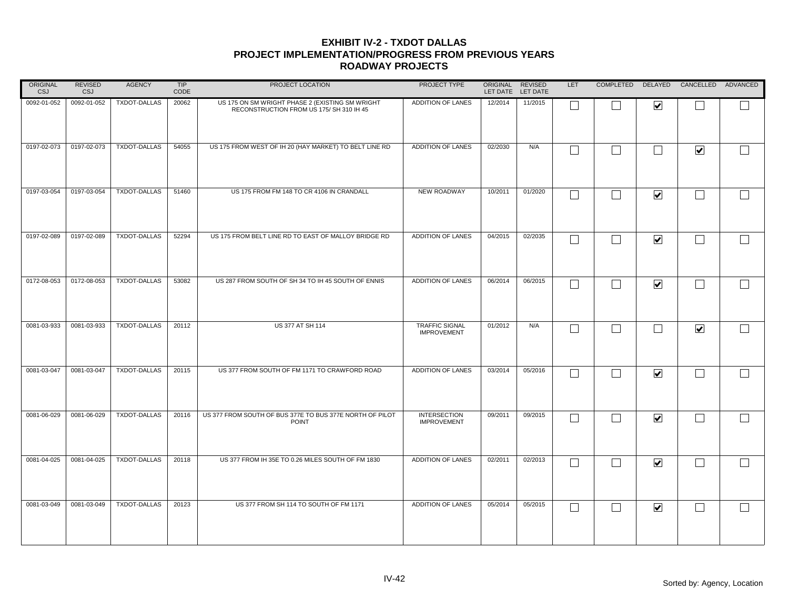| <b>ORIGINAL</b><br><b>CSJ</b> | <b>REVISED</b><br><b>CSJ</b> | <b>AGENCY</b>       | <b>TIP</b><br>CODE | PROJECT LOCATION                                                                            | PROJECT TYPE                                |         | ORIGINAL REVISED<br>LET DATE LET DATE | <b>LET</b> |                          |                         | COMPLETED DELAYED CANCELLED ADVANCED |                   |
|-------------------------------|------------------------------|---------------------|--------------------|---------------------------------------------------------------------------------------------|---------------------------------------------|---------|---------------------------------------|------------|--------------------------|-------------------------|--------------------------------------|-------------------|
| 0092-01-052                   | 0092-01-052                  | <b>TXDOT-DALLAS</b> | 20062              | US 175 ON SM WRIGHT PHASE 2 (EXISTING SM WRIGHT<br>RECONSTRUCTION FROM US 175/ SH 310 IH 45 | ADDITION OF LANES                           | 12/2014 | 11/2015                               |            |                          | $\overline{\mathbf{v}}$ |                                      |                   |
| 0197-02-073                   | 0197-02-073                  | TXDOT-DALLAS        | 54055              | US 175 FROM WEST OF IH 20 (HAY MARKET) TO BELT LINE RD                                      | ADDITION OF LANES                           | 02/2030 | N/A                                   | $\Box$     | $\Box$                   | П                       | $\blacktriangledown$                 | $\Box$            |
| 0197-03-054                   | 0197-03-054                  | <b>TXDOT-DALLAS</b> | 51460              | US 175 FROM FM 148 TO CR 4106 IN CRANDALL                                                   | <b>NEW ROADWAY</b>                          | 10/2011 | 01/2020                               | L          |                          | $\blacktriangledown$    | $\vert \ \ \vert$                    |                   |
| 0197-02-089                   | 0197-02-089                  | <b>TXDOT-DALLAS</b> | 52294              | US 175 FROM BELT LINE RD TO EAST OF MALLOY BRIDGE RD                                        | ADDITION OF LANES                           | 04/2015 | 02/2035                               | L          |                          | $\overline{\mathbf{v}}$ | $\mathcal{L}_{\mathcal{A}}$          |                   |
| 0172-08-053                   | 0172-08-053                  | <b>TXDOT-DALLAS</b> | 53082              | US 287 FROM SOUTH OF SH 34 TO IH 45 SOUTH OF ENNIS                                          | <b>ADDITION OF LANES</b>                    | 06/2014 | 06/2015                               | Г          | ᄀ                        | $\blacktriangledown$    | $\Box$                               |                   |
| 0081-03-933                   | 0081-03-933                  | <b>TXDOT-DALLAS</b> | 20112              | US 377 AT SH 114                                                                            | <b>TRAFFIC SIGNAL</b><br><b>IMPROVEMENT</b> | 01/2012 | N/A                                   |            |                          | $\vert \ \ \vert$       | $\blacktriangledown$                 | $\vert \ \ \vert$ |
| 0081-03-047                   | 0081-03-047                  | TXDOT-DALLAS        | 20115              | US 377 FROM SOUTH OF FM 1171 TO CRAWFORD ROAD                                               | ADDITION OF LANES                           | 03/2014 | 05/2016                               | L          |                          | $\blacktriangledown$    | $\vert \ \ \vert$                    |                   |
| 0081-06-029                   | 0081-06-029                  | <b>TXDOT-DALLAS</b> | 20116              | US 377 FROM SOUTH OF BUS 377E TO BUS 377E NORTH OF PILOT<br><b>POINT</b>                    | <b>INTERSECTION</b><br><b>IMPROVEMENT</b>   | 09/2011 | 09/2015                               |            | $\overline{\phantom{a}}$ | $\blacktriangledown$    | $\Box$                               | $\Box$            |
| 0081-04-025                   | 0081-04-025                  | <b>TXDOT-DALLAS</b> | 20118              | US 377 FROM IH 35E TO 0.26 MILES SOUTH OF FM 1830                                           | ADDITION OF LANES                           | 02/2011 | 02/2013                               | L          |                          | $\blacktriangledown$    | $\vert \ \ \vert$                    |                   |
| 0081-03-049                   | 0081-03-049                  | <b>TXDOT-DALLAS</b> | 20123              | US 377 FROM SH 114 TO SOUTH OF FM 1171                                                      | ADDITION OF LANES                           | 05/2014 | 05/2015                               | L          |                          | $\blacktriangledown$    | $\Box$                               |                   |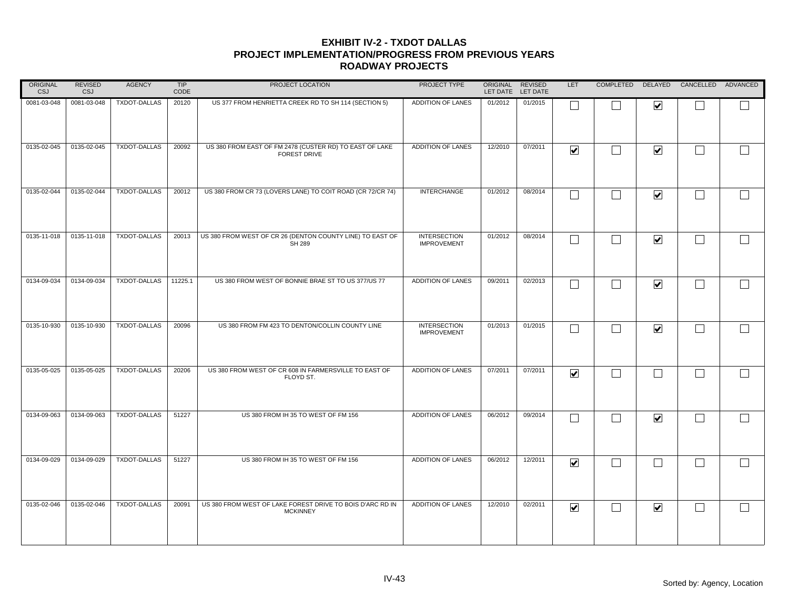| ORIGINAL<br><b>CSJ</b> | <b>REVISED</b><br>CSJ | <b>AGENCY</b>       | <b>TIP</b><br>CODE | PROJECT LOCATION                                                               | PROJECT TYPE                              | ORIGINAL<br>LET DATE LET DATE | REVISED | LET                     |                             |                         | COMPLETED DELAYED CANCELLED ADVANCED |                |
|------------------------|-----------------------|---------------------|--------------------|--------------------------------------------------------------------------------|-------------------------------------------|-------------------------------|---------|-------------------------|-----------------------------|-------------------------|--------------------------------------|----------------|
| 0081-03-048            | 0081-03-048           | TXDOT-DALLAS        | 20120              | US 377 FROM HENRIETTA CREEK RD TO SH 114 (SECTION 5)                           | ADDITION OF LANES                         | 01/2012                       | 01/2015 |                         |                             | $\overline{\mathbf{v}}$ |                                      |                |
| 0135-02-045            | 0135-02-045           | TXDOT-DALLAS        | 20092              | US 380 FROM EAST OF FM 2478 (CUSTER RD) TO EAST OF LAKE<br><b>FOREST DRIVE</b> | ADDITION OF LANES                         | 12/2010                       | 07/2011 | $\blacktriangledown$    | $\sim$                      | $\blacktriangledown$    |                                      |                |
| 0135-02-044            | 0135-02-044           | <b>TXDOT-DALLAS</b> | 20012              | US 380 FROM CR 73 (LOVERS LANE) TO COIT ROAD (CR 72/CR 74)                     | <b>INTERCHANGE</b>                        | 01/2012                       | 08/2014 | $\Box$                  |                             | $\blacktriangledown$    | $\mathbb{R}^n$                       | $\mathsf{L}$   |
| 0135-11-018            | 0135-11-018           | <b>TXDOT-DALLAS</b> | 20013              | US 380 FROM WEST OF CR 26 (DENTON COUNTY LINE) TO EAST OF<br><b>SH 289</b>     | <b>INTERSECTION</b><br><b>IMPROVEMENT</b> | 01/2012                       | 08/2014 | П                       | $\sim$                      | $\overline{\mathbf{v}}$ | $\mathbf{I}$                         | $\Box$         |
| 0134-09-034            | 0134-09-034           | <b>TXDOT-DALLAS</b> | 11225.1            | US 380 FROM WEST OF BONNIE BRAE ST TO US 377/US 77                             | ADDITION OF LANES                         | 09/2011                       | 02/2013 | $\Box$                  | $\mathcal{L}_{\mathcal{A}}$ | $\overline{\mathbf{v}}$ |                                      |                |
| 0135-10-930            | 0135-10-930           | <b>TXDOT-DALLAS</b> | 20096              | US 380 FROM FM 423 TO DENTON/COLLIN COUNTY LINE                                | <b>INTERSECTION</b><br><b>IMPROVEMENT</b> | 01/2013                       | 01/2015 | Г                       |                             | $\blacktriangledown$    |                                      | $\mathbb{R}^n$ |
| 0135-05-025            | 0135-05-025           | <b>TXDOT-DALLAS</b> | 20206              | US 380 FROM WEST OF CR 608 IN FARMERSVILLE TO EAST OF<br>FLOYD ST.             | <b>ADDITION OF LANES</b>                  | 07/2011                       | 07/2011 | $\blacktriangledown$    | $\sim$                      | $\mathcal{L}$           |                                      |                |
| 0134-09-063            | 0134-09-063           | <b>TXDOT-DALLAS</b> | 51227              | US 380 FROM IH 35 TO WEST OF FM 156                                            | ADDITION OF LANES                         | 06/2012                       | 09/2014 | П                       | $\sim$                      | $\overline{\mathbf{v}}$ |                                      | $\Box$         |
| 0134-09-029            | 0134-09-029           | <b>TXDOT-DALLAS</b> | 51227              | US 380 FROM IH 35 TO WEST OF FM 156                                            | ADDITION OF LANES                         | 06/2012                       | 12/2011 | $\overline{\mathbf{v}}$ | M                           |                         | $\mathbf{I}$                         | $\mathsf{L}$   |
| 0135-02-046            | 0135-02-046           | <b>TXDOT-DALLAS</b> | 20091              | US 380 FROM WEST OF LAKE FOREST DRIVE TO BOIS D'ARC RD IN<br><b>MCKINNEY</b>   | ADDITION OF LANES                         | 12/2010                       | 02/2011 | $\blacktriangledown$    |                             | $\overline{\mathbf{v}}$ |                                      |                |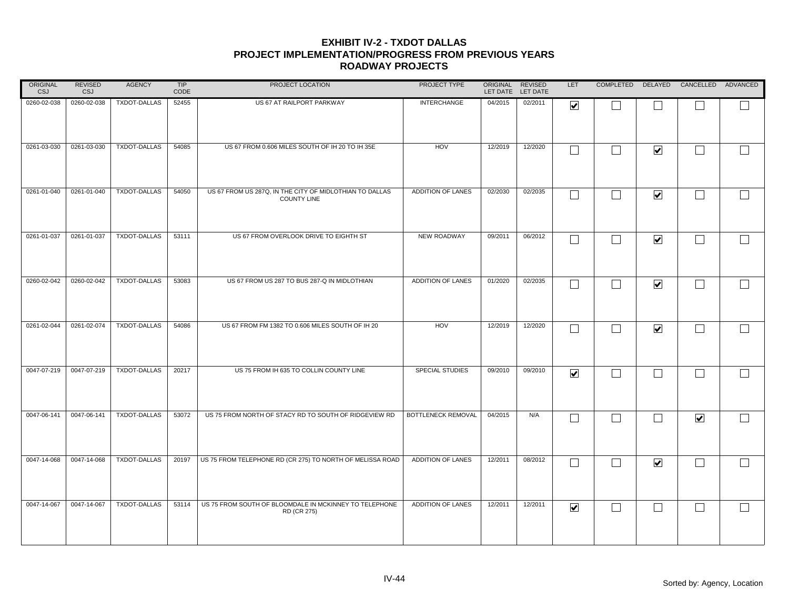| ORIGINAL<br><b>CSJ</b> | <b>REVISED</b><br><b>CSJ</b> | <b>AGENCY</b>       | TIP<br>CODE | PROJECT LOCATION                                                              | PROJECT TYPE       | ORIGINAL REVISED | LET DATE LET DATE | LET                     |                          |                         | COMPLETED DELAYED CANCELLED ADVANCED |        |
|------------------------|------------------------------|---------------------|-------------|-------------------------------------------------------------------------------|--------------------|------------------|-------------------|-------------------------|--------------------------|-------------------------|--------------------------------------|--------|
| 0260-02-038            | 0260-02-038                  | TXDOT-DALLAS        | 52455       | US 67 AT RAILPORT PARKWAY                                                     | <b>INTERCHANGE</b> | 04/2015          | 02/2011           | ☑                       |                          |                         |                                      |        |
| 0261-03-030            | 0261-03-030                  | TXDOT-DALLAS        | 54085       | US 67 FROM 0.606 MILES SOUTH OF IH 20 TO IH 35E                               | HOV                | 12/2019          | 12/2020           | $\Box$                  | П                        | $\blacktriangledown$    | $\Box$                               | $\Box$ |
| 0261-01-040            | 0261-01-040                  | <b>TXDOT-DALLAS</b> | 54050       | US 67 FROM US 287Q, IN THE CITY OF MIDLOTHIAN TO DALLAS<br><b>COUNTY LINE</b> | ADDITION OF LANES  | 02/2030          | 02/2035           | $\mathsf{L}$            | $\blacksquare$           | $\blacktriangledown$    | $\Box$                               | $\Box$ |
| 0261-01-037            | 0261-01-037                  | <b>TXDOT-DALLAS</b> | 53111       | US 67 FROM OVERLOOK DRIVE TO EIGHTH ST                                        | NEW ROADWAY        | 09/2011          | 06/2012           | $\Box$                  | $\blacksquare$           | $\overline{\mathbf{v}}$ | $\Box$                               |        |
| 0260-02-042            | 0260-02-042                  | TXDOT-DALLAS        | 53083       | US 67 FROM US 287 TO BUS 287-Q IN MIDLOTHIAN                                  | ADDITION OF LANES  | 01/2020          | 02/2035           | $\Box$                  |                          | $\blacktriangledown$    | $\Box$                               |        |
| 0261-02-044            | 0261-02-074                  | TXDOT-DALLAS        | 54086       | US 67 FROM FM 1382 TO 0.606 MILES SOUTH OF IH 20                              | HOV                | 12/2019          | 12/2020           |                         |                          | $\blacktriangledown$    | П                                    | $\Box$ |
| 0047-07-219            | 0047-07-219                  | TXDOT-DALLAS        | 20217       | US 75 FROM IH 635 TO COLLIN COUNTY LINE                                       | SPECIAL STUDIES    | 09/2010          | 09/2010           | $\overline{\mathbf{v}}$ | $\blacksquare$           | $\Box$                  | $\mathcal{L}_{\mathcal{A}}$          |        |
| 0047-06-141            | 0047-06-141                  | TXDOT-DALLAS        | 53072       | US 75 FROM NORTH OF STACY RD TO SOUTH OF RIDGEVIEW RD                         | BOTTLENECK REMOVAL | 04/2015          | N/A               | $\Box$                  | $\overline{\phantom{0}}$ | $\Box$                  | $\blacktriangledown$                 | $\Box$ |
| 0047-14-068            | 0047-14-068                  | <b>TXDOT-DALLAS</b> | 20197       | US 75 FROM TELEPHONE RD (CR 275) TO NORTH OF MELISSA ROAD                     | ADDITION OF LANES  | 12/2011          | 08/2012           | $\mathbf{L}$            |                          | $\blacktriangledown$    | $\Box$                               | $\Box$ |
| 0047-14-067            | 0047-14-067                  | <b>TXDOT-DALLAS</b> | 53114       | US 75 FROM SOUTH OF BLOOMDALE IN MCKINNEY TO TELEPHONE<br>RD (CR 275)         | ADDITION OF LANES  | 12/2011          | 12/2011           | $\blacktriangledown$    | $\overline{\phantom{a}}$ | $\Box$                  | $\Box$                               |        |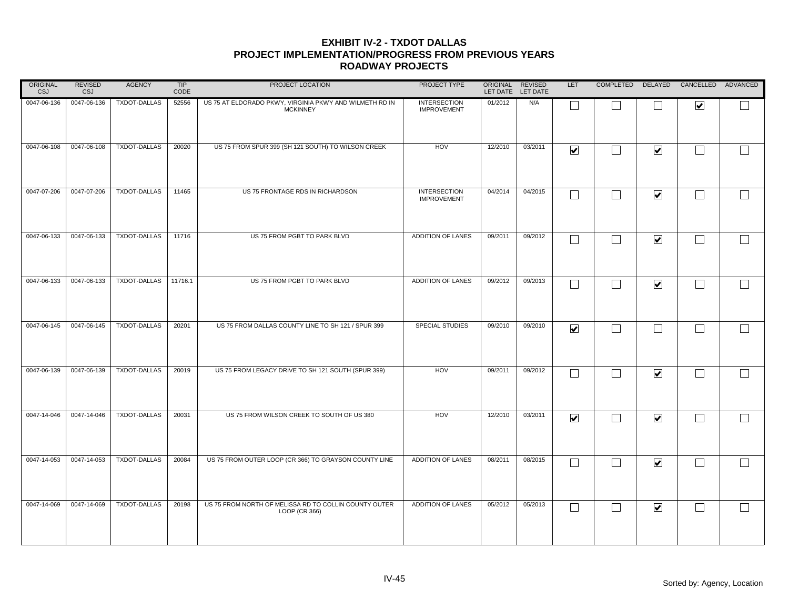| ORIGINAL<br><b>CSJ</b> | <b>REVISED</b><br><b>CSJ</b> | <b>AGENCY</b>       | TIP<br>CODE | PROJECT LOCATION                                                           | PROJECT TYPE                              | ORIGINAL REVISED<br>LET DATE LET DATE |         | LET                     |                   |                         | COMPLETED DELAYED CANCELLED ADVANCED |        |
|------------------------|------------------------------|---------------------|-------------|----------------------------------------------------------------------------|-------------------------------------------|---------------------------------------|---------|-------------------------|-------------------|-------------------------|--------------------------------------|--------|
| 0047-06-136            | 0047-06-136                  | TXDOT-DALLAS        | 52556       | US 75 AT ELDORADO PKWY, VIRGINIA PKWY AND WILMETH RD IN<br><b>MCKINNEY</b> | <b>INTERSECTION</b><br><b>IMPROVEMENT</b> | 01/2012                               | N/A     |                         |                   |                         | $\blacktriangledown$                 |        |
| 0047-06-108            | 0047-06-108                  | <b>TXDOT-DALLAS</b> | 20020       | US 75 FROM SPUR 399 (SH 121 SOUTH) TO WILSON CREEK                         | HOV                                       | 12/2010                               | 03/2011 | $\blacktriangledown$    | $\perp$           | $\blacktriangledown$    | $\Box$                               | $\Box$ |
| 0047-07-206            | 0047-07-206                  | <b>TXDOT-DALLAS</b> | 11465       | US 75 FRONTAGE RDS IN RICHARDSON                                           | <b>INTERSECTION</b><br><b>IMPROVEMENT</b> | 04/2014                               | 04/2015 | $\Box$                  | $\perp$           | $\overline{\mathbf{v}}$ | $\Box$                               | $\Box$ |
| 0047-06-133            | 0047-06-133                  | <b>TXDOT-DALLAS</b> | 11716       | US 75 FROM PGBT TO PARK BLVD                                               | ADDITION OF LANES                         | 09/2011                               | 09/2012 | $\Box$                  | $\Box$            | $\overline{\mathbf{v}}$ | $\Box$                               | $\Box$ |
| 0047-06-133            | 0047-06-133                  | <b>TXDOT-DALLAS</b> | 11716.1     | US 75 FROM PGBT TO PARK BLVD                                               | ADDITION OF LANES                         | 09/2012                               | 09/2013 |                         | $\perp$           | $\blacktriangledown$    | $\Box$                               | $\Box$ |
| 0047-06-145            | 0047-06-145                  | TXDOT-DALLAS        | 20201       | US 75 FROM DALLAS COUNTY LINE TO SH 121 / SPUR 399                         | SPECIAL STUDIES                           | 09/2010                               | 09/2010 | $\overline{\mathbf{v}}$ |                   |                         | L.                                   | $\Box$ |
| 0047-06-139            | 0047-06-139                  | TXDOT-DALLAS        | 20019       | US 75 FROM LEGACY DRIVE TO SH 121 SOUTH (SPUR 399)                         | HOV                                       | 09/2011                               | 09/2012 | Г                       | $\Box$            | $\overline{\mathbf{v}}$ | $\Box$                               | $\Box$ |
| 0047-14-046            | 0047-14-046                  | <b>TXDOT-DALLAS</b> | 20031       | US 75 FROM WILSON CREEK TO SOUTH OF US 380                                 | HOV                                       | 12/2010                               | 03/2011 | $\overline{\mathbf{v}}$ | $\Box$            | $\overline{\mathbf{v}}$ | $\Box$                               | $\Box$ |
| 0047-14-053            | 0047-14-053                  | <b>TXDOT-DALLAS</b> | 20084       | US 75 FROM OUTER LOOP (CR 366) TO GRAYSON COUNTY LINE                      | ADDITION OF LANES                         | 08/2011                               | 08/2015 | $\mathbf{L}$            | $\perp$           | $\blacktriangledown$    | $\vert \ \ \vert$                    | $\Box$ |
| 0047-14-069            | 0047-14-069                  | TXDOT-DALLAS        | 20198       | US 75 FROM NORTH OF MELISSA RD TO COLLIN COUNTY OUTER<br>LOOP (CR 366)     | ADDITION OF LANES                         | 05/2012                               | 05/2013 | $\sqcup$                | $\vert \ \ \vert$ | $\overline{\mathbf{v}}$ | $\mathcal{L}_{\mathcal{A}}$          | $\Box$ |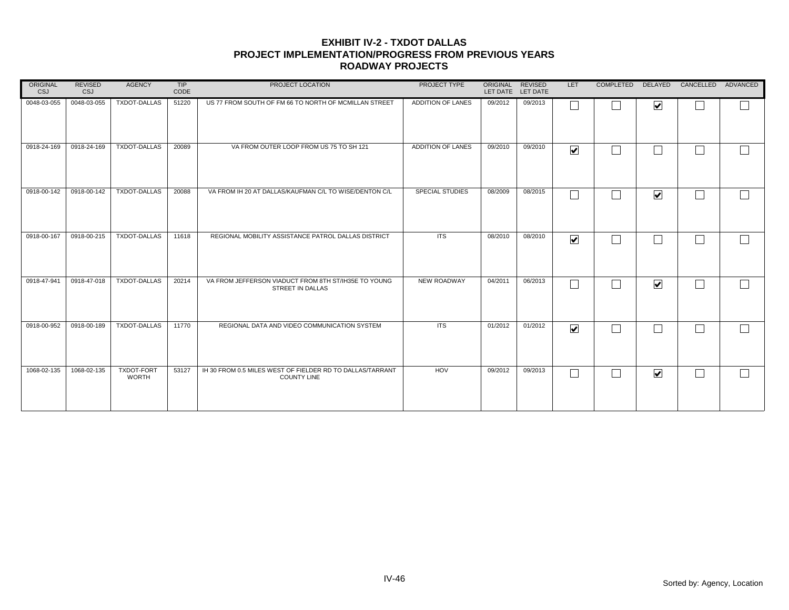| ORIGINAL<br>CSJ | <b>REVISED</b><br>CSJ | <b>AGENCY</b>                     | TIP<br>CODE | PROJECT LOCATION                                                                | PROJECT TYPE           | ORIGINAL REVISED | LET DATE LET DATE | <b>LET</b>              | <b>COMPLETED</b> | <b>DELAYED</b>          | CANCELLED | ADVANCED   |
|-----------------|-----------------------|-----------------------------------|-------------|---------------------------------------------------------------------------------|------------------------|------------------|-------------------|-------------------------|------------------|-------------------------|-----------|------------|
| 0048-03-055     | 0048-03-055           | <b>TXDOT-DALLAS</b>               | 51220       | US 77 FROM SOUTH OF FM 66 TO NORTH OF MCMILLAN STREET                           | ADDITION OF LANES      | 09/2012          | 09/2013           |                         |                  | $\overline{\mathbf{v}}$ |           |            |
| 0918-24-169     | 0918-24-169           | <b>TXDOT-DALLAS</b>               | 20089       | VA FROM OUTER LOOP FROM US 75 TO SH 121                                         | ADDITION OF LANES      | 09/2010          | 09/2010           | $\overline{\mathbf{v}}$ |                  | Τ                       |           | $\Box$     |
| 0918-00-142     | 0918-00-142           | <b>TXDOT-DALLAS</b>               | 20088       | VA FROM IH 20 AT DALLAS/KAUFMAN C/L TO WISE/DENTON C/L                          | <b>SPECIAL STUDIES</b> | 08/2009          | 08/2015           |                         |                  | $\overline{\mathbf{v}}$ |           | $\sqrt{2}$ |
| 0918-00-167     | 0918-00-215           | <b>TXDOT-DALLAS</b>               | 11618       | REGIONAL MOBILITY ASSISTANCE PATROL DALLAS DISTRICT                             | <b>ITS</b>             | 08/2010          | 08/2010           | $\overline{\mathbf{v}}$ |                  | Ξ                       |           | $\Box$     |
| 0918-47-941     | 0918-47-018           | <b>TXDOT-DALLAS</b>               | 20214       | VA FROM JEFFERSON VIADUCT FROM 8TH ST/IH35E TO YOUNG<br>STREET IN DALLAS        | NEW ROADWAY            | 04/2011          | 06/2013           |                         |                  | $\overline{\mathbf{v}}$ |           | $\Box$     |
| 0918-00-952     | 0918-00-189           | <b>TXDOT-DALLAS</b>               | 11770       | REGIONAL DATA AND VIDEO COMMUNICATION SYSTEM                                    | <b>ITS</b>             | 01/2012          | 01/2012           | $\overline{\mathbf{v}}$ |                  |                         |           | $\Box$     |
| 1068-02-135     | 1068-02-135           | <b>TXDOT-FORT</b><br><b>WORTH</b> | 53127       | IH 30 FROM 0.5 MILES WEST OF FIELDER RD TO DALLAS/TARRANT<br><b>COUNTY LINE</b> | HOV                    | 09/2012          | 09/2013           |                         |                  | $\overline{\mathbf{v}}$ |           | $\Box$     |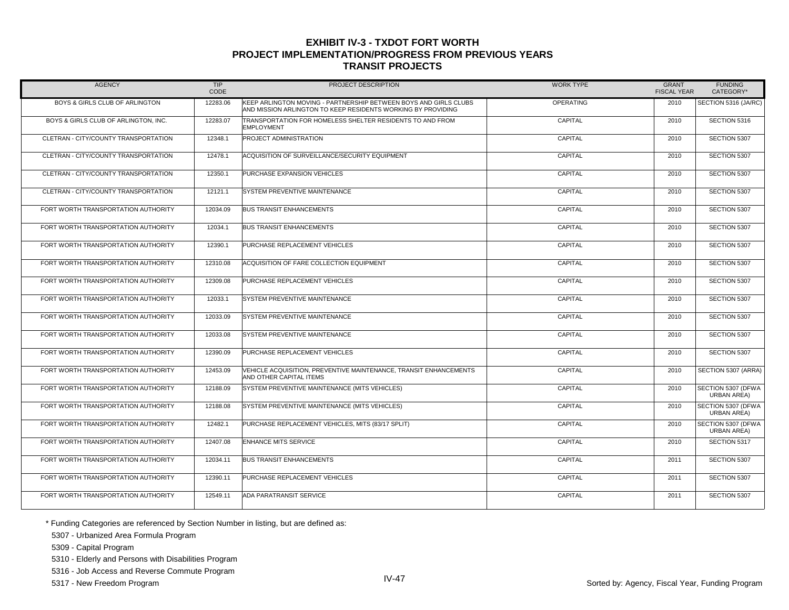| <b>AGENCY</b>                        | <b>TIP</b><br>CODE | PROJECT DESCRIPTION                                                                                                              | <b>WORK TYPE</b> | <b>GRANT</b><br><b>FISCAL YEAR</b> | <b>FUNDING</b><br>CATEGORY*              |
|--------------------------------------|--------------------|----------------------------------------------------------------------------------------------------------------------------------|------------------|------------------------------------|------------------------------------------|
| BOYS & GIRLS CLUB OF ARLINGTON       | 12283.06           | KEEP ARLINGTON MOVING - PARTNERSHIP BETWEEN BOYS AND GIRLS CLUBS<br>AND MISSION ARLINGTON TO KEEP RESIDENTS WORKING BY PROVIDING | <b>OPERATING</b> | 2010                               | SECTION 5316 (JA/RC)                     |
| BOYS & GIRLS CLUB OF ARLINGTON. INC. | 12283.07           | TRANSPORTATION FOR HOMELESS SHELTER RESIDENTS TO AND FROM<br><b>EMPLOYMENT</b>                                                   | CAPITAL          | 2010                               | SECTION 5316                             |
| CLETRAN - CITY/COUNTY TRANSPORTATION | 12348.1            | PROJECT ADMINISTRATION                                                                                                           | CAPITAL          | 2010                               | SECTION 5307                             |
| CLETRAN - CITY/COUNTY TRANSPORTATION | 12478.1            | ACQUISITION OF SURVEILLANCE/SECURITY EQUIPMENT                                                                                   | CAPITAL          | 2010                               | SECTION 5307                             |
| CLETRAN - CITY/COUNTY TRANSPORTATION | 12350.1            | PURCHASE EXPANSION VEHICLES                                                                                                      | CAPITAL          | 2010                               | SECTION 5307                             |
| CLETRAN - CITY/COUNTY TRANSPORTATION | 12121.1            | SYSTEM PREVENTIVE MAINTENANCE                                                                                                    | CAPITAL          | 2010                               | SECTION 5307                             |
| FORT WORTH TRANSPORTATION AUTHORITY  | 12034.09           | <b>BUS TRANSIT ENHANCEMENTS</b>                                                                                                  | CAPITAL          | 2010                               | SECTION 5307                             |
| FORT WORTH TRANSPORTATION AUTHORITY  | 12034.1            | <b>BUS TRANSIT ENHANCEMENTS</b>                                                                                                  | CAPITAL          | 2010                               | SECTION 5307                             |
| FORT WORTH TRANSPORTATION AUTHORITY  | 12390.1            | PURCHASE REPLACEMENT VEHICLES                                                                                                    | CAPITAL          | 2010                               | SECTION 5307                             |
| FORT WORTH TRANSPORTATION AUTHORITY  | 12310.08           | ACQUISITION OF FARE COLLECTION EQUIPMENT                                                                                         | CAPITAL          | 2010                               | SECTION 5307                             |
| FORT WORTH TRANSPORTATION AUTHORITY  | 12309.08           | PURCHASE REPLACEMENT VEHICLES                                                                                                    | CAPITAL          | 2010                               | SECTION 5307                             |
| FORT WORTH TRANSPORTATION AUTHORITY  | 12033.1            | SYSTEM PREVENTIVE MAINTENANCE                                                                                                    | CAPITAL          | 2010                               | SECTION 5307                             |
| FORT WORTH TRANSPORTATION AUTHORITY  | 12033.09           | <b>SYSTEM PREVENTIVE MAINTENANCE</b>                                                                                             | CAPITAL          | 2010                               | SECTION 5307                             |
| FORT WORTH TRANSPORTATION AUTHORITY  | 12033.08           | SYSTEM PREVENTIVE MAINTENANCE                                                                                                    | CAPITAL          | 2010                               | SECTION 5307                             |
| FORT WORTH TRANSPORTATION AUTHORITY  | 12390.09           | PURCHASE REPLACEMENT VEHICLES                                                                                                    | CAPITAL          | 2010                               | SECTION 5307                             |
| FORT WORTH TRANSPORTATION AUTHORITY  | 12453.09           | VEHICLE ACQUISITION, PREVENTIVE MAINTENANCE, TRANSIT ENHANCEMENTS<br>AND OTHER CAPITAL ITEMS                                     | CAPITAL          | 2010                               | SECTION 5307 (ARRA)                      |
| FORT WORTH TRANSPORTATION AUTHORITY  | 12188.09           | SYSTEM PREVENTIVE MAINTENANCE (MITS VEHICLES)                                                                                    | CAPITAL          | 2010                               | SECTION 5307 (DFWA<br><b>URBAN AREA)</b> |
| FORT WORTH TRANSPORTATION AUTHORITY  | 12188.08           | SYSTEM PREVENTIVE MAINTENANCE (MITS VEHICLES)                                                                                    | CAPITAL          | 2010                               | SECTION 5307 (DFWA<br><b>URBAN AREA)</b> |
| FORT WORTH TRANSPORTATION AUTHORITY  | 12482.1            | PURCHASE REPLACEMENT VEHICLES, MITS (83/17 SPLIT)                                                                                | CAPITAL          | 2010                               | SECTION 5307 (DFWA<br><b>URBAN AREA)</b> |
| FORT WORTH TRANSPORTATION AUTHORITY  | 12407.08           | ENHANCE MITS SERVICE                                                                                                             | <b>CAPITAL</b>   | 2010                               | SECTION 5317                             |
| FORT WORTH TRANSPORTATION AUTHORITY  | 12034.11           | <b>BUS TRANSIT ENHANCEMENTS</b>                                                                                                  | CAPITAL          | 2011                               | SECTION 5307                             |
| FORT WORTH TRANSPORTATION AUTHORITY  | 12390.11           | PURCHASE REPLACEMENT VEHICLES                                                                                                    | CAPITAL          | 2011                               | SECTION 5307                             |
| FORT WORTH TRANSPORTATION AUTHORITY  | 12549.11           | ADA PARATRANSIT SERVICE                                                                                                          | CAPITAL          | 2011                               | SECTION 5307                             |

\* Funding Categories are referenced by Section Number in listing, but are defined as:

5307 - Urbanized Area Formula Program

5309 - Capital Program

5310 - Elderly and Persons with Disabilities Program

5316 - Job Access and Reverse Commute Program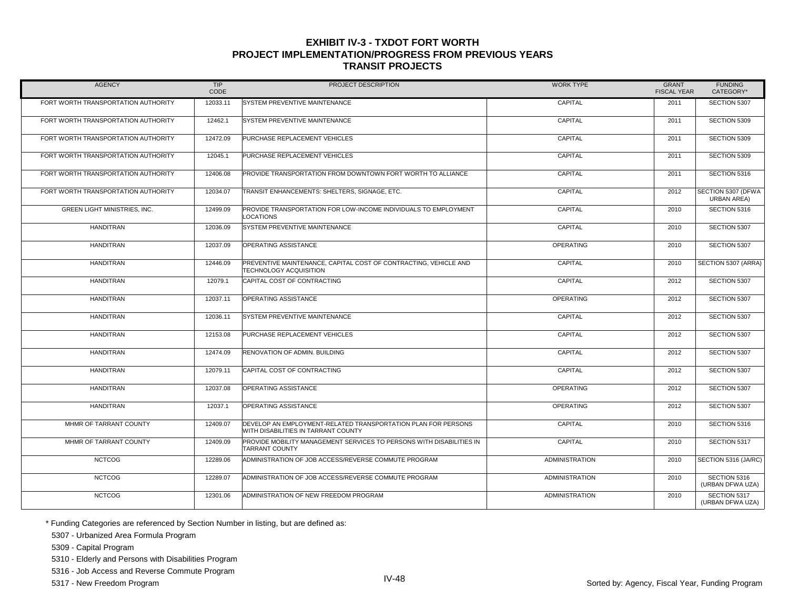| <b>AGENCY</b>                       | TIP<br>CODE | PROJECT DESCRIPTION                                                                                  | <b>WORK TYPE</b>      | <b>GRANT</b><br><b>FISCAL YEAR</b> | <b>FUNDING</b><br>CATEGORY*       |
|-------------------------------------|-------------|------------------------------------------------------------------------------------------------------|-----------------------|------------------------------------|-----------------------------------|
| FORT WORTH TRANSPORTATION AUTHORITY | 12033.11    | SYSTEM PREVENTIVE MAINTENANCE                                                                        | CAPITAL               | 2011                               | SECTION 5307                      |
| FORT WORTH TRANSPORTATION AUTHORITY | 12462.1     | SYSTEM PREVENTIVE MAINTENANCE                                                                        | CAPITAL               | 2011                               | SECTION 5309                      |
| FORT WORTH TRANSPORTATION AUTHORITY | 12472.09    | PURCHASE REPLACEMENT VEHICLES                                                                        | CAPITAL               | 2011                               | SECTION 5309                      |
| FORT WORTH TRANSPORTATION AUTHORITY | 12045.1     | PURCHASE REPLACEMENT VEHICLES                                                                        | CAPITAL               | 2011                               | SECTION 5309                      |
| FORT WORTH TRANSPORTATION AUTHORITY | 12406.08    | PROVIDE TRANSPORTATION FROM DOWNTOWN FORT WORTH TO ALLIANCE                                          | CAPITAL               | 2011                               | SECTION 5316                      |
| FORT WORTH TRANSPORTATION AUTHORITY | 12034.07    | TRANSIT ENHANCEMENTS: SHELTERS, SIGNAGE, ETC.                                                        | CAPITAL               | 2012                               | SECTION 5307 (DFWA<br>URBAN AREA) |
| GREEN LIGHT MINISTRIES, INC.        | 12499.09    | PROVIDE TRANSPORTATION FOR LOW-INCOME INDIVIDUALS TO EMPLOYMENT<br><b>LOCATIONS</b>                  | CAPITAL               | 2010                               | SECTION 5316                      |
| <b>HANDITRAN</b>                    | 12036.09    | SYSTEM PREVENTIVE MAINTENANCE                                                                        | CAPITAL               | 2010                               | SECTION 5307                      |
| <b>HANDITRAN</b>                    | 12037.09    | OPERATING ASSISTANCE                                                                                 | <b>OPERATING</b>      | 2010                               | SECTION 5307                      |
| <b>HANDITRAN</b>                    | 12446.09    | PREVENTIVE MAINTENANCE, CAPITAL COST OF CONTRACTING, VEHICLE AND<br><b>TECHNOLOGY ACQUISITION</b>    | CAPITAL               | 2010                               | SECTION 5307 (ARRA)               |
| <b>HANDITRAN</b>                    | 12079.1     | CAPITAL COST OF CONTRACTING                                                                          | CAPITAL               | 2012                               | SECTION 5307                      |
| <b>HANDITRAN</b>                    | 12037.11    | <b>OPERATING ASSISTANCE</b>                                                                          | <b>OPERATING</b>      | 2012                               | SECTION 5307                      |
| <b>HANDITRAN</b>                    | 12036.11    | <b>SYSTEM PREVENTIVE MAINTENANCE</b>                                                                 | CAPITAL               | 2012                               | SECTION 5307                      |
| <b>HANDITRAN</b>                    | 12153.08    | PURCHASE REPLACEMENT VEHICLES                                                                        | CAPITAL               | 2012                               | SECTION 5307                      |
| <b>HANDITRAN</b>                    | 12474.09    | <b>RENOVATION OF ADMIN, BUILDING</b>                                                                 | CAPITAL               | 2012                               | SECTION 5307                      |
| <b>HANDITRAN</b>                    | 12079.11    | CAPITAL COST OF CONTRACTING                                                                          | CAPITAL               | 2012                               | SECTION 5307                      |
| <b>HANDITRAN</b>                    | 12037.08    | <b>OPERATING ASSISTANCE</b>                                                                          | <b>OPERATING</b>      | 2012                               | SECTION 5307                      |
| <b>HANDITRAN</b>                    | 12037.1     | <b>OPERATING ASSISTANCE</b>                                                                          | <b>OPERATING</b>      | 2012                               | SECTION 5307                      |
| MHMR OF TARRANT COUNTY              | 12409.07    | DEVELOP AN EMPLOYMENT-RELATED TRANSPORTATION PLAN FOR PERSONS<br>WITH DISABILITIES IN TARRANT COUNTY | CAPITAL               | 2010                               | SECTION 5316                      |
| MHMR OF TARRANT COUNTY              | 12409.09    | PROVIDE MOBILITY MANAGEMENT SERVICES TO PERSONS WITH DISABILITIES IN<br><b>TARRANT COUNTY</b>        | CAPITAL               | 2010                               | SECTION 5317                      |
| <b>NCTCOG</b>                       | 12289.06    | ADMINISTRATION OF JOB ACCESS/REVERSE COMMUTE PROGRAM                                                 | <b>ADMINISTRATION</b> | 2010                               | SECTION 5316 (JA/RC)              |
| <b>NCTCOG</b>                       | 12289.07    | ADMINISTRATION OF JOB ACCESS/REVERSE COMMUTE PROGRAM                                                 | <b>ADMINISTRATION</b> | 2010                               | SECTION 5316<br>(URBAN DFWA UZA)  |
| <b>NCTCOG</b>                       | 12301.06    | ADMINISTRATION OF NEW FREEDOM PROGRAM                                                                | <b>ADMINISTRATION</b> | 2010                               | SECTION 5317<br>(URBAN DFWA UZA)  |

\* Funding Categories are referenced by Section Number in listing, but are defined as:

5307 - Urbanized Area Formula Program

5309 - Capital Program

5310 - Elderly and Persons with Disabilities Program

5316 - Job Access and Reverse Commute Program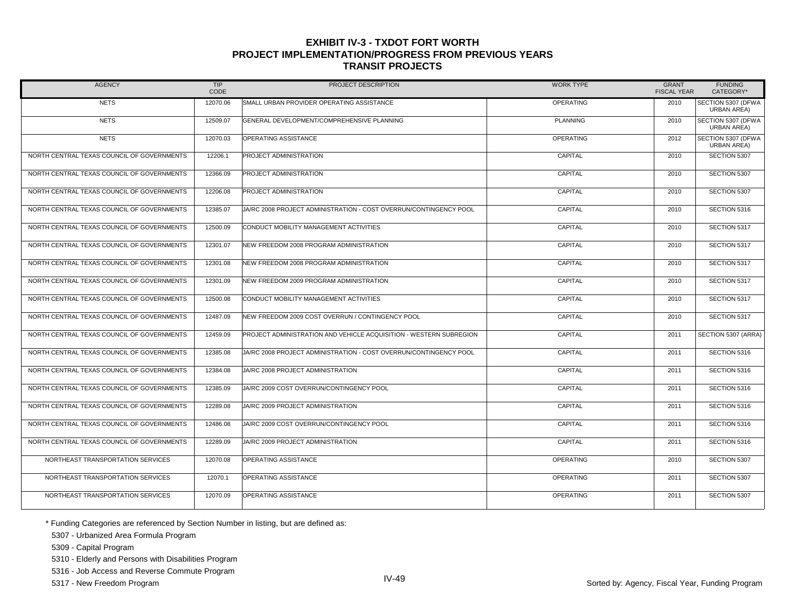| <b>AGENCY</b>                              | TIP<br>CODE | PROJECT DESCRIPTION                                                | <b>WORK TYPE</b> | <b>GRANT</b><br><b>FISCAL YEAR</b> | <b>FUNDING</b><br>CATEGORY*              |
|--------------------------------------------|-------------|--------------------------------------------------------------------|------------------|------------------------------------|------------------------------------------|
| <b>NETS</b>                                | 12070.06    | SMALL URBAN PROVIDER OPERATING ASSISTANCE                          | <b>OPERATING</b> | 2010                               | SECTION 5307 (DFWA<br><b>URBAN AREA)</b> |
| <b>NETS</b>                                | 12509.07    | GENERAL DEVELOPMENT/COMPREHENSIVE PLANNING                         | <b>PLANNING</b>  | 2010                               | SECTION 5307 (DFWA<br><b>URBAN AREA)</b> |
| <b>NETS</b>                                | 12070.03    | OPERATING ASSISTANCE                                               | OPERATING        | 2012                               | SECTION 5307 (DFWA<br><b>URBAN AREA)</b> |
| NORTH CENTRAL TEXAS COUNCIL OF GOVERNMENTS | 12206.1     | PROJECT ADMINISTRATION                                             | CAPITAL          | 2010                               | SECTION 5307                             |
| NORTH CENTRAL TEXAS COUNCIL OF GOVERNMENTS | 12366.09    | PROJECT ADMINISTRATION                                             | CAPITAL          | 2010                               | SECTION 5307                             |
| NORTH CENTRAL TEXAS COUNCIL OF GOVERNMENTS | 12206.08    | PROJECT ADMINISTRATION                                             | CAPITAL          | 2010                               | SECTION 5307                             |
| NORTH CENTRAL TEXAS COUNCIL OF GOVERNMENTS | 12385.07    | JA/RC 2008 PROJECT ADMINISTRATION - COST OVERRUN/CONTINGENCY POOL  | CAPITAL          | 2010                               | SECTION 5316                             |
| NORTH CENTRAL TEXAS COUNCIL OF GOVERNMENTS | 12500.09    | CONDUCT MOBILITY MANAGEMENT ACTIVITIES                             | CAPITAL          | 2010                               | SECTION 5317                             |
| NORTH CENTRAL TEXAS COUNCIL OF GOVERNMENTS | 12301.07    | NEW FREEDOM 2008 PROGRAM ADMINISTRATION                            | CAPITAL          | 2010                               | SECTION 5317                             |
| NORTH CENTRAL TEXAS COUNCIL OF GOVERNMENTS | 12301.08    | NEW FREEDOM 2008 PROGRAM ADMINISTRATION                            | CAPITAL          | 2010                               | SECTION 5317                             |
| NORTH CENTRAL TEXAS COUNCIL OF GOVERNMENTS | 12301.09    | NEW FREEDOM 2009 PROGRAM ADMINISTRATION                            | CAPITAL          | 2010                               | SECTION 5317                             |
| NORTH CENTRAL TEXAS COUNCIL OF GOVERNMENTS | 12500.08    | CONDUCT MOBILITY MANAGEMENT ACTIVITIES                             | CAPITAL          | 2010                               | SECTION 5317                             |
| NORTH CENTRAL TEXAS COUNCIL OF GOVERNMENTS | 12487.09    | NEW FREEDOM 2009 COST OVERRUN / CONTINGENCY POOL                   | CAPITAL          | 2010                               | SECTION 5317                             |
| NORTH CENTRAL TEXAS COUNCIL OF GOVERNMENTS | 12459.09    | PROJECT ADMINISTRATION AND VEHICLE ACQUISITION - WESTERN SUBREGION | CAPITAL          | 2011                               | SECTION 5307 (ARRA)                      |
| NORTH CENTRAL TEXAS COUNCIL OF GOVERNMENTS | 12385.08    | JA/RC 2008 PROJECT ADMINISTRATION - COST OVERRUN/CONTINGENCY POOL  | CAPITAL          | 2011                               | SECTION 5316                             |
| NORTH CENTRAL TEXAS COUNCIL OF GOVERNMENTS | 12384.08    | JA/RC 2008 PROJECT ADMINISTRATION                                  | CAPITAL          | 2011                               | SECTION 5316                             |
| NORTH CENTRAL TEXAS COUNCIL OF GOVERNMENTS | 12385.09    | JA/RC 2009 COST OVERRUN/CONTINGENCY POOL                           | CAPITAL          | 2011                               | SECTION 5316                             |
| NORTH CENTRAL TEXAS COUNCIL OF GOVERNMENTS | 12289.08    | JA/RC 2009 PROJECT ADMINISTRATION                                  | CAPITAL          | 2011                               | SECTION 5316                             |
| NORTH CENTRAL TEXAS COUNCIL OF GOVERNMENTS | 12486.08    | JA/RC 2009 COST OVERRUN/CONTINGENCY POOL                           | CAPITAL          | 2011                               | SECTION 5316                             |
| NORTH CENTRAL TEXAS COUNCIL OF GOVERNMENTS | 12289.09    | JA/RC 2009 PROJECT ADMINISTRATION                                  | CAPITAL          | 2011                               | SECTION 5316                             |
| NORTHEAST TRANSPORTATION SERVICES          | 12070.08    | OPERATING ASSISTANCE                                               | OPERATING        | 2010                               | SECTION 5307                             |
| NORTHEAST TRANSPORTATION SERVICES          | 12070.1     | OPERATING ASSISTANCE                                               | OPERATING        | 2011                               | SECTION 5307                             |
| NORTHEAST TRANSPORTATION SERVICES          | 12070.09    | OPERATING ASSISTANCE                                               | <b>OPERATING</b> | 2011                               | SECTION 5307                             |

\* Funding Categories are referenced by Section Number in listing, but are defined as:

5307 - Urbanized Area Formula Program

5309 - Capital Program

5310 - Elderly and Persons with Disabilities Program

5316 - Job Access and Reverse Commute Program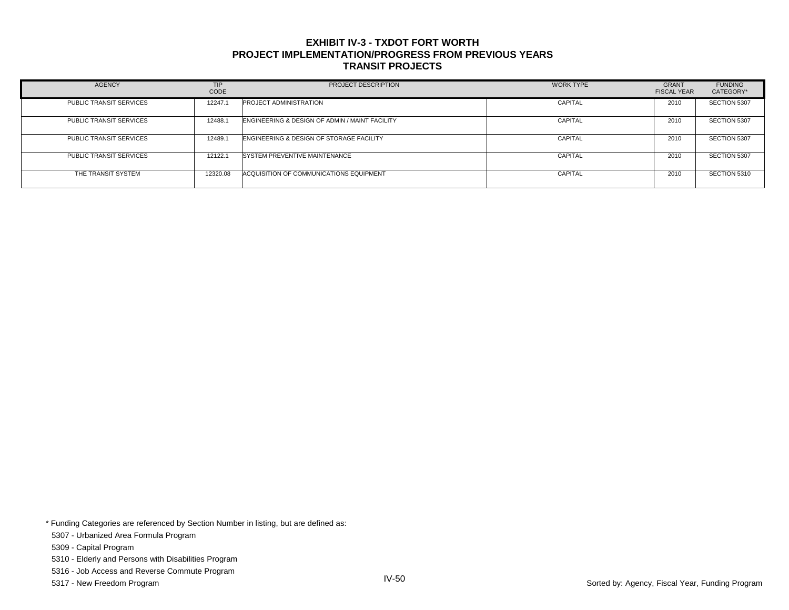| <b>AGENCY</b>                  | <b>TIP</b><br>CODE | PROJECT DESCRIPTION                            | <b>WORK TYPE</b> | <b>GRANT</b><br><b>FISCAL YEAR</b> | <b>FUNDING</b><br>CATEGORY* |
|--------------------------------|--------------------|------------------------------------------------|------------------|------------------------------------|-----------------------------|
| <b>PUBLIC TRANSIT SERVICES</b> | 12247.1            | <b>PROJECT ADMINISTRATION</b>                  | CAPITAL          | 2010                               | SECTION 5307                |
| PUBLIC TRANSIT SERVICES        | 12488.1            | ENGINEERING & DESIGN OF ADMIN / MAINT FACILITY | <b>CAPITAL</b>   | 2010                               | SECTION 5307                |
| PUBLIC TRANSIT SERVICES        | 12489.1            | ENGINEERING & DESIGN OF STORAGE FACILITY       | CAPITAL          | 2010                               | SECTION 5307                |
| PUBLIC TRANSIT SERVICES        | 12122.1            | <b>SYSTEM PREVENTIVE MAINTENANCE</b>           | <b>CAPITAL</b>   | 2010                               | SECTION 5307                |
| THE TRANSIT SYSTEM             | 12320.08           | ACQUISITION OF COMMUNICATIONS EQUIPMENT        | <b>CAPITAL</b>   | 2010                               | SECTION 5310                |

\* Funding Categories are referenced by Section Number in listing, but are defined as:

5307 - Urbanized Area Formula Program

5309 - Capital Program

5310 - Elderly and Persons with Disabilities Program

5316 - Job Access and Reverse Commute Program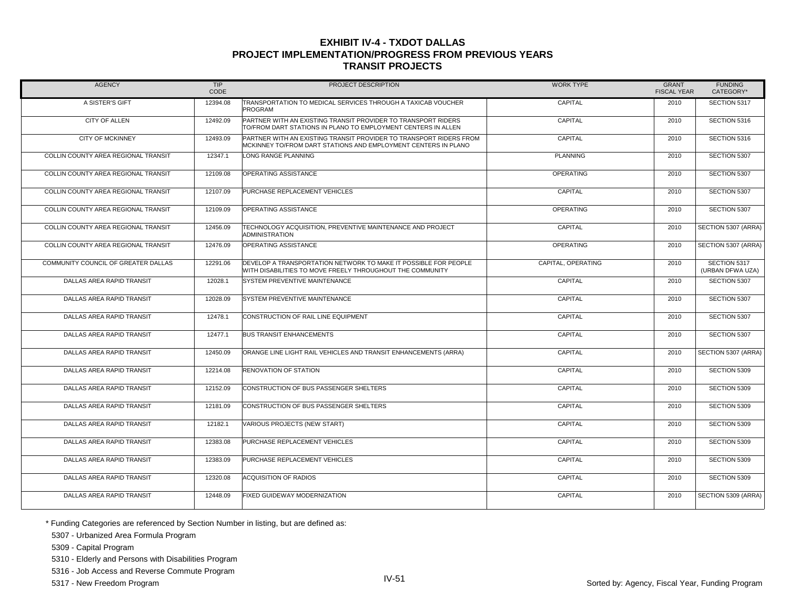| <b>AGENCY</b>                       | <b>TIP</b><br>CODE | PROJECT DESCRIPTION                                                                                                                  | <b>WORK TYPE</b>   | <b>GRANT</b><br><b>FISCAL YEAR</b> | <b>FUNDING</b><br>CATEGORY*      |
|-------------------------------------|--------------------|--------------------------------------------------------------------------------------------------------------------------------------|--------------------|------------------------------------|----------------------------------|
| A SISTER'S GIFT                     | 12394.08           | TRANSPORTATION TO MEDICAL SERVICES THROUGH A TAXICAB VOUCHER<br><b>PROGRAM</b>                                                       | CAPITAL            | 2010                               | SECTION 5317                     |
| <b>CITY OF ALLEN</b>                | 12492.09           | PARTNER WITH AN EXISTING TRANSIT PROVIDER TO TRANSPORT RIDERS<br>TO/FROM DART STATIONS IN PLANO TO EMPLOYMENT CENTERS IN ALLEN       | CAPITAL            | 2010                               | SECTION 5316                     |
| <b>CITY OF MCKINNEY</b>             | 12493.09           | PARTNER WITH AN EXISTING TRANSIT PROVIDER TO TRANSPORT RIDERS FROM<br>MCKINNEY TO/FROM DART STATIONS AND EMPLOYMENT CENTERS IN PLANO | CAPITAL            | 2010                               | SECTION 5316                     |
| COLLIN COUNTY AREA REGIONAL TRANSIT | 12347.1            | LONG RANGE PLANNING                                                                                                                  | <b>PLANNING</b>    | 2010                               | SECTION 5307                     |
| COLLIN COUNTY AREA REGIONAL TRANSIT | 12109.08           | OPERATING ASSISTANCE                                                                                                                 | <b>OPERATING</b>   | 2010                               | SECTION 5307                     |
| COLLIN COUNTY AREA REGIONAL TRANSIT | 12107.09           | PURCHASE REPLACEMENT VEHICLES                                                                                                        | CAPITAL            | 2010                               | SECTION 5307                     |
| COLLIN COUNTY AREA REGIONAL TRANSIT | 12109.09           | OPERATING ASSISTANCE                                                                                                                 | OPERATING          | 2010                               | SECTION 5307                     |
| COLLIN COUNTY AREA REGIONAL TRANSIT | 12456.09           | TECHNOLOGY ACQUISITION, PREVENTIVE MAINTENANCE AND PROJECT<br><b>ADMINISTRATION</b>                                                  | CAPITAL            | 2010                               | SECTION 5307 (ARRA)              |
| COLLIN COUNTY AREA REGIONAL TRANSIT | 12476.09           | OPERATING ASSISTANCE                                                                                                                 | <b>OPERATING</b>   | 2010                               | SECTION 5307 (ARRA)              |
| COMMUNITY COUNCIL OF GREATER DALLAS | 12291.06           | DEVELOP A TRANSPORTATION NETWORK TO MAKE IT POSSIBLE FOR PEOPLE<br>WITH DISABILITIES TO MOVE FREELY THROUGHOUT THE COMMUNITY         | CAPITAL, OPERATING | 2010                               | SECTION 5317<br>(URBAN DFWA UZA) |
| DALLAS AREA RAPID TRANSIT           | 12028.1            | SYSTEM PREVENTIVE MAINTENANCE                                                                                                        | CAPITAL            | 2010                               | SECTION 5307                     |
| DALLAS AREA RAPID TRANSIT           | 12028.09           | SYSTEM PREVENTIVE MAINTENANCE                                                                                                        | CAPITAL            | 2010                               | SECTION 5307                     |
| DALLAS AREA RAPID TRANSIT           | 12478.1            | CONSTRUCTION OF RAIL LINE EQUIPMENT                                                                                                  | CAPITAL            | 2010                               | SECTION 5307                     |
| DALLAS AREA RAPID TRANSIT           | 12477.1            | <b>BUS TRANSIT ENHANCEMENTS</b>                                                                                                      | CAPITAL            | 2010                               | SECTION 5307                     |
| DALLAS AREA RAPID TRANSIT           | 12450.09           | ORANGE LINE LIGHT RAIL VEHICLES AND TRANSIT ENHANCEMENTS (ARRA)                                                                      | CAPITAL            | 2010                               | SECTION 5307 (ARRA)              |
| DALLAS AREA RAPID TRANSIT           | 12214.08           | RENOVATION OF STATION                                                                                                                | CAPITAL            | 2010                               | SECTION 5309                     |
| DALLAS AREA RAPID TRANSIT           | 12152.09           | CONSTRUCTION OF BUS PASSENGER SHELTERS                                                                                               | CAPITAL            | 2010                               | SECTION 5309                     |
| DALLAS AREA RAPID TRANSIT           | 12181.09           | CONSTRUCTION OF BUS PASSENGER SHELTERS                                                                                               | CAPITAL            | 2010                               | SECTION 5309                     |
| DALLAS AREA RAPID TRANSIT           | 12182.1            | VARIOUS PROJECTS (NEW START)                                                                                                         | CAPITAL            | 2010                               | SECTION 5309                     |
| DALLAS AREA RAPID TRANSIT           | 12383.08           | PURCHASE REPLACEMENT VEHICLES                                                                                                        | CAPITAL            | 2010                               | SECTION 5309                     |
| DALLAS AREA RAPID TRANSIT           | 12383.09           | PURCHASE REPLACEMENT VEHICLES                                                                                                        | CAPITAL            | 2010                               | SECTION 5309                     |
| DALLAS AREA RAPID TRANSIT           | 12320.08           | <b>ACQUISITION OF RADIOS</b>                                                                                                         | CAPITAL            | 2010                               | SECTION 5309                     |
| DALLAS AREA RAPID TRANSIT           | 12448.09           | <b>FIXED GUIDEWAY MODERNIZATION</b>                                                                                                  | CAPITAL            | 2010                               | SECTION 5309 (ARRA)              |

\* Funding Categories are referenced by Section Number in listing, but are defined as:

5307 - Urbanized Area Formula Program

5309 - Capital Program

5310 - Elderly and Persons with Disabilities Program

5316 - Job Access and Reverse Commute Program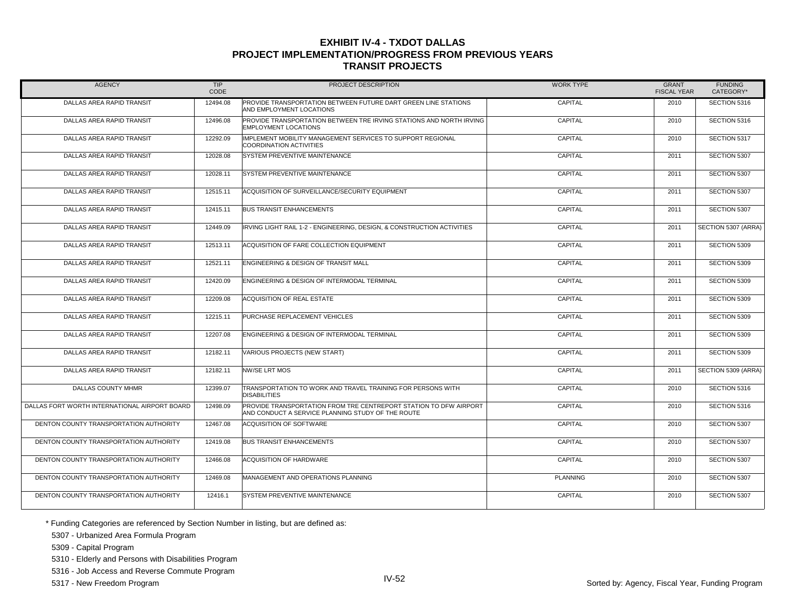| <b>AGENCY</b>                                 | <b>TIP</b><br>CODE | PROJECT DESCRIPTION                                                                                                    | <b>WORK TYPE</b> | <b>GRANT</b><br><b>FISCAL YEAR</b> | <b>FUNDING</b><br>CATEGORY* |
|-----------------------------------------------|--------------------|------------------------------------------------------------------------------------------------------------------------|------------------|------------------------------------|-----------------------------|
| DALLAS AREA RAPID TRANSIT                     | 12494.08           | PROVIDE TRANSPORTATION BETWEEN FUTURE DART GREEN LINE STATIONS<br>AND EMPLOYMENT LOCATIONS                             | CAPITAL          | 2010                               | SECTION 5316                |
| DALLAS AREA RAPID TRANSIT                     | 12496.08           | PROVIDE TRANSPORTATION BETWEEN TRE IRVING STATIONS AND NORTH IRVING<br><b>EMPLOYMENT LOCATIONS</b>                     | CAPITAL          | 2010                               | SECTION 5316                |
| DALLAS AREA RAPID TRANSIT                     | 12292.09           | IMPLEMENT MOBILITY MANAGEMENT SERVICES TO SUPPORT REGIONAL<br><b>COORDINATION ACTIVITIES</b>                           | CAPITAL          | 2010                               | SECTION 5317                |
| DALLAS AREA RAPID TRANSIT                     | 12028.08           | SYSTEM PREVENTIVE MAINTENANCE                                                                                          | CAPITAL          | 2011                               | SECTION 5307                |
| DALLAS AREA RAPID TRANSIT                     | 12028.11           | SYSTEM PREVENTIVE MAINTENANCE                                                                                          | CAPITAL          | 2011                               | SECTION 5307                |
| DALLAS AREA RAPID TRANSIT                     | 12515.11           | ACQUISITION OF SURVEILLANCE/SECURITY EQUIPMENT                                                                         | CAPITAL          | 2011                               | SECTION 5307                |
| DALLAS AREA RAPID TRANSIT                     | 12415.11           | <b>BUS TRANSIT ENHANCEMENTS</b>                                                                                        | CAPITAL          | 2011                               | SECTION 5307                |
| DALLAS AREA RAPID TRANSIT                     | 12449.09           | IRVING LIGHT RAIL 1-2 - ENGINEERING, DESIGN, & CONSTRUCTION ACTIVITIES                                                 | CAPITAL          | 2011                               | SECTION 5307 (ARRA)         |
| DALLAS AREA RAPID TRANSIT                     | 12513.11           | ACQUISITION OF FARE COLLECTION EQUIPMENT                                                                               | CAPITAL          | 2011                               | SECTION 5309                |
| DALLAS AREA RAPID TRANSIT                     | 12521.11           | ENGINEERING & DESIGN OF TRANSIT MALL                                                                                   | CAPITAL          | 2011                               | SECTION 5309                |
| DALLAS AREA RAPID TRANSIT                     | 12420.09           | ENGINEERING & DESIGN OF INTERMODAL TERMINAL                                                                            | CAPITAL          | 2011                               | SECTION 5309                |
| DALLAS AREA RAPID TRANSIT                     | 12209.08           | ACQUISITION OF REAL ESTATE                                                                                             | CAPITAL          | 2011                               | SECTION 5309                |
| DALLAS AREA RAPID TRANSIT                     | 12215.11           | PURCHASE REPLACEMENT VEHICLES                                                                                          | CAPITAL          | 2011                               | SECTION 5309                |
| DALLAS AREA RAPID TRANSIT                     | 12207.08           | ENGINEERING & DESIGN OF INTERMODAL TERMINAL                                                                            | CAPITAL          | 2011                               | SECTION 5309                |
| DALLAS AREA RAPID TRANSIT                     | 12182.11           | VARIOUS PROJECTS (NEW START)                                                                                           | CAPITAL          | 2011                               | SECTION 5309                |
| DALLAS AREA RAPID TRANSIT                     | 12182.11           | NW/SE LRT MOS                                                                                                          | CAPITAL          | 2011                               | SECTION 5309 (ARRA)         |
| DALLAS COUNTY MHMR                            | 12399.07           | TRANSPORTATION TO WORK AND TRAVEL TRAINING FOR PERSONS WITH<br><b>DISABILITIES</b>                                     | CAPITAL          | 2010                               | SECTION 5316                |
| DALLAS FORT WORTH INTERNATIONAL AIRPORT BOARD | 12498.09           | PROVIDE TRANSPORTATION FROM TRE CENTREPORT STATION TO DFW AIRPORT<br>AND CONDUCT A SERVICE PLANNING STUDY OF THE ROUTE | CAPITAL          | 2010                               | SECTION 5316                |
| DENTON COUNTY TRANSPORTATION AUTHORITY        | 12467.08           | <b>ACQUISITION OF SOFTWARE</b>                                                                                         | CAPITAL          | 2010                               | SECTION 5307                |
| DENTON COUNTY TRANSPORTATION AUTHORITY        | 12419.08           | <b>BUS TRANSIT ENHANCEMENTS</b>                                                                                        | CAPITAL          | 2010                               | SECTION 5307                |
| DENTON COUNTY TRANSPORTATION AUTHORITY        | 12466.08           | ACQUISITION OF HARDWARE                                                                                                | CAPITAL          | 2010                               | SECTION 5307                |
| DENTON COUNTY TRANSPORTATION AUTHORITY        | 12469.08           | MANAGEMENT AND OPERATIONS PLANNING                                                                                     | <b>PLANNING</b>  | 2010                               | SECTION 5307                |
| DENTON COUNTY TRANSPORTATION AUTHORITY        | 12416.1            | SYSTEM PREVENTIVE MAINTENANCE                                                                                          | CAPITAL          | 2010                               | SECTION 5307                |

\* Funding Categories are referenced by Section Number in listing, but are defined as:

5307 - Urbanized Area Formula Program

5309 - Capital Program

5310 - Elderly and Persons with Disabilities Program

5316 - Job Access and Reverse Commute Program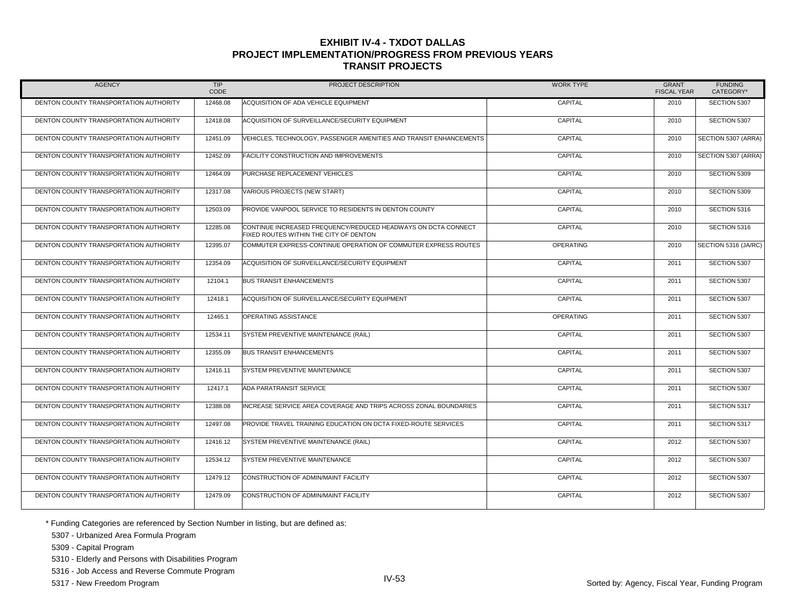| <b>AGENCY</b>                          | <b>TIP</b><br>CODE | PROJECT DESCRIPTION                                                                                     | <b>WORK TYPE</b> | <b>GRANT</b><br><b>FISCAL YEAR</b> | <b>FUNDING</b><br>CATEGORY* |
|----------------------------------------|--------------------|---------------------------------------------------------------------------------------------------------|------------------|------------------------------------|-----------------------------|
| DENTON COUNTY TRANSPORTATION AUTHORITY | 12468.08           | ACQUISITION OF ADA VEHICLE EQUIPMENT                                                                    | CAPITAL          | 2010                               | SECTION 5307                |
| DENTON COUNTY TRANSPORTATION AUTHORITY | 12418.08           | ACQUISITION OF SURVEILLANCE/SECURITY EQUIPMENT                                                          | CAPITAL          | 2010                               | SECTION 5307                |
| DENTON COUNTY TRANSPORTATION AUTHORITY | 12451.09           | VEHICLES. TECHNOLOGY. PASSENGER AMENITIES AND TRANSIT ENHANCEMENTS                                      | CAPITAL          | 2010                               | SECTION 5307 (ARRA)         |
| DENTON COUNTY TRANSPORTATION AUTHORITY | 12452.09           | FACILITY CONSTRUCTION AND IMPROVEMENTS                                                                  | CAPITAL          | 2010                               | SECTION 5307 (ARRA)         |
| DENTON COUNTY TRANSPORTATION AUTHORITY | 12464.09           | PURCHASE REPLACEMENT VEHICLES                                                                           | CAPITAL          | 2010                               | SECTION 5309                |
| DENTON COUNTY TRANSPORTATION AUTHORITY | 12317.08           | VARIOUS PROJECTS (NEW START)                                                                            | CAPITAL          | 2010                               | SECTION 5309                |
| DENTON COUNTY TRANSPORTATION AUTHORITY | 12503.09           | PROVIDE VANPOOL SERVICE TO RESIDENTS IN DENTON COUNTY                                                   | CAPITAL          | 2010                               | SECTION 5316                |
| DENTON COUNTY TRANSPORTATION AUTHORITY | 12285.08           | CONTINUE INCREASED FREQUENCY/REDUCED HEADWAYS ON DCTA CONNECT<br>FIXED ROUTES WITHIN THE CITY OF DENTON | CAPITAL          | 2010                               | SECTION 5316                |
| DENTON COUNTY TRANSPORTATION AUTHORITY | 12395.07           | COMMUTER EXPRESS-CONTINUE OPERATION OF COMMUTER EXPRESS ROUTES                                          | <b>OPERATING</b> | 2010                               | SECTION 5316 (JA/RC)        |
| DENTON COUNTY TRANSPORTATION AUTHORITY | 12354.09           | ACQUISITION OF SURVEILLANCE/SECURITY EQUIPMENT                                                          | CAPITAL          | 2011                               | SECTION 5307                |
| DENTON COUNTY TRANSPORTATION AUTHORITY | 12104.1            | <b>BUS TRANSIT ENHANCEMENTS</b>                                                                         | CAPITAL          | 2011                               | SECTION 5307                |
| DENTON COUNTY TRANSPORTATION AUTHORITY | 12418.1            | ACQUISITION OF SURVEILLANCE/SECURITY EQUIPMENT                                                          | CAPITAL          | 2011                               | SECTION 5307                |
| DENTON COUNTY TRANSPORTATION AUTHORITY | 12465.1            | OPERATING ASSISTANCE                                                                                    | <b>OPERATING</b> | 2011                               | SECTION 5307                |
| DENTON COUNTY TRANSPORTATION AUTHORITY | 12534.11           | SYSTEM PREVENTIVE MAINTENANCE (RAIL)                                                                    | CAPITAL          | 2011                               | SECTION 5307                |
| DENTON COUNTY TRANSPORTATION AUTHORITY | 12355.09           | <b>BUS TRANSIT ENHANCEMENTS</b>                                                                         | CAPITAL          | 2011                               | SECTION 5307                |
| DENTON COUNTY TRANSPORTATION AUTHORITY | 12416.11           | <b>SYSTEM PREVENTIVE MAINTENANCE</b>                                                                    | CAPITAL          | 2011                               | SECTION 5307                |
| DENTON COUNTY TRANSPORTATION AUTHORITY | 12417.1            | ADA PARATRANSIT SERVICE                                                                                 | CAPITAL          | 2011                               | SECTION 5307                |
| DENTON COUNTY TRANSPORTATION AUTHORITY | 12388.08           | INCREASE SERVICE AREA COVERAGE AND TRIPS ACROSS ZONAL BOUNDARIES                                        | CAPITAL          | 2011                               | SECTION 5317                |
| DENTON COUNTY TRANSPORTATION AUTHORITY | 12497.08           | PROVIDE TRAVEL TRAINING EDUCATION ON DCTA FIXED-ROUTE SERVICES                                          | CAPITAL          | 2011                               | SECTION 5317                |
| DENTON COUNTY TRANSPORTATION AUTHORITY | 12416.12           | SYSTEM PREVENTIVE MAINTENANCE (RAIL)                                                                    | CAPITAL          | 2012                               | SECTION 5307                |
| DENTON COUNTY TRANSPORTATION AUTHORITY | 12534.12           | SYSTEM PREVENTIVE MAINTENANCE                                                                           | CAPITAL          | 2012                               | SECTION 5307                |
| DENTON COUNTY TRANSPORTATION AUTHORITY | 12479.12           | CONSTRUCTION OF ADMIN/MAINT FACILITY                                                                    | CAPITAL          | 2012                               | SECTION 5307                |
| DENTON COUNTY TRANSPORTATION AUTHORITY | 12479.09           | CONSTRUCTION OF ADMIN/MAINT FACILITY                                                                    | CAPITAL          | 2012                               | SECTION 5307                |

\* Funding Categories are referenced by Section Number in listing, but are defined as:

5307 - Urbanized Area Formula Program

5309 - Capital Program

5310 - Elderly and Persons with Disabilities Program

5316 - Job Access and Reverse Commute Program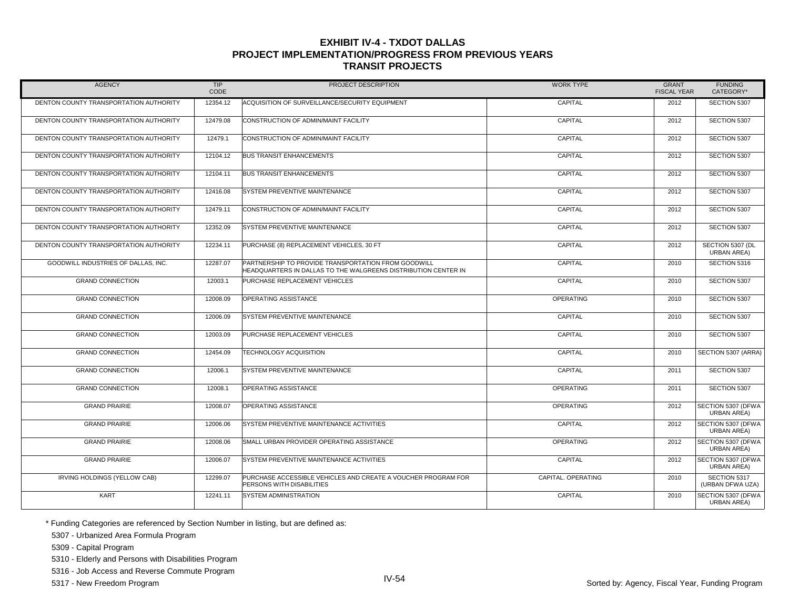| <b>AGENCY</b>                          | <b>TIP</b><br>CODE | PROJECT DESCRIPTION                                                                                                   | <b>WORK TYPE</b>   | <b>GRANT</b><br><b>FISCAL YEAR</b> | <b>FUNDING</b><br>CATEGORY*              |
|----------------------------------------|--------------------|-----------------------------------------------------------------------------------------------------------------------|--------------------|------------------------------------|------------------------------------------|
| DENTON COUNTY TRANSPORTATION AUTHORITY | 12354.12           | ACQUISITION OF SURVEILLANCE/SECURITY EQUIPMENT                                                                        | CAPITAL            | 2012                               | SECTION 5307                             |
| DENTON COUNTY TRANSPORTATION AUTHORITY | 12479.08           | CONSTRUCTION OF ADMIN/MAINT FACILITY                                                                                  | CAPITAL            | 2012                               | SECTION 5307                             |
| DENTON COUNTY TRANSPORTATION AUTHORITY | 12479.1            | CONSTRUCTION OF ADMIN/MAINT FACILITY                                                                                  | CAPITAL            | 2012                               | SECTION 5307                             |
| DENTON COUNTY TRANSPORTATION AUTHORITY | 12104.12           | <b>BUS TRANSIT ENHANCEMENTS</b>                                                                                       | CAPITAL            | 2012                               | SECTION 5307                             |
| DENTON COUNTY TRANSPORTATION AUTHORITY | 12104.11           | <b>BUS TRANSIT ENHANCEMENTS</b>                                                                                       | CAPITAL            | 2012                               | SECTION 5307                             |
| DENTON COUNTY TRANSPORTATION AUTHORITY | 12416.08           | SYSTEM PREVENTIVE MAINTENANCE                                                                                         | CAPITAL            | 2012                               | SECTION 5307                             |
| DENTON COUNTY TRANSPORTATION AUTHORITY | 12479.11           | CONSTRUCTION OF ADMIN/MAINT FACILITY                                                                                  | CAPITAL            | 2012                               | SECTION 5307                             |
| DENTON COUNTY TRANSPORTATION AUTHORITY | 12352.09           | SYSTEM PREVENTIVE MAINTENANCE                                                                                         | CAPITAL            | 2012                               | SECTION 5307                             |
| DENTON COUNTY TRANSPORTATION AUTHORITY | 12234.11           | PURCHASE (8) REPLACEMENT VEHICLES, 30 FT                                                                              | CAPITAL            | 2012                               | SECTION 5307 (DL<br>URBAN AREA)          |
| GOODWILL INDUSTRIES OF DALLAS, INC.    | 12287.07           | PARTNERSHIP TO PROVIDE TRANSPORTATION FROM GOODWILL<br>HEADQUARTERS IN DALLAS TO THE WALGREENS DISTRIBUTION CENTER IN | CAPITAL            | 2010                               | SECTION 5316                             |
| <b>GRAND CONNECTION</b>                | 12003.1            | PURCHASE REPLACEMENT VEHICLES                                                                                         | CAPITAL            | 2010                               | SECTION 5307                             |
| <b>GRAND CONNECTION</b>                | 12008.09           | OPERATING ASSISTANCE                                                                                                  | <b>OPERATING</b>   | 2010                               | SECTION 5307                             |
| <b>GRAND CONNECTION</b>                | 12006.09           | SYSTEM PREVENTIVE MAINTENANCE                                                                                         | CAPITAL            | 2010                               | SECTION 5307                             |
| <b>GRAND CONNECTION</b>                | 12003.09           | PURCHASE REPLACEMENT VEHICLES                                                                                         | CAPITAL            | 2010                               | SECTION 5307                             |
| <b>GRAND CONNECTION</b>                | 12454.09           | <b>TECHNOLOGY ACQUISITION</b>                                                                                         | CAPITAL            | 2010                               | SECTION 5307 (ARRA)                      |
| <b>GRAND CONNECTION</b>                | 12006.1            | SYSTEM PREVENTIVE MAINTENANCE                                                                                         | CAPITAL            | 2011                               | SECTION 5307                             |
| <b>GRAND CONNECTION</b>                | 12008.1            | OPERATING ASSISTANCE                                                                                                  | <b>OPERATING</b>   | 2011                               | SECTION 5307                             |
| <b>GRAND PRAIRIE</b>                   | 12008.07           | OPERATING ASSISTANCE                                                                                                  | <b>OPERATING</b>   | 2012                               | SECTION 5307 (DFWA<br><b>URBAN AREA)</b> |
| <b>GRAND PRAIRIE</b>                   | 12006.06           | SYSTEM PREVENTIVE MAINTENANCE ACTIVITIES                                                                              | CAPITAL            | 2012                               | SECTION 5307 (DFWA<br><b>URBAN AREA)</b> |
| <b>GRAND PRAIRIE</b>                   | 12008.06           | SMALL URBAN PROVIDER OPERATING ASSISTANCE                                                                             | <b>OPERATING</b>   | 2012                               | SECTION 5307 (DFWA<br><b>URBAN AREA)</b> |
| <b>GRAND PRAIRIE</b>                   | 12006.07           | SYSTEM PREVENTIVE MAINTENANCE ACTIVITIES                                                                              | CAPITAL            | 2012                               | SECTION 5307 (DFWA<br><b>URBAN AREA)</b> |
| IRVING HOLDINGS (YELLOW CAB)           | 12299.07           | PURCHASE ACCESSIBLE VEHICLES AND CREATE A VOUCHER PROGRAM FOR<br>PERSONS WITH DISABILITIES                            | CAPITAL, OPERATING | 2010                               | SECTION 5317<br>(URBAN DFWA UZA)         |
| <b>KART</b>                            | 12241.11           | <b>SYSTEM ADMINISTRATION</b>                                                                                          | CAPITAL            | 2010                               | SECTION 5307 (DFWA<br>URBAN AREA)        |

\* Funding Categories are referenced by Section Number in listing, but are defined as:

5307 - Urbanized Area Formula Program

5309 - Capital Program

5310 - Elderly and Persons with Disabilities Program

5316 - Job Access and Reverse Commute Program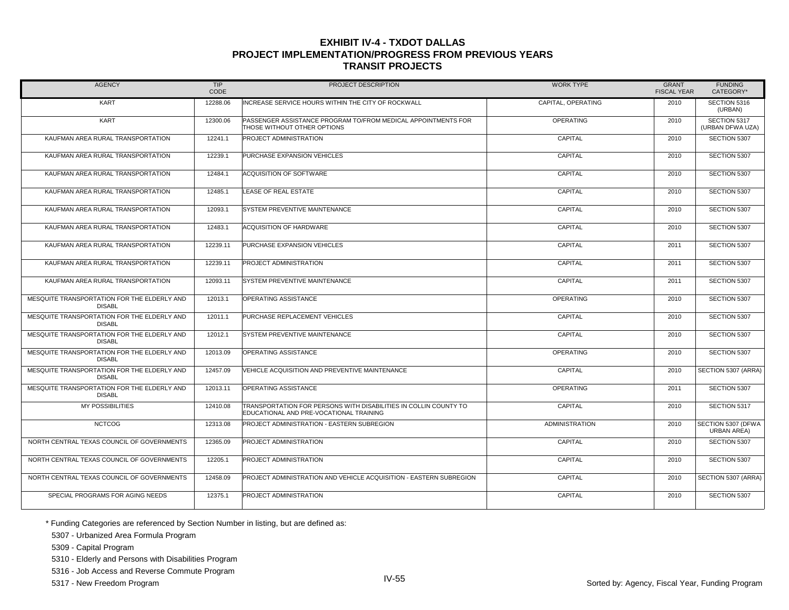| <b>AGENCY</b>                                                | TIP<br>CODE | PROJECT DESCRIPTION                                                                                         | <b>WORK TYPE</b>      | <b>GRANT</b><br><b>FISCAL YEAR</b> | <b>FUNDING</b><br>CATEGORY*              |
|--------------------------------------------------------------|-------------|-------------------------------------------------------------------------------------------------------------|-----------------------|------------------------------------|------------------------------------------|
| <b>KART</b>                                                  | 12288.06    | INCREASE SERVICE HOURS WITHIN THE CITY OF ROCKWALL                                                          | CAPITAL, OPERATING    | 2010                               | SECTION 5316<br>(URBAN)                  |
| <b>KART</b>                                                  | 12300.06    | PASSENGER ASSISTANCE PROGRAM TO/FROM MEDICAL APPOINTMENTS FOR<br>THOSE WITHOUT OTHER OPTIONS                | <b>OPERATING</b>      | 2010                               | SECTION 5317<br>(URBAN DFWA UZA)         |
| KAUFMAN AREA RURAL TRANSPORTATION                            | 12241.1     | <b>PROJECT ADMINISTRATION</b>                                                                               | CAPITAL               | 2010                               | SECTION 5307                             |
| KAUFMAN AREA RURAL TRANSPORTATION                            | 12239.1     | PURCHASE EXPANSION VEHICLES                                                                                 | CAPITAL               | 2010                               | SECTION 5307                             |
| KAUFMAN AREA RURAL TRANSPORTATION                            | 12484.1     | <b>ACQUISITION OF SOFTWARE</b>                                                                              | CAPITAL               | 2010                               | SECTION 5307                             |
| KAUFMAN AREA RURAL TRANSPORTATION                            | 12485.1     | LEASE OF REAL ESTATE                                                                                        | CAPITAL               | 2010                               | SECTION 5307                             |
| KAUFMAN AREA RURAL TRANSPORTATION                            | 12093.1     | <b>SYSTEM PREVENTIVE MAINTENANCE</b>                                                                        | CAPITAL               | 2010                               | SECTION 5307                             |
| KAUFMAN AREA RURAL TRANSPORTATION                            | 12483.1     | <b>ACQUISITION OF HARDWARE</b>                                                                              | CAPITAL               | 2010                               | SECTION 5307                             |
| KAUFMAN AREA RURAL TRANSPORTATION                            | 12239.11    | PURCHASE EXPANSION VEHICLES                                                                                 | CAPITAL               | 2011                               | SECTION 5307                             |
| KAUFMAN AREA RURAL TRANSPORTATION                            | 12239.11    | PROJECT ADMINISTRATION                                                                                      | CAPITAL               | 2011                               | SECTION 5307                             |
| KAUFMAN AREA RURAL TRANSPORTATION                            | 12093.11    | SYSTEM PREVENTIVE MAINTENANCE                                                                               | CAPITAL               | 2011                               | SECTION 5307                             |
| MESQUITE TRANSPORTATION FOR THE ELDERLY AND<br><b>DISABL</b> | 12013.1     | <b>OPERATING ASSISTANCE</b>                                                                                 | <b>OPERATING</b>      | 2010                               | SECTION 5307                             |
| MESQUITE TRANSPORTATION FOR THE ELDERLY AND<br><b>DISABL</b> | 12011.1     | PURCHASE REPLACEMENT VEHICLES                                                                               | CAPITAL               | 2010                               | SECTION 5307                             |
| MESQUITE TRANSPORTATION FOR THE ELDERLY AND<br><b>DISABL</b> | 12012.1     | SYSTEM PREVENTIVE MAINTENANCE                                                                               | CAPITAL               | 2010                               | SECTION 5307                             |
| MESQUITE TRANSPORTATION FOR THE ELDERLY AND<br><b>DISABL</b> | 12013.09    | OPERATING ASSISTANCE                                                                                        | OPERATING             | 2010                               | SECTION 5307                             |
| MESQUITE TRANSPORTATION FOR THE ELDERLY AND<br><b>DISABL</b> | 12457.09    | VEHICLE ACQUISITION AND PREVENTIVE MAINTENANCE                                                              | CAPITAL               | 2010                               | SECTION 5307 (ARRA)                      |
| MESQUITE TRANSPORTATION FOR THE ELDERLY AND<br><b>DISABL</b> | 12013.11    | <b>OPERATING ASSISTANCE</b>                                                                                 | <b>OPERATING</b>      | 2011                               | SECTION 5307                             |
| <b>MY POSSIBILITIES</b>                                      | 12410.08    | TRANSPORTATION FOR PERSONS WITH DISABILITIES IN COLLIN COUNTY TO<br>EDUCATIONAL AND PRE-VOCATIONAL TRAINING | CAPITAL               | 2010                               | SECTION 5317                             |
| <b>NCTCOG</b>                                                | 12313.08    | PROJECT ADMINISTRATION - EASTERN SUBREGION                                                                  | <b>ADMINISTRATION</b> | 2010                               | SECTION 5307 (DFWA<br><b>URBAN AREA)</b> |
| NORTH CENTRAL TEXAS COUNCIL OF GOVERNMENTS                   | 12365.09    | PROJECT ADMINISTRATION                                                                                      | CAPITAL               | 2010                               | SECTION 5307                             |
| NORTH CENTRAL TEXAS COUNCIL OF GOVERNMENTS                   | 12205.1     | PROJECT ADMINISTRATION                                                                                      | CAPITAL               | 2010                               | SECTION 5307                             |
| NORTH CENTRAL TEXAS COUNCIL OF GOVERNMENTS                   | 12458.09    | PROJECT ADMINISTRATION AND VEHICLE ACQUISITION - EASTERN SUBREGION                                          | CAPITAL               | 2010                               | SECTION 5307 (ARRA)                      |
| SPECIAL PROGRAMS FOR AGING NEEDS                             | 12375.1     | PROJECT ADMINISTRATION                                                                                      | CAPITAL               | 2010                               | SECTION 5307                             |

\* Funding Categories are referenced by Section Number in listing, but are defined as:

5307 - Urbanized Area Formula Program

5309 - Capital Program

5310 - Elderly and Persons with Disabilities Program

5316 - Job Access and Reverse Commute Program